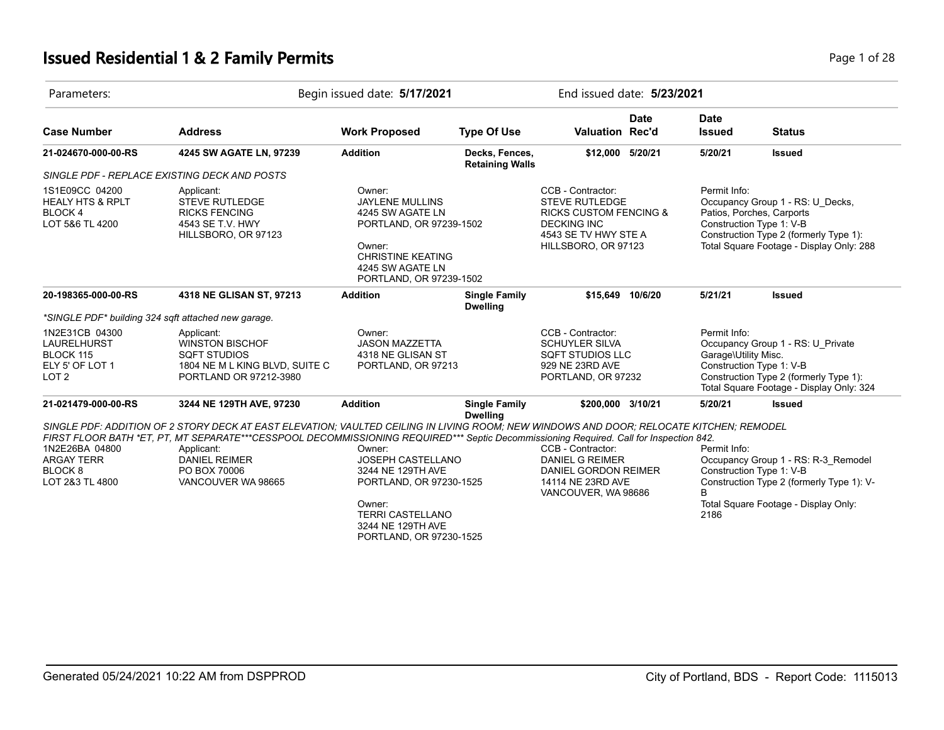# **Issued Residential 1 & 2 Family Permits Page 1 of 28 Page 1 of 28**

| Parameters:                                                                              |                                                                                                                                                                                                                                                                                                                                                               | Begin issued date: 5/17/2021                                                                                                                                            |                                          |                                                                                                                                                      | End issued date: 5/23/2021 |                                                                  |                                                                                                                                                     |  |
|------------------------------------------------------------------------------------------|---------------------------------------------------------------------------------------------------------------------------------------------------------------------------------------------------------------------------------------------------------------------------------------------------------------------------------------------------------------|-------------------------------------------------------------------------------------------------------------------------------------------------------------------------|------------------------------------------|------------------------------------------------------------------------------------------------------------------------------------------------------|----------------------------|------------------------------------------------------------------|-----------------------------------------------------------------------------------------------------------------------------------------------------|--|
| <b>Case Number</b>                                                                       | <b>Address</b>                                                                                                                                                                                                                                                                                                                                                | <b>Work Proposed</b>                                                                                                                                                    | <b>Type Of Use</b>                       | Valuation Rec'd                                                                                                                                      | <b>Date</b>                | <b>Date</b><br><b>Issued</b>                                     | <b>Status</b>                                                                                                                                       |  |
| 21-024670-000-00-RS                                                                      | 4245 SW AGATE LN, 97239                                                                                                                                                                                                                                                                                                                                       | <b>Addition</b>                                                                                                                                                         | Decks, Fences,<br><b>Retaining Walls</b> | \$12,000 5/20/21                                                                                                                                     |                            | 5/20/21                                                          | <b>Issued</b>                                                                                                                                       |  |
|                                                                                          | SINGLE PDF - REPLACE EXISTING DECK AND POSTS                                                                                                                                                                                                                                                                                                                  |                                                                                                                                                                         |                                          |                                                                                                                                                      |                            |                                                                  |                                                                                                                                                     |  |
| 1S1E09CC 04200<br><b>HEALY HTS &amp; RPLT</b><br>BLOCK <sub>4</sub><br>LOT 5&6 TL 4200   | Applicant:<br><b>STEVE RUTLEDGE</b><br><b>RICKS FENCING</b><br>4543 SE T.V. HWY<br>HILLSBORO, OR 97123                                                                                                                                                                                                                                                        | Owner:<br><b>JAYLENE MULLINS</b><br>4245 SW AGATE LN<br>PORTLAND, OR 97239-1502<br>Owner:<br><b>CHRISTINE KEATING</b><br>4245 SW AGATE LN<br>PORTLAND, OR 97239-1502    |                                          | CCB - Contractor:<br><b>STEVE RUTLEDGE</b><br><b>RICKS CUSTOM FENCING &amp;</b><br><b>DECKING INC</b><br>4543 SE TV HWY STE A<br>HILLSBORO, OR 97123 |                            | Permit Info:<br>Construction Type 1: V-B                         | Occupancy Group 1 - RS: U_Decks,<br>Patios, Porches, Carports<br>Construction Type 2 (formerly Type 1):<br>Total Square Footage - Display Only: 288 |  |
| 20-198365-000-00-RS                                                                      | 4318 NE GLISAN ST, 97213                                                                                                                                                                                                                                                                                                                                      | <b>Addition</b>                                                                                                                                                         | <b>Single Family</b><br><b>Dwelling</b>  | \$15.649 10/6/20                                                                                                                                     |                            | 5/21/21                                                          | <b>Issued</b>                                                                                                                                       |  |
|                                                                                          | *SINGLE PDF* building 324 sqft attached new garage.                                                                                                                                                                                                                                                                                                           |                                                                                                                                                                         |                                          |                                                                                                                                                      |                            |                                                                  |                                                                                                                                                     |  |
| 1N2E31CB 04300<br><b>LAURELHURST</b><br>BLOCK 115<br>ELY 5' OF LOT 1<br>LOT <sub>2</sub> | Applicant:<br><b>WINSTON BISCHOF</b><br><b>SQFT STUDIOS</b><br>1804 NE M L KING BLVD, SUITE C<br>PORTLAND OR 97212-3980                                                                                                                                                                                                                                       | Owner:<br><b>JASON MAZZETTA</b><br>4318 NE GLISAN ST<br>PORTLAND, OR 97213                                                                                              |                                          | CCB - Contractor:<br><b>SCHUYLER SILVA</b><br><b>SQFT STUDIOS LLC</b><br>929 NE 23RD AVE<br>PORTLAND, OR 97232                                       |                            | Permit Info:<br>Garage\Utility Misc.<br>Construction Type 1: V-B | Occupancy Group 1 - RS: U_Private<br>Construction Type 2 (formerly Type 1):<br>Total Square Footage - Display Only: 324                             |  |
| 21-021479-000-00-RS                                                                      | 3244 NE 129TH AVE, 97230                                                                                                                                                                                                                                                                                                                                      | <b>Addition</b>                                                                                                                                                         | <b>Single Family</b><br><b>Dwelling</b>  | \$200,000 3/10/21                                                                                                                                    |                            | 5/20/21                                                          | <b>Issued</b>                                                                                                                                       |  |
| 1N2E26BA 04800<br><b>ARGAY TERR</b><br>BLOCK <sub>8</sub><br>LOT 2&3 TL 4800             | SINGLE PDF: ADDITION OF 2 STORY DECK AT EAST ELEVATION: VAULTED CEILING IN LIVING ROOM: NEW WINDOWS AND DOOR: RELOCATE KITCHEN: REMODEL<br>FIRST FLOOR BATH *ET, PT, MT SEPARATE***CESSPOOL DECOMMISSIONING REQUIRED*** Septic Decommissioning Required. Call for Inspection 842.<br>Applicant:<br><b>DANIEL REIMER</b><br>PO BOX 70006<br>VANCOUVER WA 98665 | Owner:<br><b>JOSEPH CASTELLANO</b><br>3244 NE 129TH AVE<br>PORTLAND, OR 97230-1525<br>Owner:<br><b>TERRI CASTELLANO</b><br>3244 NE 129TH AVE<br>PORTLAND, OR 97230-1525 |                                          | CCB - Contractor:<br><b>DANIEL G REIMER</b><br>DANIEL GORDON REIMER<br>14114 NE 23RD AVE<br>VANCOUVER, WA 98686                                      |                            | Permit Info:<br>Construction Type 1: V-B<br><sub>B</sub><br>2186 | Occupancy Group 1 - RS: R-3_Remodel<br>Construction Type 2 (formerly Type 1): V-<br>Total Square Footage - Display Only:                            |  |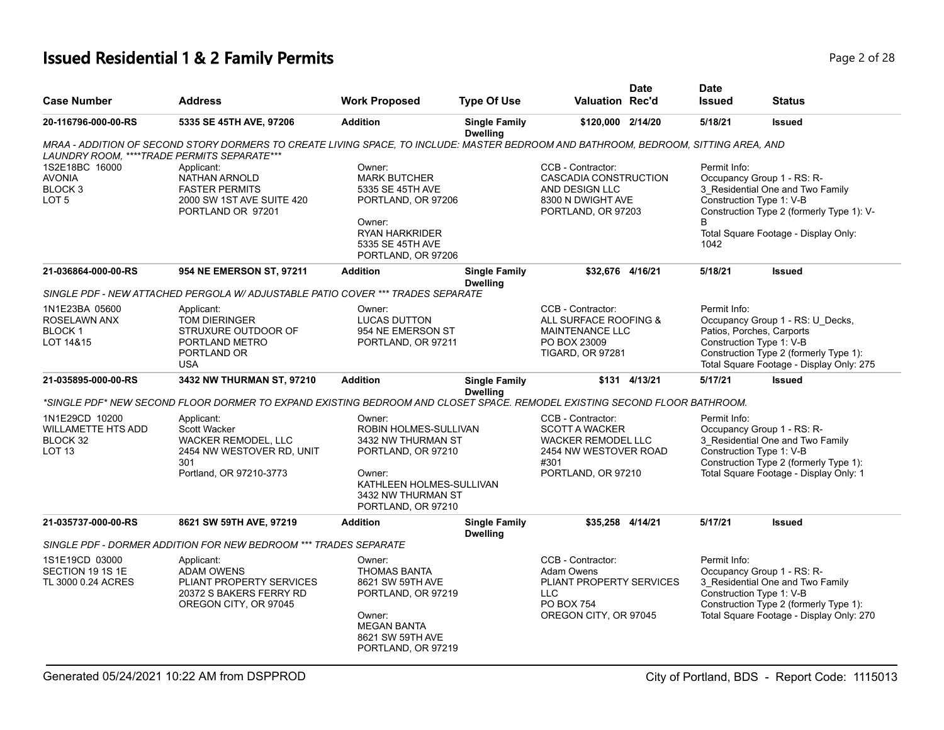# **Issued Residential 1 & 2 Family Permits Page 1 and 20 If the United States 2 of 28**

|                                                                                                                                |                                                                                                          | <b>Type Of Use</b>                                                                                         | <b>Valuation Rec'd</b>                                                                                                                                                                                                                                                                                                                  | <b>Issued</b>                                                                                                                                                                                                                                                                                                                   | <b>Status</b>                                                                                                                                                                                                                                                                                                                                                                                                 |
|--------------------------------------------------------------------------------------------------------------------------------|----------------------------------------------------------------------------------------------------------|------------------------------------------------------------------------------------------------------------|-----------------------------------------------------------------------------------------------------------------------------------------------------------------------------------------------------------------------------------------------------------------------------------------------------------------------------------------|---------------------------------------------------------------------------------------------------------------------------------------------------------------------------------------------------------------------------------------------------------------------------------------------------------------------------------|---------------------------------------------------------------------------------------------------------------------------------------------------------------------------------------------------------------------------------------------------------------------------------------------------------------------------------------------------------------------------------------------------------------|
| 5335 SE 45TH AVE, 97206                                                                                                        | <b>Addition</b>                                                                                          | <b>Single Family</b><br><b>Dwelling</b>                                                                    | \$120,000 2/14/20                                                                                                                                                                                                                                                                                                                       | 5/18/21                                                                                                                                                                                                                                                                                                                         | <b>Issued</b>                                                                                                                                                                                                                                                                                                                                                                                                 |
| LAUNDRY ROOM, ****TRADE PERMITS SEPARATE***                                                                                    |                                                                                                          |                                                                                                            |                                                                                                                                                                                                                                                                                                                                         |                                                                                                                                                                                                                                                                                                                                 |                                                                                                                                                                                                                                                                                                                                                                                                               |
| Applicant:<br>NATHAN ARNOLD<br><b>FASTER PERMITS</b><br>2000 SW 1ST AVE SUITE 420<br>PORTLAND OR 97201                         | Owner:<br><b>MARK BUTCHER</b><br>5335 SE 45TH AVE<br>Owner:<br><b>RYAN HARKRIDER</b><br>5335 SE 45TH AVE |                                                                                                            | CCB - Contractor:<br>AND DESIGN LLC                                                                                                                                                                                                                                                                                                     | Permit Info:<br>B<br>1042                                                                                                                                                                                                                                                                                                       | Occupancy Group 1 - RS: R-<br>3 Residential One and Two Family<br>Construction Type 2 (formerly Type 1): V-<br>Total Square Footage - Display Only:                                                                                                                                                                                                                                                           |
| 954 NE EMERSON ST, 97211                                                                                                       | <b>Addition</b>                                                                                          | <b>Single Family</b><br><b>Dwelling</b>                                                                    |                                                                                                                                                                                                                                                                                                                                         | 5/18/21                                                                                                                                                                                                                                                                                                                         | <b>Issued</b>                                                                                                                                                                                                                                                                                                                                                                                                 |
|                                                                                                                                |                                                                                                          |                                                                                                            |                                                                                                                                                                                                                                                                                                                                         |                                                                                                                                                                                                                                                                                                                                 |                                                                                                                                                                                                                                                                                                                                                                                                               |
| Applicant:<br>TOM DIERINGER<br>STRUXURE OUTDOOR OF<br>PORTLAND METRO<br>PORTLAND OR<br><b>USA</b>                              | Owner:<br><b>LUCAS DUTTON</b><br>954 NE EMERSON ST                                                       |                                                                                                            | CCB - Contractor:<br>PO BOX 23009<br><b>TIGARD, OR 97281</b>                                                                                                                                                                                                                                                                            | Permit Info:                                                                                                                                                                                                                                                                                                                    | Occupancy Group 1 - RS: U_Decks,<br>Construction Type 2 (formerly Type 1):<br>Total Square Footage - Display Only: 275                                                                                                                                                                                                                                                                                        |
| 3432 NW THURMAN ST, 97210                                                                                                      | <b>Addition</b>                                                                                          | <b>Single Family</b><br><b>Dwelling</b>                                                                    |                                                                                                                                                                                                                                                                                                                                         | 5/17/21                                                                                                                                                                                                                                                                                                                         | <b>Issued</b>                                                                                                                                                                                                                                                                                                                                                                                                 |
|                                                                                                                                |                                                                                                          |                                                                                                            |                                                                                                                                                                                                                                                                                                                                         |                                                                                                                                                                                                                                                                                                                                 |                                                                                                                                                                                                                                                                                                                                                                                                               |
| Applicant:<br><b>Scott Wacker</b><br><b>WACKER REMODEL, LLC</b><br>2454 NW WESTOVER RD, UNIT<br>301<br>Portland, OR 97210-3773 | Owner:<br>Owner:                                                                                         |                                                                                                            | CCB - Contractor:<br>#301                                                                                                                                                                                                                                                                                                               | Permit Info:                                                                                                                                                                                                                                                                                                                    | Occupancy Group 1 - RS: R-<br>3 Residential One and Two Family<br>Construction Type 2 (formerly Type 1):<br>Total Square Footage - Display Only: 1                                                                                                                                                                                                                                                            |
| 8621 SW 59TH AVE, 97219                                                                                                        | <b>Addition</b>                                                                                          | <b>Single Family</b>                                                                                       |                                                                                                                                                                                                                                                                                                                                         | 5/17/21                                                                                                                                                                                                                                                                                                                         | <b>Issued</b>                                                                                                                                                                                                                                                                                                                                                                                                 |
|                                                                                                                                |                                                                                                          |                                                                                                            |                                                                                                                                                                                                                                                                                                                                         |                                                                                                                                                                                                                                                                                                                                 |                                                                                                                                                                                                                                                                                                                                                                                                               |
| Applicant:<br><b>ADAM OWENS</b><br>PLIANT PROPERTY SERVICES<br>20372 S BAKERS FERRY RD<br>OREGON CITY, OR 97045                | Owner:<br><b>THOMAS BANTA</b><br>8621 SW 59TH AVE<br>Owner:<br><b>MEGAN BANTA</b>                        |                                                                                                            | CCB - Contractor:<br>Adam Owens<br><b>LLC</b><br>PO BOX 754                                                                                                                                                                                                                                                                             | Permit Info:                                                                                                                                                                                                                                                                                                                    | Occupancy Group 1 - RS: R-<br>3 Residential One and Two Family<br>Construction Type 2 (formerly Type 1):<br>Total Square Footage - Display Only: 270                                                                                                                                                                                                                                                          |
|                                                                                                                                |                                                                                                          | PORTLAND, OR 97211<br>SINGLE PDF - DORMER ADDITION FOR NEW BEDROOM *** TRADES SEPARATE<br>8621 SW 59TH AVE | PORTLAND, OR 97206<br>PORTLAND, OR 97206<br>SINGLE PDF - NEW ATTACHED PERGOLA W/ ADJUSTABLE PATIO COVER *** TRADES SEPARATE<br>ROBIN HOLMES-SULLIVAN<br>3432 NW THURMAN ST<br>PORTLAND, OR 97210<br>KATHLEEN HOLMES-SULLIVAN<br>3432 NW THURMAN ST<br>PORTLAND, OR 97210<br><b>Dwelling</b><br>PORTLAND, OR 97219<br>PORTLAND, OR 97219 | CASCADIA CONSTRUCTION<br>8300 N DWIGHT AVE<br>PORTLAND, OR 97203<br>\$32,676 4/16/21<br>ALL SURFACE ROOFING &<br>MAINTENANCE LLC<br>\$131 4/13/21<br><b>SCOTT A WACKER</b><br><b>WACKER REMODEL LLC</b><br>2454 NW WESTOVER ROAD<br>PORTLAND, OR 97210<br>\$35,258 4/14/21<br>PLIANT PROPERTY SERVICES<br>OREGON CITY, OR 97045 | MRAA - ADDITION OF SECOND STORY DORMERS TO CREATE LIVING SPACE, TO INCLUDE: MASTER BEDROOM AND BATHROOM, BEDROOM, SITTING AREA, AND<br>Construction Type 1: V-B<br>Patios, Porches, Carports<br>Construction Type 1: V-B<br>*SINGLE PDF* NEW SECOND FLOOR DORMER TO EXPAND EXISTING BEDROOM AND CLOSET SPACE. REMODEL EXISTING SECOND FLOOR BATHROOM.<br>Construction Type 1: V-B<br>Construction Type 1: V-B |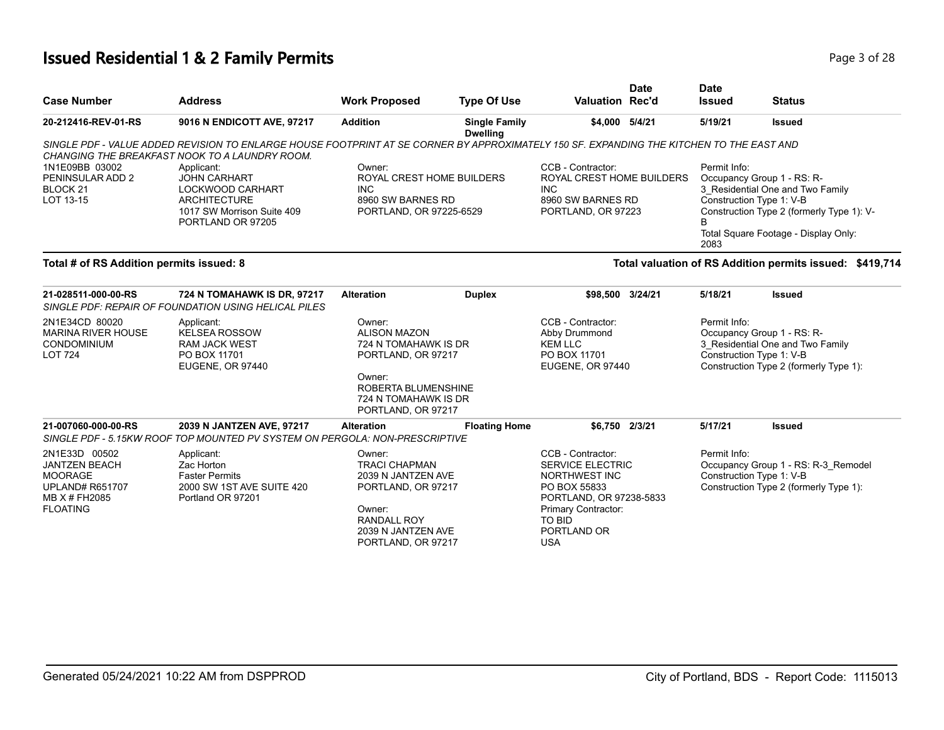# **Issued Residential 1 & 2 Family Permits Page 1 and 28 and 28 and 28 and 28 and 28 and 28 and 28 and 28 and 28 and 28 and 28 and 28 and 28 and 28 and 28 and 28 and 28 and 28 and 28 and 28 and 28 and 28 and 28 and 28 and**

| <b>Case Number</b>                                                                                 | <b>Address</b>                                                                                                                                                                             | <b>Work Proposed</b>                                                                                         | <b>Type Of Use</b>                      | <b>Valuation Rec'd</b>                                                                                   | <b>Date</b> | <b>Date</b><br><b>Issued</b> | <b>Status</b>                                                                                                                                                                   |
|----------------------------------------------------------------------------------------------------|--------------------------------------------------------------------------------------------------------------------------------------------------------------------------------------------|--------------------------------------------------------------------------------------------------------------|-----------------------------------------|----------------------------------------------------------------------------------------------------------|-------------|------------------------------|---------------------------------------------------------------------------------------------------------------------------------------------------------------------------------|
| 20-212416-REV-01-RS                                                                                | 9016 N ENDICOTT AVE, 97217                                                                                                                                                                 | <b>Addition</b>                                                                                              | <b>Single Family</b><br><b>Dwelling</b> | \$4,000 5/4/21                                                                                           |             | 5/19/21                      | <b>Issued</b>                                                                                                                                                                   |
|                                                                                                    | SINGLE PDF - VALUE ADDED REVISION TO ENLARGE HOUSE FOOTPRINT AT SE CORNER BY APPROXIMATELY 150 SF. EXPANDING THE KITCHEN TO THE EAST AND<br>CHANGING THE BREAKFAST NOOK TO A LAUNDRY ROOM. |                                                                                                              |                                         |                                                                                                          |             |                              |                                                                                                                                                                                 |
| 1N1E09BB 03002<br>PENINSULAR ADD 2<br>BLOCK <sub>21</sub><br>LOT 13-15                             | Applicant:<br><b>JOHN CARHART</b><br><b>LOCKWOOD CARHART</b><br><b>ARCHITECTURE</b><br>1017 SW Morrison Suite 409<br>PORTLAND OR 97205                                                     | Owner:<br>ROYAL CREST HOME BUILDERS<br><b>INC</b><br>8960 SW BARNES RD<br>PORTLAND, OR 97225-6529            |                                         | CCB - Contractor:<br>ROYAL CREST HOME BUILDERS<br><b>INC</b><br>8960 SW BARNES RD<br>PORTLAND, OR 97223  |             | Permit Info:<br>B<br>2083    | Occupancy Group 1 - RS: R-<br>3 Residential One and Two Family<br>Construction Type 1: V-B<br>Construction Type 2 (formerly Type 1): V-<br>Total Square Footage - Display Only: |
| Total # of RS Addition permits issued: 8                                                           |                                                                                                                                                                                            |                                                                                                              |                                         |                                                                                                          |             |                              | Total valuation of RS Addition permits issued: \$419,714                                                                                                                        |
| 21-028511-000-00-RS                                                                                | 724 N TOMAHAWK IS DR, 97217<br>SINGLE PDF: REPAIR OF FOUNDATION USING HELICAL PILES                                                                                                        | <b>Alteration</b>                                                                                            | <b>Duplex</b>                           | \$98,500 3/24/21                                                                                         |             | 5/18/21                      | <b>Issued</b>                                                                                                                                                                   |
| 2N1E34CD 80020<br><b>MARINA RIVER HOUSE</b><br><b>CONDOMINIUM</b><br><b>LOT 724</b>                | Applicant:<br><b>KELSEA ROSSOW</b><br><b>RAM JACK WEST</b><br>PO BOX 11701<br>EUGENE, OR 97440                                                                                             | Owner:<br><b>ALISON MAZON</b><br>724 N TOMAHAWK IS DR<br>PORTLAND, OR 97217<br>Owner:<br>ROBERTA BLUMENSHINE |                                         | CCB - Contractor:<br>Abby Drummond<br><b>KEM LLC</b><br>PO BOX 11701<br>EUGENE, OR 97440                 |             | Permit Info:                 | Occupancy Group 1 - RS: R-<br>3 Residential One and Two Family<br>Construction Type 1: V-B<br>Construction Type 2 (formerly Type 1):                                            |
|                                                                                                    |                                                                                                                                                                                            | 724 N TOMAHAWK IS DR<br>PORTLAND, OR 97217                                                                   |                                         |                                                                                                          |             |                              |                                                                                                                                                                                 |
| 21-007060-000-00-RS                                                                                | 2039 N JANTZEN AVE, 97217<br>SINGLE PDF - 5.15KW ROOF TOP MOUNTED PV SYSTEM ON PERGOLA: NON-PRESCRIPTIVE                                                                                   | <b>Alteration</b>                                                                                            | <b>Floating Home</b>                    | \$6,750 2/3/21                                                                                           |             | 5/17/21                      | <b>Issued</b>                                                                                                                                                                   |
| 2N1E33D 00502<br><b>JANTZEN BEACH</b><br><b>MOORAGE</b><br><b>UPLAND# R651707</b><br>MB X # FH2085 | Applicant:<br>Zac Horton<br><b>Faster Permits</b><br>2000 SW 1ST AVE SUITE 420<br>Portland OR 97201                                                                                        | Owner:<br><b>TRACI CHAPMAN</b><br>2039 N JANTZEN AVE<br>PORTLAND, OR 97217                                   |                                         | CCB - Contractor:<br><b>SERVICE ELECTRIC</b><br>NORTHWEST INC<br>PO BOX 55833<br>PORTLAND, OR 97238-5833 |             | Permit Info:                 | Occupancy Group 1 - RS: R-3_Remodel<br>Construction Type 1: V-B<br>Construction Type 2 (formerly Type 1):                                                                       |
| <b>FLOATING</b>                                                                                    |                                                                                                                                                                                            | Owner:<br><b>RANDALL ROY</b><br>2039 N JANTZEN AVE<br>PORTLAND, OR 97217                                     |                                         | Primary Contractor:<br>TO BID<br>PORTLAND OR<br><b>USA</b>                                               |             |                              |                                                                                                                                                                                 |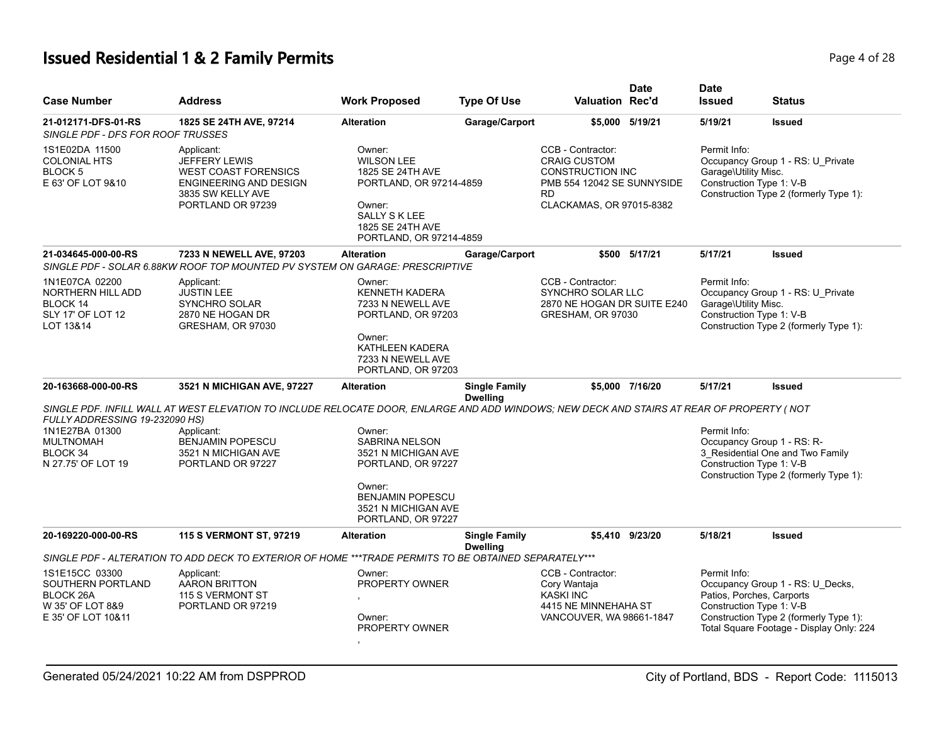# **Issued Residential 1 & 2 Family Permits Page 1 of 28 Page 4 of 28**

| <b>Case Number</b>                                                                                | <b>Address</b>                                                                                                                            | <b>Work Proposed</b>                                                                                                                                           | <b>Type Of Use</b>                      | <b>Valuation Rec'd</b>                                                                                                                     | <b>Date</b>     | <b>Date</b><br><b>Issued</b>                                           | <b>Status</b>                                                                                                          |
|---------------------------------------------------------------------------------------------------|-------------------------------------------------------------------------------------------------------------------------------------------|----------------------------------------------------------------------------------------------------------------------------------------------------------------|-----------------------------------------|--------------------------------------------------------------------------------------------------------------------------------------------|-----------------|------------------------------------------------------------------------|------------------------------------------------------------------------------------------------------------------------|
| 21-012171-DFS-01-RS<br>SINGLE PDF - DFS FOR ROOF TRUSSES                                          | 1825 SE 24TH AVE, 97214                                                                                                                   | <b>Alteration</b>                                                                                                                                              | Garage/Carport                          |                                                                                                                                            | \$5,000 5/19/21 | 5/19/21                                                                | <b>Issued</b>                                                                                                          |
| 1S1E02DA 11500<br><b>COLONIAL HTS</b><br>BLOCK 5<br>E 63' OF LOT 9&10                             | Applicant:<br><b>JEFFERY LEWIS</b><br><b>WEST COAST FORENSICS</b><br>ENGINEERING AND DESIGN<br>3835 SW KELLY AVE<br>PORTLAND OR 97239     | Owner:<br><b>WILSON LEE</b><br>1825 SE 24TH AVE<br>PORTLAND, OR 97214-4859<br>Owner:<br><b>SALLY S K LEE</b><br>1825 SE 24TH AVE<br>PORTLAND, OR 97214-4859    |                                         | CCB - Contractor:<br><b>CRAIG CUSTOM</b><br><b>CONSTRUCTION INC</b><br>PMB 554 12042 SE SUNNYSIDE<br><b>RD</b><br>CLACKAMAS, OR 97015-8382 |                 | Permit Info:<br>Garage\Utility Misc.<br>Construction Type 1: V-B       | Occupancy Group 1 - RS: U Private<br>Construction Type 2 (formerly Type 1):                                            |
| 21-034645-000-00-RS                                                                               | 7233 N NEWELL AVE, 97203<br>SINGLE PDF - SOLAR 6.88KW ROOF TOP MOUNTED PV SYSTEM ON GARAGE: PRESCRIPTIVE                                  | <b>Alteration</b>                                                                                                                                              | Garage/Carport                          |                                                                                                                                            | \$500 5/17/21   | 5/17/21                                                                | <b>Issued</b>                                                                                                          |
| 1N1E07CA 02200<br>NORTHERN HILL ADD<br><b>BLOCK 14</b><br>SLY 17' OF LOT 12<br>LOT 13&14          | Applicant:<br><b>JUSTIN LEE</b><br>SYNCHRO SOLAR<br>2870 NE HOGAN DR<br>GRESHAM, OR 97030                                                 | Owner:<br><b>KENNETH KADERA</b><br>7233 N NEWELL AVE<br>PORTLAND, OR 97203<br>Owner:<br>KATHLEEN KADERA<br>7233 N NEWELL AVE<br>PORTLAND, OR 97203             |                                         | CCB - Contractor:<br><b>SYNCHRO SOLAR LLC</b><br>2870 NE HOGAN DR SUITE E240<br>GRESHAM, OR 97030                                          |                 | Permit Info:<br>Garage\Utility Misc.<br>Construction Type 1: V-B       | Occupancy Group 1 - RS: U_Private<br>Construction Type 2 (formerly Type 1):                                            |
| 20-163668-000-00-RS                                                                               | 3521 N MICHIGAN AVE, 97227                                                                                                                | <b>Alteration</b>                                                                                                                                              | <b>Single Family</b><br><b>Dwelling</b> |                                                                                                                                            | \$5,000 7/16/20 | 5/17/21                                                                | <b>Issued</b>                                                                                                          |
| FULLY ADDRESSING 19-232090 HS)                                                                    | SINGLE PDF. INFILL WALL AT WEST ELEVATION TO INCLUDE RELOCATE DOOR, ENLARGE AND ADD WINDOWS; NEW DECK AND STAIRS AT REAR OF PROPERTY (NOT |                                                                                                                                                                |                                         |                                                                                                                                            |                 |                                                                        |                                                                                                                        |
| 1N1E27BA 01300<br><b>MULTNOMAH</b><br>BLOCK <sub>34</sub><br>N 27.75' OF LOT 19                   | Applicant:<br><b>BENJAMIN POPESCU</b><br>3521 N MICHIGAN AVE<br>PORTLAND OR 97227                                                         | Owner:<br><b>SABRINA NELSON</b><br>3521 N MICHIGAN AVE<br>PORTLAND, OR 97227<br>Owner:<br><b>BENJAMIN POPESCU</b><br>3521 N MICHIGAN AVE<br>PORTLAND, OR 97227 |                                         |                                                                                                                                            |                 | Permit Info:<br>Occupancy Group 1 - RS: R-<br>Construction Type 1: V-B | 3 Residential One and Two Family<br>Construction Type 2 (formerly Type 1):                                             |
| 20-169220-000-00-RS                                                                               | 115 S VERMONT ST, 97219                                                                                                                   | <b>Alteration</b>                                                                                                                                              | <b>Single Family</b><br><b>Dwelling</b> |                                                                                                                                            | \$5,410 9/23/20 | 5/18/21                                                                | <b>Issued</b>                                                                                                          |
|                                                                                                   | SINGLE PDF - ALTERATION TO ADD DECK TO EXTERIOR OF HOME *** TRADE PERMITS TO BE OBTAINED SEPARATELY***                                    |                                                                                                                                                                |                                         |                                                                                                                                            |                 |                                                                        |                                                                                                                        |
| 1S1E15CC 03300<br>SOUTHERN PORTLAND<br><b>BLOCK 26A</b><br>W 35' OF LOT 8&9<br>E 35' OF LOT 10&11 | Applicant:<br><b>AARON BRITTON</b><br>115 S VERMONT ST<br>PORTLAND OR 97219                                                               | Owner:<br>PROPERTY OWNER<br>Owner:<br>PROPERTY OWNER                                                                                                           |                                         | CCB - Contractor:<br>Cory Wantaja<br><b>KASKI INC</b><br>4415 NE MINNEHAHA ST<br>VANCOUVER, WA 98661-1847                                  |                 | Permit Info:<br>Patios, Porches, Carports<br>Construction Type 1: V-B  | Occupancy Group 1 - RS: U_Decks,<br>Construction Type 2 (formerly Type 1):<br>Total Square Footage - Display Only: 224 |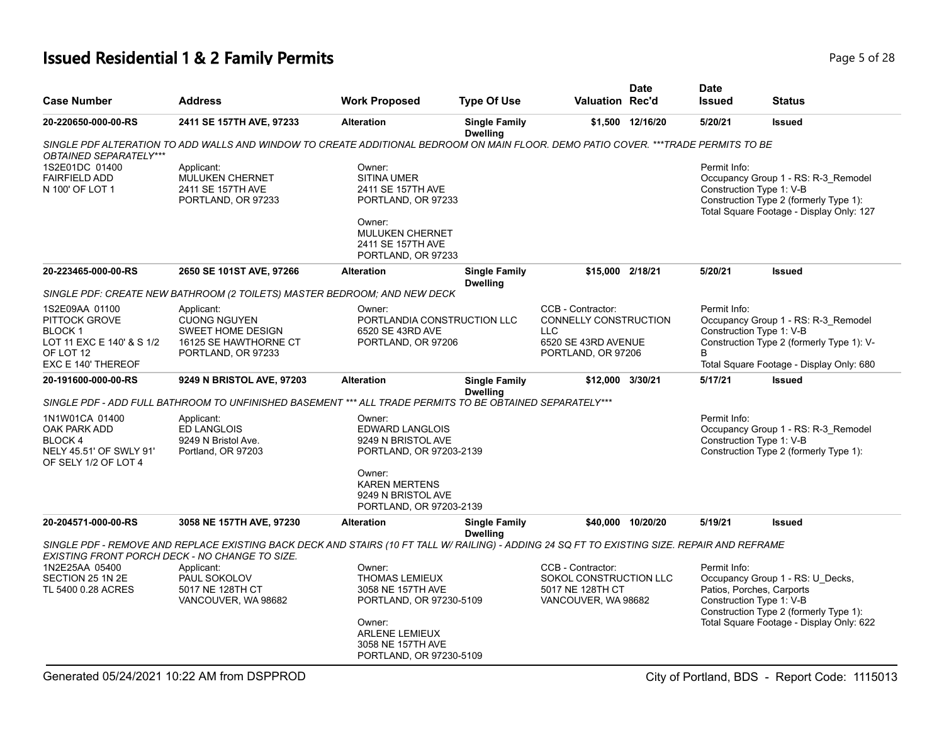# **Issued Residential 1 & 2 Family Permits Page 1 and 28 and 28 and 28 and 28 and 28 and 28 and 28 and 28 and 28 and 28 and 28 and 28 and 28 and 28 and 28 and 28 and 28 and 28 and 28 and 28 and 28 and 28 and 28 and 28 and**

| <b>Case Number</b>                                                                                               | <b>Address</b>                                                                                                                                                                                 | <b>Work Proposed</b>                                                                                                                                                 | <b>Type Of Use</b>                      | <b>Valuation Rec'd</b>                                                                                | <b>Date</b>       | <b>Date</b><br><b>Issued</b> | <b>Status</b>                                                                                                                                                                   |
|------------------------------------------------------------------------------------------------------------------|------------------------------------------------------------------------------------------------------------------------------------------------------------------------------------------------|----------------------------------------------------------------------------------------------------------------------------------------------------------------------|-----------------------------------------|-------------------------------------------------------------------------------------------------------|-------------------|------------------------------|---------------------------------------------------------------------------------------------------------------------------------------------------------------------------------|
| 20-220650-000-00-RS                                                                                              | 2411 SE 157TH AVE, 97233                                                                                                                                                                       | <b>Alteration</b>                                                                                                                                                    | <b>Single Family</b><br><b>Dwelling</b> |                                                                                                       | \$1,500 12/16/20  | 5/20/21                      | <b>Issued</b>                                                                                                                                                                   |
| OBTAINED SEPARATELY***                                                                                           | SINGLE PDF ALTERATION TO ADD WALLS AND WINDOW TO CREATE ADDITIONAL BEDROOM ON MAIN FLOOR. DEMO PATIO COVER. ***TRADE PERMITS TO BE                                                             |                                                                                                                                                                      |                                         |                                                                                                       |                   |                              |                                                                                                                                                                                 |
| 1S2E01DC 01400<br><b>FAIRFIELD ADD</b><br>N 100' OF LOT 1                                                        | Applicant:<br><b>MULUKEN CHERNET</b><br>2411 SE 157TH AVE<br>PORTLAND, OR 97233                                                                                                                | Owner:<br><b>SITINA UMER</b><br>2411 SE 157TH AVE<br>PORTLAND, OR 97233<br>Owner:<br><b>MULUKEN CHERNET</b><br>2411 SE 157TH AVE<br>PORTLAND, OR 97233               |                                         |                                                                                                       |                   | Permit Info:                 | Occupancy Group 1 - RS: R-3 Remodel<br>Construction Type 1: V-B<br>Construction Type 2 (formerly Type 1):<br>Total Square Footage - Display Only: 127                           |
| 20-223465-000-00-RS                                                                                              | 2650 SE 101ST AVE, 97266                                                                                                                                                                       | <b>Alteration</b>                                                                                                                                                    | <b>Single Family</b><br><b>Dwelling</b> | \$15,000 2/18/21                                                                                      |                   | 5/20/21                      | <b>Issued</b>                                                                                                                                                                   |
|                                                                                                                  | SINGLE PDF: CREATE NEW BATHROOM (2 TOILETS) MASTER BEDROOM; AND NEW DECK                                                                                                                       |                                                                                                                                                                      |                                         |                                                                                                       |                   |                              |                                                                                                                                                                                 |
| 1S2E09AA 01100<br>PITTOCK GROVE<br><b>BLOCK1</b><br>LOT 11 EXC E 140' & S 1/2<br>OF LOT 12<br>EXC E 140' THEREOF | Applicant:<br><b>CUONG NGUYEN</b><br><b>SWEET HOME DESIGN</b><br>16125 SE HAWTHORNE CT<br>PORTLAND, OR 97233                                                                                   | Owner:<br>PORTLANDIA CONSTRUCTION LLC<br>6520 SE 43RD AVE<br>PORTLAND, OR 97206                                                                                      |                                         | CCB - Contractor:<br>CONNELLY CONSTRUCTION<br><b>LLC</b><br>6520 SE 43RD AVENUE<br>PORTLAND, OR 97206 |                   | Permit Info:<br><sub>R</sub> | Occupancy Group 1 - RS: R-3_Remodel<br>Construction Type 1: V-B<br>Construction Type 2 (formerly Type 1): V-<br>Total Square Footage - Display Only: 680                        |
| 20-191600-000-00-RS                                                                                              | 9249 N BRISTOL AVE, 97203                                                                                                                                                                      | <b>Alteration</b>                                                                                                                                                    | <b>Single Family</b>                    | \$12,000 3/30/21                                                                                      |                   | 5/17/21                      | <b>Issued</b>                                                                                                                                                                   |
|                                                                                                                  |                                                                                                                                                                                                |                                                                                                                                                                      | <b>Dwelling</b>                         |                                                                                                       |                   |                              |                                                                                                                                                                                 |
|                                                                                                                  | SINGLE PDF - ADD FULL BATHROOM TO UNFINISHED BASEMENT *** ALL TRADE PERMITS TO BE OBTAINED SEPARATELY***                                                                                       |                                                                                                                                                                      |                                         |                                                                                                       |                   |                              |                                                                                                                                                                                 |
| 1N1W01CA 01400<br>OAK PARK ADD<br>BLOCK 4<br>NELY 45.51' OF SWLY 91'<br>OF SELY 1/2 OF LOT 4                     | Applicant:<br><b>ED LANGLOIS</b><br>9249 N Bristol Ave.<br>Portland, OR 97203                                                                                                                  | Owner:<br><b>EDWARD LANGLOIS</b><br>9249 N BRISTOL AVE<br>PORTLAND, OR 97203-2139<br>Owner:<br><b>KAREN MERTENS</b><br>9249 N BRISTOL AVE<br>PORTLAND, OR 97203-2139 |                                         |                                                                                                       |                   | Permit Info:                 | Occupancy Group 1 - RS: R-3_Remodel<br>Construction Type 1: V-B<br>Construction Type 2 (formerly Type 1):                                                                       |
| 20-204571-000-00-RS                                                                                              | 3058 NE 157TH AVE, 97230                                                                                                                                                                       | <b>Alteration</b>                                                                                                                                                    | <b>Single Family</b>                    |                                                                                                       | \$40,000 10/20/20 | 5/19/21                      | <b>Issued</b>                                                                                                                                                                   |
|                                                                                                                  | SINGLE PDF - REMOVE AND REPLACE EXISTING BACK DECK AND STAIRS (10 FT TALL W/ RAILING) - ADDING 24 SQ FT TO EXISTING SIZE. REPAIR AND REFRAME<br>EXISTING FRONT PORCH DECK - NO CHANGE TO SIZE. |                                                                                                                                                                      | <b>Dwelling</b>                         |                                                                                                       |                   |                              |                                                                                                                                                                                 |
| 1N2E25AA 05400<br>SECTION 25 1N 2E<br>TL 5400 0.28 ACRES                                                         | Applicant:<br>PAUL SOKOLOV<br>5017 NE 128TH CT<br>VANCOUVER, WA 98682                                                                                                                          | Owner:<br><b>THOMAS LEMIEUX</b><br>3058 NE 157TH AVE<br>PORTLAND, OR 97230-5109<br>Owner:<br>ARLENE LEMIEUX<br>3058 NE 157TH AVE<br>PORTLAND, OR 97230-5109          |                                         | CCB - Contractor:<br>SOKOL CONSTRUCTION LLC<br>5017 NE 128TH CT<br>VANCOUVER, WA 98682                |                   | Permit Info:                 | Occupancy Group 1 - RS: U Decks,<br>Patios, Porches, Carports<br>Construction Type 1: V-B<br>Construction Type 2 (formerly Type 1):<br>Total Square Footage - Display Only: 622 |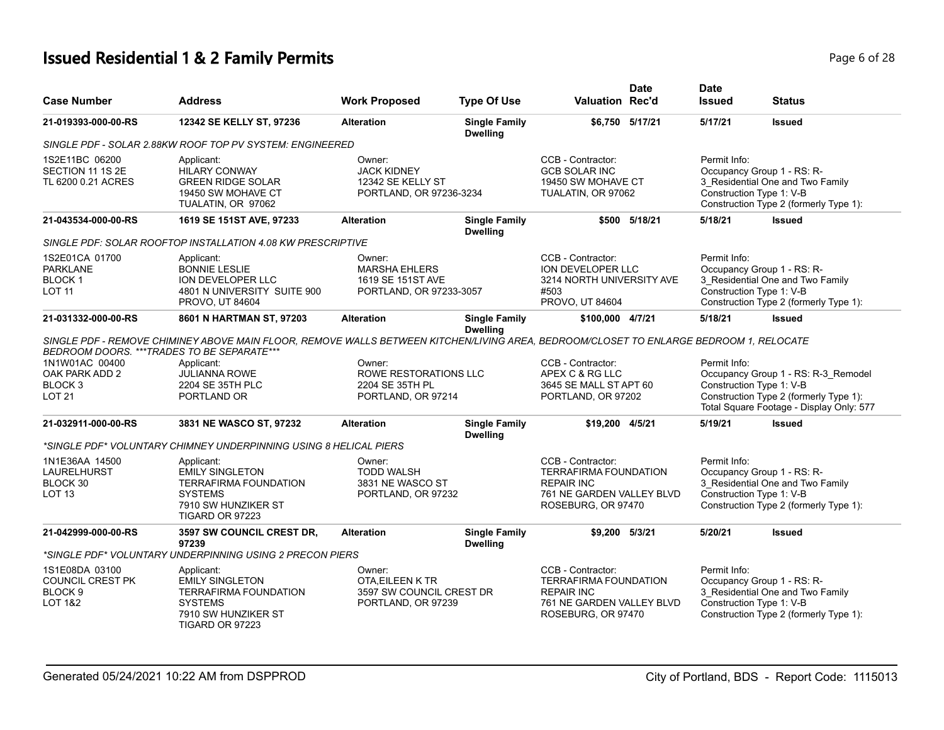# **Issued Residential 1 & 2 Family Permits**

| Page 6 of 28 |  |  |  |
|--------------|--|--|--|
|--------------|--|--|--|

| <b>Case Number</b>                                                                    | <b>Address</b>                                                                                                                                                                                                                                                 | <b>Work Proposed</b>                                                           | <b>Type Of Use</b>                      | Valuation Rec'd                                                                                                           | <b>Date</b>     | <b>Date</b><br><b>Issued</b>                                                                                                                         | <b>Status</b>                                                                                                                        |
|---------------------------------------------------------------------------------------|----------------------------------------------------------------------------------------------------------------------------------------------------------------------------------------------------------------------------------------------------------------|--------------------------------------------------------------------------------|-----------------------------------------|---------------------------------------------------------------------------------------------------------------------------|-----------------|------------------------------------------------------------------------------------------------------------------------------------------------------|--------------------------------------------------------------------------------------------------------------------------------------|
| 21-019393-000-00-RS                                                                   | 12342 SE KELLY ST, 97236                                                                                                                                                                                                                                       | <b>Alteration</b>                                                              | <b>Single Family</b><br><b>Dwelling</b> |                                                                                                                           | \$6,750 5/17/21 | 5/17/21                                                                                                                                              | <b>Issued</b>                                                                                                                        |
|                                                                                       | SINGLE PDF - SOLAR 2.88KW ROOF TOP PV SYSTEM: ENGINEERED                                                                                                                                                                                                       |                                                                                |                                         |                                                                                                                           |                 |                                                                                                                                                      |                                                                                                                                      |
| 1S2E11BC 06200<br>SECTION 11 1S 2E<br>TL 6200 0.21 ACRES                              | Applicant:<br><b>HILARY CONWAY</b><br><b>GREEN RIDGE SOLAR</b><br>19450 SW MOHAVE CT<br>TUALATIN, OR 97062                                                                                                                                                     | Owner:<br><b>JACK KIDNEY</b><br>12342 SE KELLY ST<br>PORTLAND, OR 97236-3234   |                                         | CCB - Contractor:<br><b>GCB SOLAR INC</b><br>19450 SW MOHAVE CT<br>TUALATIN, OR 97062                                     |                 | Permit Info:<br>Occupancy Group 1 - RS: R-<br>3 Residential One and Two Family<br>Construction Type 1: V-B<br>Construction Type 2 (formerly Type 1): |                                                                                                                                      |
| 21-043534-000-00-RS                                                                   | 1619 SE 151ST AVE, 97233                                                                                                                                                                                                                                       | <b>Alteration</b>                                                              | <b>Single Family</b><br><b>Dwelling</b> |                                                                                                                           | \$500 5/18/21   | 5/18/21                                                                                                                                              | <b>Issued</b>                                                                                                                        |
|                                                                                       | SINGLE PDF: SOLAR ROOFTOP INSTALLATION 4.08 KW PRESCRIPTIVE                                                                                                                                                                                                    |                                                                                |                                         |                                                                                                                           |                 |                                                                                                                                                      |                                                                                                                                      |
| 1S2E01CA 01700<br><b>PARKLANE</b><br>BLOCK <sub>1</sub><br><b>LOT 11</b>              | Applicant:<br><b>BONNIE LESLIE</b><br>ION DEVELOPER LLC<br>4801 N UNIVERSITY SUITE 900<br><b>PROVO, UT 84604</b>                                                                                                                                               | Owner:<br><b>MARSHA EHLERS</b><br>1619 SE 151ST AVE<br>PORTLAND, OR 97233-3057 |                                         | CCB - Contractor:<br>ION DEVELOPER LLC<br>3214 NORTH UNIVERSITY AVE<br>#503<br>PROVO, UT 84604                            |                 | Permit Info:                                                                                                                                         | Occupancy Group 1 - RS: R-<br>3_Residential One and Two Family<br>Construction Type 1: V-B<br>Construction Type 2 (formerly Type 1): |
| 21-031332-000-00-RS                                                                   | 8601 N HARTMAN ST, 97203                                                                                                                                                                                                                                       | <b>Alteration</b>                                                              | <b>Single Family</b><br><b>Dwelling</b> | \$100,000 4/7/21                                                                                                          |                 | 5/18/21                                                                                                                                              | <b>Issued</b>                                                                                                                        |
| 1N1W01AC 00400<br>OAK PARK ADD 2<br>BLOCK 3<br><b>LOT 21</b>                          | SINGLE PDF - REMOVE CHIMINEY ABOVE MAIN FLOOR, REMOVE WALLS BETWEEN KITCHEN/LIVING AREA, BEDROOM/CLOSET TO ENLARGE BEDROOM 1, RELOCATE<br>BEDROOM DOORS. *** TRADES TO BE SEPARATE***<br>Applicant:<br><b>JULIANNA ROWE</b><br>2204 SE 35TH PLC<br>PORTLAND OR | Owner:<br>ROWE RESTORATIONS LLC<br>2204 SE 35TH PL<br>PORTLAND, OR 97214       |                                         | CCB - Contractor:<br>APEX C & RG LLC<br>3645 SE MALL ST APT 60<br>PORTLAND, OR 97202                                      |                 | Permit Info:                                                                                                                                         | Occupancy Group 1 - RS: R-3_Remodel<br>Construction Type 1: V-B<br>Construction Type 2 (formerly Type 1):                            |
| 21-032911-000-00-RS                                                                   | 3831 NE WASCO ST, 97232                                                                                                                                                                                                                                        | <b>Alteration</b>                                                              | <b>Single Family</b>                    | \$19,200 4/5/21                                                                                                           |                 | 5/19/21                                                                                                                                              | Total Square Footage - Display Only: 577<br><b>Issued</b>                                                                            |
|                                                                                       |                                                                                                                                                                                                                                                                |                                                                                | <b>Dwelling</b>                         |                                                                                                                           |                 |                                                                                                                                                      |                                                                                                                                      |
|                                                                                       | *SINGLE PDF* VOLUNTARY CHIMNEY UNDERPINNING USING 8 HELICAL PIERS                                                                                                                                                                                              |                                                                                |                                         |                                                                                                                           |                 |                                                                                                                                                      |                                                                                                                                      |
| 1N1E36AA 14500<br>LAURELHURST<br>BLOCK 30<br>LOT <sub>13</sub>                        | Applicant:<br><b>EMILY SINGLETON</b><br><b>TERRAFIRMA FOUNDATION</b><br><b>SYSTEMS</b><br>7910 SW HUNZIKER ST<br>TIGARD OR 97223                                                                                                                               | Owner:<br><b>TODD WALSH</b><br>3831 NE WASCO ST<br>PORTLAND, OR 97232          |                                         | CCB - Contractor:<br>TERRAFIRMA FOUNDATION<br><b>REPAIR INC</b><br>761 NE GARDEN VALLEY BLVD<br>ROSEBURG, OR 97470        |                 | Permit Info:                                                                                                                                         | Occupancy Group 1 - RS: R-<br>3 Residential One and Two Family<br>Construction Type 1: V-B<br>Construction Type 2 (formerly Type 1): |
| 21-042999-000-00-RS                                                                   | 3597 SW COUNCIL CREST DR.<br>97239                                                                                                                                                                                                                             | <b>Alteration</b>                                                              | <b>Single Family</b><br><b>Dwelling</b> | \$9,200 5/3/21                                                                                                            |                 | 5/20/21                                                                                                                                              | <b>Issued</b>                                                                                                                        |
|                                                                                       | *SINGLE PDF* VOLUNTARY UNDERPINNING USING 2 PRECON PIERS                                                                                                                                                                                                       |                                                                                |                                         |                                                                                                                           |                 |                                                                                                                                                      |                                                                                                                                      |
| 1S1E08DA 03100<br><b>COUNCIL CREST PK</b><br>BLOCK <sub>9</sub><br><b>LOT 1&amp;2</b> | Applicant:<br><b>EMILY SINGLETON</b><br><b>TERRAFIRMA FOUNDATION</b><br><b>SYSTEMS</b><br>7910 SW HUNZIKER ST<br><b>TIGARD OR 97223</b>                                                                                                                        | Owner:<br>OTA, EILEEN K TR<br>3597 SW COUNCIL CREST DR<br>PORTLAND, OR 97239   |                                         | CCB - Contractor:<br><b>TERRAFIRMA FOUNDATION</b><br><b>REPAIR INC</b><br>761 NE GARDEN VALLEY BLVD<br>ROSEBURG, OR 97470 |                 | Permit Info:                                                                                                                                         | Occupancy Group 1 - RS: R-<br>3 Residential One and Two Family<br>Construction Type 1: V-B<br>Construction Type 2 (formerly Type 1): |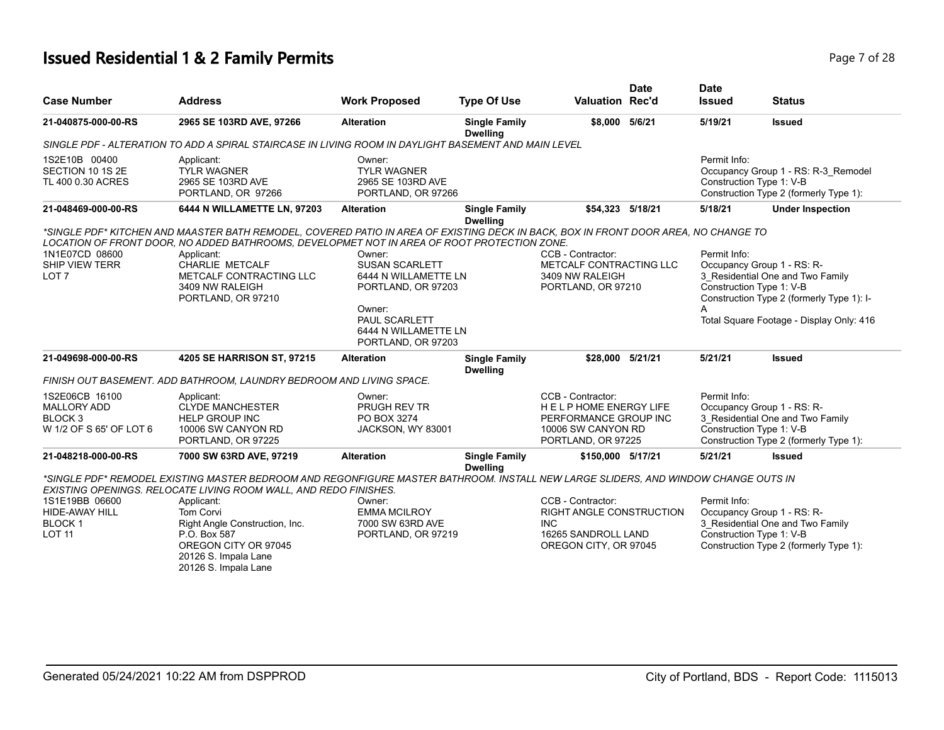# **Issued Residential 1 & 2 Family Permits Page 7 of 28 Page 7 of 28**

| <b>Case Number</b>                                                                    | <b>Address</b>                                                                                                                                                                                                                                                                                                                                              | <b>Work Proposed</b>                                                                                                                                   | <b>Type Of Use</b>                      | <b>Valuation Rec'd</b>                                                                                                | <b>Date</b> | <b>Date</b><br><b>Issued</b>                                                                                                                         | <b>Status</b>                                                                                                                                           |
|---------------------------------------------------------------------------------------|-------------------------------------------------------------------------------------------------------------------------------------------------------------------------------------------------------------------------------------------------------------------------------------------------------------------------------------------------------------|--------------------------------------------------------------------------------------------------------------------------------------------------------|-----------------------------------------|-----------------------------------------------------------------------------------------------------------------------|-------------|------------------------------------------------------------------------------------------------------------------------------------------------------|---------------------------------------------------------------------------------------------------------------------------------------------------------|
| 21-040875-000-00-RS                                                                   | 2965 SE 103RD AVE, 97266                                                                                                                                                                                                                                                                                                                                    | <b>Alteration</b>                                                                                                                                      | <b>Single Family</b><br><b>Dwelling</b> | \$8,000 5/6/21                                                                                                        |             | 5/19/21                                                                                                                                              | <b>Issued</b>                                                                                                                                           |
|                                                                                       | SINGLE PDF - ALTERATION TO ADD A SPIRAL STAIRCASE IN LIVING ROOM IN DAYLIGHT BASEMENT AND MAIN LEVEL                                                                                                                                                                                                                                                        |                                                                                                                                                        |                                         |                                                                                                                       |             |                                                                                                                                                      |                                                                                                                                                         |
| 1S2E10B 00400<br>SECTION 10 1S 2E<br>TL 400 0.30 ACRES                                | Applicant:<br><b>TYLR WAGNER</b><br>2965 SE 103RD AVE<br>PORTLAND, OR 97266                                                                                                                                                                                                                                                                                 | Owner:<br><b>TYLR WAGNER</b><br>2965 SE 103RD AVE<br>PORTLAND, OR 97266                                                                                |                                         |                                                                                                                       |             | Permit Info:<br>Construction Type 1: V-B                                                                                                             | Occupancy Group 1 - RS: R-3_Remodel<br>Construction Type 2 (formerly Type 1):                                                                           |
| 21-048469-000-00-RS                                                                   | 6444 N WILLAMETTE LN, 97203                                                                                                                                                                                                                                                                                                                                 | <b>Alteration</b>                                                                                                                                      | <b>Single Family</b><br><b>Dwelling</b> | \$54,323 5/18/21                                                                                                      |             | 5/18/21                                                                                                                                              | <b>Under Inspection</b>                                                                                                                                 |
| 1N1E07CD 08600<br>SHIP VIEW TERR<br>LOT <sub>7</sub>                                  | *SINGLE PDF* KITCHEN AND MAASTER BATH REMODEL, COVERED PATIO IN AREA OF EXISTING DECK IN BACK, BOX IN FRONT DOOR AREA, NO CHANGE TO<br>LOCATION OF FRONT DOOR. NO ADDED BATHROOMS. DEVELOPMET NOT IN AREA OF ROOT PROTECTION ZONE.<br>Applicant:<br><b>CHARLIE METCALF</b><br>METCALF CONTRACTING LLC<br>3409 NW RALEIGH<br>PORTLAND, OR 97210              | Owner:<br><b>SUSAN SCARLETT</b><br>6444 N WILLAMETTE LN<br>PORTLAND, OR 97203<br>Owner:<br>PAUL SCARLETT<br>6444 N WILLAMETTE LN<br>PORTLAND, OR 97203 |                                         | CCB - Contractor:<br>METCALF CONTRACTING LLC<br>3409 NW RALEIGH<br>PORTLAND, OR 97210                                 |             | Permit Info:<br>Construction Type 1: V-B<br>А                                                                                                        | Occupancy Group 1 - RS: R-<br>3 Residential One and Two Family<br>Construction Type 2 (formerly Type 1): I-<br>Total Square Footage - Display Only: 416 |
| 21-049698-000-00-RS                                                                   | 4205 SE HARRISON ST, 97215                                                                                                                                                                                                                                                                                                                                  | <b>Alteration</b>                                                                                                                                      | <b>Single Family</b><br><b>Dwelling</b> | \$28,000 5/21/21                                                                                                      |             | 5/21/21                                                                                                                                              | <b>Issued</b>                                                                                                                                           |
|                                                                                       | FINISH OUT BASEMENT. ADD BATHROOM, LAUNDRY BEDROOM AND LIVING SPACE.                                                                                                                                                                                                                                                                                        |                                                                                                                                                        |                                         |                                                                                                                       |             |                                                                                                                                                      |                                                                                                                                                         |
| 1S2E06CB 16100<br><b>MALLORY ADD</b><br>BLOCK <sub>3</sub><br>W 1/2 OF S 65' OF LOT 6 | Applicant:<br><b>CLYDE MANCHESTER</b><br><b>HELP GROUP INC</b><br>10006 SW CANYON RD<br>PORTLAND, OR 97225                                                                                                                                                                                                                                                  | Owner:<br>PRUGH REV TR<br>PO BOX 3274<br>JACKSON, WY 83001                                                                                             |                                         | CCB - Contractor:<br><b>HELPHOME ENERGY LIFE</b><br>PERFORMANCE GROUP INC<br>10006 SW CANYON RD<br>PORTLAND, OR 97225 |             | Permit Info:<br>Occupancy Group 1 - RS: R-<br>3 Residential One and Two Family<br>Construction Type 1: V-B<br>Construction Type 2 (formerly Type 1): |                                                                                                                                                         |
| 21-048218-000-00-RS                                                                   | 7000 SW 63RD AVE, 97219                                                                                                                                                                                                                                                                                                                                     | <b>Alteration</b>                                                                                                                                      | <b>Single Family</b><br><b>Dwelling</b> | \$150,000 5/17/21                                                                                                     |             | 5/21/21                                                                                                                                              | <b>Issued</b>                                                                                                                                           |
| 1S1E19BB 06600<br><b>HIDE-AWAY HILL</b><br><b>BLOCK1</b><br><b>LOT 11</b>             | *SINGLE PDF* REMODEL EXISTING MASTER BEDROOM AND REGONFIGURE MASTER BATHROOM. INSTALL NEW LARGE SLIDERS, AND WINDOW CHANGE OUTS IN<br>EXISTING OPENINGS. RELOCATE LIVING ROOM WALL, AND REDO FINISHES.<br>Applicant:<br>Tom Corvi<br>Right Angle Construction, Inc.<br>P.O. Box 587<br>OREGON CITY OR 97045<br>20126 S. Impala Lane<br>20126 S. Impala Lane | Owner:<br><b>EMMA MCILROY</b><br>7000 SW 63RD AVE<br>PORTLAND, OR 97219                                                                                |                                         | CCB - Contractor:<br>RIGHT ANGLE CONSTRUCTION<br><b>INC</b><br>16265 SANDROLL LAND<br>OREGON CITY, OR 97045           |             | Permit Info:<br>Construction Type 1: V-B                                                                                                             | Occupancy Group 1 - RS: R-<br>3_Residential One and Two Family<br>Construction Type 2 (formerly Type 1):                                                |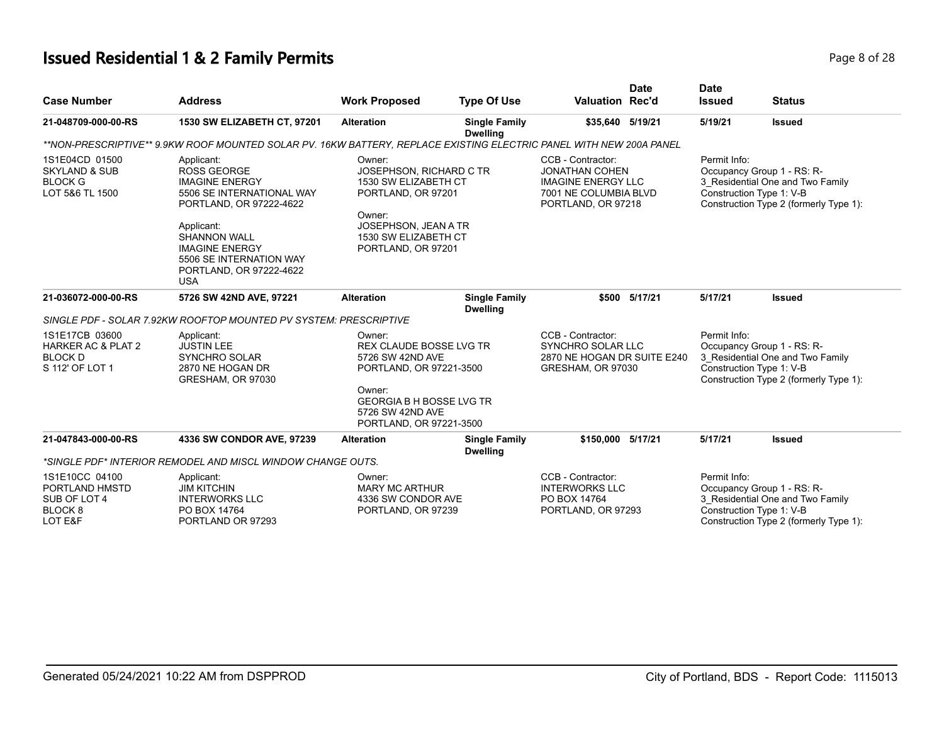# **Issued Residential 1 & 2 Family Permits**

| Page 8 of 28 |
|--------------|
|--------------|

| <b>Case Number</b>                                                                   | <b>Address</b>                                                                                                                                                                                                                                      | <b>Work Proposed</b>                                                                                                                                                                | <b>Type Of Use</b>                      | <b>Valuation Rec'd</b>                                                                                                 | <b>Date</b>   | <b>Date</b><br><b>Issued</b>                                                                                                                         | <b>Status</b>                                                                                                                        |
|--------------------------------------------------------------------------------------|-----------------------------------------------------------------------------------------------------------------------------------------------------------------------------------------------------------------------------------------------------|-------------------------------------------------------------------------------------------------------------------------------------------------------------------------------------|-----------------------------------------|------------------------------------------------------------------------------------------------------------------------|---------------|------------------------------------------------------------------------------------------------------------------------------------------------------|--------------------------------------------------------------------------------------------------------------------------------------|
| 21-048709-000-00-RS                                                                  | 1530 SW ELIZABETH CT, 97201                                                                                                                                                                                                                         | <b>Alteration</b>                                                                                                                                                                   | <b>Single Family</b><br><b>Dwelling</b> | \$35,640 5/19/21                                                                                                       |               | 5/19/21                                                                                                                                              | <b>Issued</b>                                                                                                                        |
|                                                                                      | **NON-PRESCRIPTIVE** 9.9KW ROOF MOUNTED SOLAR PV. 16KW BATTERY, REPLACE EXISTING ELECTRIC PANEL WITH NEW 200A PANEL                                                                                                                                 |                                                                                                                                                                                     |                                         |                                                                                                                        |               |                                                                                                                                                      |                                                                                                                                      |
| 1S1E04CD 01500<br><b>SKYLAND &amp; SUB</b><br><b>BLOCK G</b><br>LOT 5&6 TL 1500      | Applicant:<br><b>ROSS GEORGE</b><br><b>IMAGINE ENERGY</b><br>5506 SE INTERNATIONAL WAY<br>PORTLAND, OR 97222-4622<br>Applicant:<br><b>SHANNON WALL</b><br><b>IMAGINE ENERGY</b><br>5506 SE INTERNATION WAY<br>PORTLAND, OR 97222-4622<br><b>USA</b> | Owner:<br>JOSEPHSON, RICHARD C TR<br>1530 SW ELIZABETH CT<br>PORTLAND, OR 97201<br>Owner:<br>JOSEPHSON, JEAN A TR<br>1530 SW ELIZABETH CT<br>PORTLAND, OR 97201                     |                                         | CCB - Contractor:<br><b>JONATHAN COHEN</b><br><b>IMAGINE ENERGY LLC</b><br>7001 NE COLUMBIA BLVD<br>PORTLAND, OR 97218 |               | Permit Info:<br>Occupancy Group 1 - RS: R-<br>3_Residential One and Two Family<br>Construction Type 1: V-B<br>Construction Type 2 (formerly Type 1): |                                                                                                                                      |
| 21-036072-000-00-RS                                                                  | 5726 SW 42ND AVE, 97221                                                                                                                                                                                                                             | <b>Alteration</b>                                                                                                                                                                   | <b>Single Family</b><br><b>Dwelling</b> |                                                                                                                        | \$500 5/17/21 | 5/17/21                                                                                                                                              | <b>Issued</b>                                                                                                                        |
|                                                                                      | SINGLE PDF - SOLAR 7.92KW ROOFTOP MOUNTED PV SYSTEM: PRESCRIPTIVE                                                                                                                                                                                   |                                                                                                                                                                                     |                                         |                                                                                                                        |               |                                                                                                                                                      |                                                                                                                                      |
| 1S1E17CB 03600<br><b>HARKER AC &amp; PLAT 2</b><br><b>BLOCK D</b><br>S 112' OF LOT 1 | Applicant:<br><b>JUSTIN LEE</b><br><b>SYNCHRO SOLAR</b><br>2870 NE HOGAN DR<br>GRESHAM, OR 97030                                                                                                                                                    | Owner:<br><b>REX CLAUDE BOSSE LVG TR</b><br>5726 SW 42ND AVE<br>PORTLAND, OR 97221-3500<br>Owner:<br><b>GEORGIA B H BOSSE LVG TR</b><br>5726 SW 42ND AVE<br>PORTLAND, OR 97221-3500 |                                         | CCB - Contractor:<br><b>SYNCHRO SOLAR LLC</b><br>2870 NE HOGAN DR SUITE E240<br>GRESHAM, OR 97030                      |               | Permit Info:<br>Occupancy Group 1 - RS: R-<br>3_Residential One and Two Family<br>Construction Type 1: V-B<br>Construction Type 2 (formerly Type 1): |                                                                                                                                      |
| 21-047843-000-00-RS                                                                  | 4336 SW CONDOR AVE, 97239                                                                                                                                                                                                                           | <b>Alteration</b>                                                                                                                                                                   | <b>Single Family</b><br><b>Dwelling</b> | \$150,000 5/17/21                                                                                                      |               | 5/17/21                                                                                                                                              | <b>Issued</b>                                                                                                                        |
|                                                                                      | *SINGLE PDF* INTERIOR REMODEL AND MISCL WINDOW CHANGE OUTS.                                                                                                                                                                                         |                                                                                                                                                                                     |                                         |                                                                                                                        |               |                                                                                                                                                      |                                                                                                                                      |
| 1S1E10CC 04100<br>PORTLAND HMSTD<br>SUB OF LOT 4<br>BLOCK <sub>8</sub><br>LOT E&F    | Applicant:<br><b>JIM KITCHIN</b><br><b>INTERWORKS LLC</b><br>PO BOX 14764<br>PORTLAND OR 97293                                                                                                                                                      | Owner:<br><b>MARY MC ARTHUR</b><br>4336 SW CONDOR AVE<br>PORTLAND, OR 97239                                                                                                         |                                         | CCB - Contractor:<br><b>INTERWORKS LLC</b><br>PO BOX 14764<br>PORTLAND, OR 97293                                       |               | Permit Info:                                                                                                                                         | Occupancy Group 1 - RS: R-<br>3 Residential One and Two Family<br>Construction Type 1: V-B<br>Construction Type 2 (formerly Type 1): |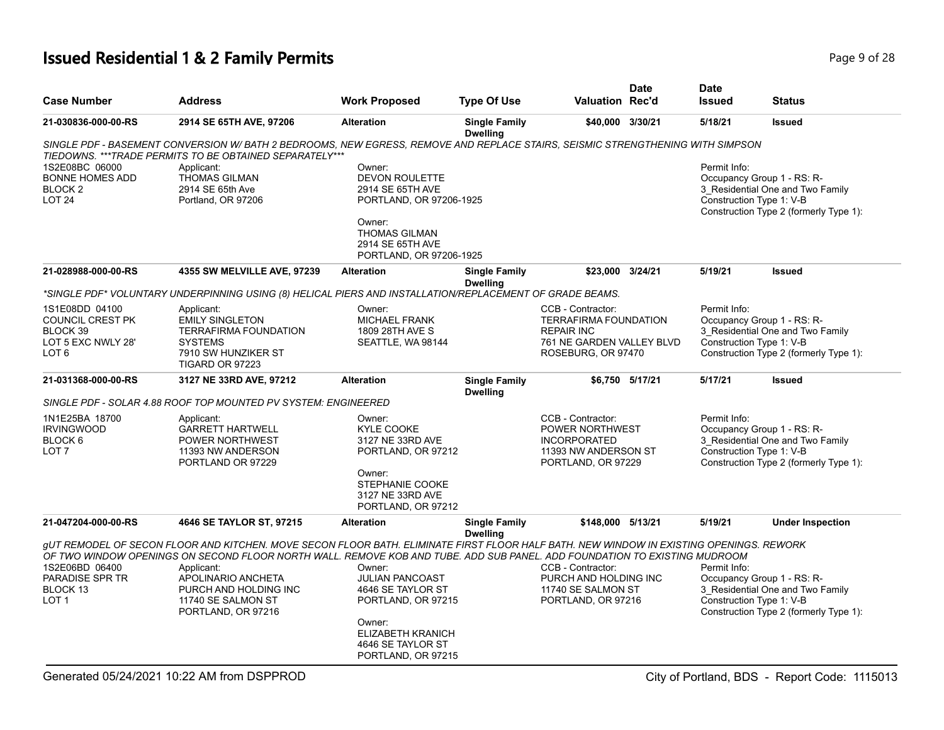# **Issued Residential 1 & 2 Family Permits Page 1 and 28 and 28 and 28 and 28 and 28 and 28 and 28 and 28 and 28 and 28 and 28 and 28 and 28 and 28 and 28 and 28 and 28 and 28 and 28 and 28 and 28 and 28 and 28 and 28 and**

| <b>Case Number</b>                                                                       | <b>Address</b>                                                                                                                                                                                                                                                                                                                                                                | <b>Work Proposed</b>                                                                                                                                  | <b>Type Of Use</b>                      | <b>Valuation Rec'd</b>                                                                                                    | <b>Date</b>     | <b>Date</b><br><b>Issued</b>                                           | <b>Status</b>                                                              |
|------------------------------------------------------------------------------------------|-------------------------------------------------------------------------------------------------------------------------------------------------------------------------------------------------------------------------------------------------------------------------------------------------------------------------------------------------------------------------------|-------------------------------------------------------------------------------------------------------------------------------------------------------|-----------------------------------------|---------------------------------------------------------------------------------------------------------------------------|-----------------|------------------------------------------------------------------------|----------------------------------------------------------------------------|
| 21-030836-000-00-RS                                                                      | 2914 SE 65TH AVE, 97206                                                                                                                                                                                                                                                                                                                                                       | <b>Alteration</b>                                                                                                                                     | <b>Single Family</b><br><b>Dwelling</b> | \$40,000 3/30/21                                                                                                          |                 | 5/18/21                                                                | <b>Issued</b>                                                              |
|                                                                                          | SINGLE PDF - BASEMENT CONVERSION W/ BATH 2 BEDROOMS, NEW EGRESS, REMOVE AND REPLACE STAIRS, SEISMIC STRENGTHENING WITH SIMPSON<br>TIEDOWNS. *** TRADE PERMITS TO BE OBTAINED SEPARATELY***                                                                                                                                                                                    |                                                                                                                                                       |                                         |                                                                                                                           |                 |                                                                        |                                                                            |
| 1S2E08BC 06000<br><b>BONNE HOMES ADD</b><br>BLOCK <sub>2</sub><br>LOT <sub>24</sub>      | Applicant:<br><b>THOMAS GILMAN</b><br>2914 SE 65th Ave<br>Portland, OR 97206                                                                                                                                                                                                                                                                                                  | Owner:<br><b>DEVON ROULETTE</b><br>2914 SE 65TH AVE<br>PORTLAND, OR 97206-1925<br>Owner:                                                              |                                         |                                                                                                                           |                 | Permit Info:<br>Occupancy Group 1 - RS: R-<br>Construction Type 1: V-B | 3 Residential One and Two Family<br>Construction Type 2 (formerly Type 1): |
|                                                                                          |                                                                                                                                                                                                                                                                                                                                                                               | <b>THOMAS GILMAN</b><br>2914 SE 65TH AVE<br>PORTLAND, OR 97206-1925                                                                                   |                                         |                                                                                                                           |                 |                                                                        |                                                                            |
| 21-028988-000-00-RS                                                                      | <b>4355 SW MELVILLE AVE, 97239</b>                                                                                                                                                                                                                                                                                                                                            | <b>Alteration</b>                                                                                                                                     | <b>Single Family</b><br><b>Dwelling</b> | \$23,000 3/24/21                                                                                                          |                 | 5/19/21                                                                | <b>Issued</b>                                                              |
|                                                                                          | *SINGLE PDF* VOLUNTARY UNDERPINNING USING (8) HELICAL PIERS AND INSTALLATION/REPLACEMENT OF GRADE BEAMS.                                                                                                                                                                                                                                                                      |                                                                                                                                                       |                                         |                                                                                                                           |                 |                                                                        |                                                                            |
| 1S1E08DD 04100<br>COUNCIL CREST PK<br>BLOCK 39<br>LOT 5 EXC NWLY 28'<br>LOT <sub>6</sub> | Applicant:<br><b>EMILY SINGLETON</b><br><b>TERRAFIRMA FOUNDATION</b><br><b>SYSTEMS</b><br>7910 SW HUNZIKER ST<br>TIGARD OR 97223                                                                                                                                                                                                                                              | Owner:<br><b>MICHAEL FRANK</b><br>1809 28TH AVE S<br>SEATTLE, WA 98144                                                                                |                                         | CCB - Contractor:<br><b>TERRAFIRMA FOUNDATION</b><br><b>REPAIR INC</b><br>761 NE GARDEN VALLEY BLVD<br>ROSEBURG, OR 97470 |                 | Permit Info:<br>Occupancy Group 1 - RS: R-<br>Construction Type 1: V-B | 3 Residential One and Two Family<br>Construction Type 2 (formerly Type 1): |
| 21-031368-000-00-RS                                                                      | 3127 NE 33RD AVE, 97212                                                                                                                                                                                                                                                                                                                                                       | <b>Alteration</b>                                                                                                                                     | <b>Single Family</b><br><b>Dwelling</b> |                                                                                                                           | \$6,750 5/17/21 | 5/17/21                                                                | <b>Issued</b>                                                              |
|                                                                                          | SINGLE PDF - SOLAR 4.88 ROOF TOP MOUNTED PV SYSTEM: ENGINEERED                                                                                                                                                                                                                                                                                                                |                                                                                                                                                       |                                         |                                                                                                                           |                 |                                                                        |                                                                            |
| 1N1E25BA 18700<br><b>IRVINGWOOD</b><br>BLOCK 6<br>LOT <sub>7</sub>                       | Applicant:<br><b>GARRETT HARTWELL</b><br>POWER NORTHWEST<br>11393 NW ANDERSON<br>PORTLAND OR 97229                                                                                                                                                                                                                                                                            | Owner:<br><b>KYLE COOKE</b><br>3127 NE 33RD AVE<br>PORTLAND, OR 97212<br>Owner:<br>STEPHANIE COOKE<br>3127 NE 33RD AVE<br>PORTLAND, OR 97212          |                                         | CCB - Contractor:<br>POWER NORTHWEST<br><b>INCORPORATED</b><br>11393 NW ANDERSON ST<br>PORTLAND, OR 97229                 |                 | Permit Info:<br>Occupancy Group 1 - RS: R-<br>Construction Type 1: V-B | 3 Residential One and Two Family<br>Construction Type 2 (formerly Type 1): |
| 21-047204-000-00-RS                                                                      | 4646 SE TAYLOR ST, 97215                                                                                                                                                                                                                                                                                                                                                      | <b>Alteration</b>                                                                                                                                     | <b>Single Family</b><br><b>Dwelling</b> | \$148,000 5/13/21                                                                                                         |                 | 5/19/21                                                                | <b>Under Inspection</b>                                                    |
| 1S2E06BD 06400<br>PARADISE SPR TR<br>BLOCK 13<br>LOT 1                                   | GUT REMODEL OF SECON FLOOR AND KITCHEN. MOVE SECON FLOOR BATH. ELIMINATE FIRST FLOOR HALF BATH. NEW WINDOW IN EXISTING OPENINGS. REWORK<br>OF TWO WINDOW OPENINGS ON SECOND FLOOR NORTH WALL. REMOVE KOB AND TUBE. ADD SUB PANEL. ADD FOUNDATION TO EXISTING MUDROOM<br>Applicant:<br>APOLINARIO ANCHETA<br>PURCH AND HOLDING INC<br>11740 SE SALMON ST<br>PORTLAND, OR 97216 | Owner:<br><b>JULIAN PANCOAST</b><br>4646 SE TAYLOR ST<br>PORTLAND, OR 97215<br>Owner:<br>ELIZABETH KRANICH<br>4646 SE TAYLOR ST<br>PORTLAND, OR 97215 |                                         | CCB - Contractor:<br>PURCH AND HOLDING INC<br>11740 SE SALMON ST<br>PORTLAND, OR 97216                                    |                 | Permit Info:<br>Occupancy Group 1 - RS: R-<br>Construction Type 1: V-B | 3_Residential One and Two Family<br>Construction Type 2 (formerly Type 1): |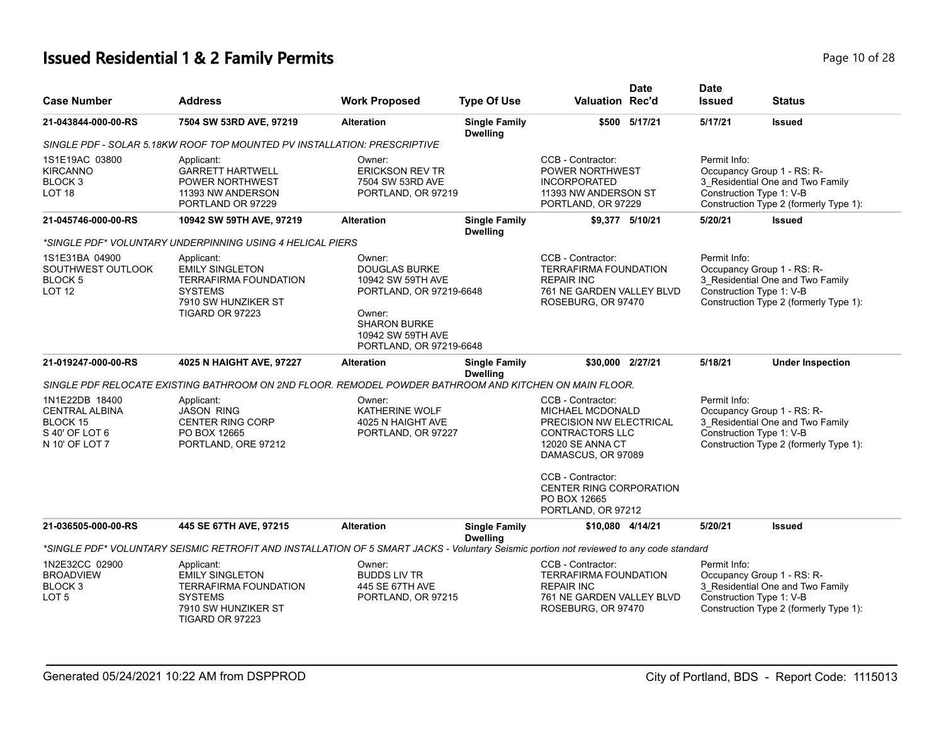# **Issued Residential 1 & 2 Family Permits Page 10 of 28 Page 10 of 28**

| <b>Case Number</b>                                                                      | <b>Address</b>                                                                                                                          | <b>Work Proposed</b>                                                                                                                                            | <b>Type Of Use</b>                                                                                        | <b>Valuation Rec'd</b>                                                                                                                                                                               | Date                                                                                                                                                 | <b>Date</b><br><b>Issued</b>                                                                                                                         | <b>Status</b>                                                                                            |
|-----------------------------------------------------------------------------------------|-----------------------------------------------------------------------------------------------------------------------------------------|-----------------------------------------------------------------------------------------------------------------------------------------------------------------|-----------------------------------------------------------------------------------------------------------|------------------------------------------------------------------------------------------------------------------------------------------------------------------------------------------------------|------------------------------------------------------------------------------------------------------------------------------------------------------|------------------------------------------------------------------------------------------------------------------------------------------------------|----------------------------------------------------------------------------------------------------------|
| 21-043844-000-00-RS                                                                     | 7504 SW 53RD AVE, 97219                                                                                                                 | <b>Alteration</b>                                                                                                                                               | <b>Single Family</b><br><b>Dwelling</b>                                                                   |                                                                                                                                                                                                      | \$500 5/17/21                                                                                                                                        | 5/17/21                                                                                                                                              | <b>Issued</b>                                                                                            |
|                                                                                         | SINGLE PDF - SOLAR 5.18KW ROOF TOP MOUNTED PV INSTALLATION: PRESCRIPTIVE                                                                |                                                                                                                                                                 |                                                                                                           |                                                                                                                                                                                                      |                                                                                                                                                      |                                                                                                                                                      |                                                                                                          |
| 1S1E19AC 03800<br><b>KIRCANNO</b><br>BLOCK <sub>3</sub><br>LOT <sub>18</sub>            | Applicant:<br><b>GARRETT HARTWELL</b><br><b>POWER NORTHWEST</b><br>11393 NW ANDERSON<br>PORTLAND OR 97229                               | Owner:<br><b>ERICKSON REV TR</b><br>7504 SW 53RD AVE<br>PORTLAND, OR 97219                                                                                      | CCB - Contractor:<br>POWER NORTHWEST<br><b>INCORPORATED</b><br>11393 NW ANDERSON ST<br>PORTLAND, OR 97229 |                                                                                                                                                                                                      | Permit Info:<br>Occupancy Group 1 - RS: R-<br>3 Residential One and Two Family<br>Construction Type 1: V-B<br>Construction Type 2 (formerly Type 1): |                                                                                                                                                      |                                                                                                          |
| 21-045746-000-00-RS                                                                     | 10942 SW 59TH AVE, 97219                                                                                                                | <b>Alteration</b>                                                                                                                                               | <b>Single Family</b><br><b>Dwelling</b>                                                                   |                                                                                                                                                                                                      | \$9,377 5/10/21                                                                                                                                      | 5/20/21                                                                                                                                              | <b>Issued</b>                                                                                            |
|                                                                                         | *SINGLE PDF* VOLUNTARY UNDERPINNING USING 4 HELICAL PIERS                                                                               |                                                                                                                                                                 |                                                                                                           |                                                                                                                                                                                                      |                                                                                                                                                      |                                                                                                                                                      |                                                                                                          |
| 1S1E31BA 04900<br>SOUTHWEST OUTLOOK<br><b>BLOCK 5</b><br><b>LOT 12</b>                  | Applicant:<br><b>EMILY SINGLETON</b><br><b>TERRAFIRMA FOUNDATION</b><br><b>SYSTEMS</b><br>7910 SW HUNZIKER ST<br><b>TIGARD OR 97223</b> | Owner:<br><b>DOUGLAS BURKE</b><br>10942 SW 59TH AVE<br>PORTLAND, OR 97219-6648<br>Owner:<br><b>SHARON BURKE</b><br>10942 SW 59TH AVE<br>PORTLAND, OR 97219-6648 |                                                                                                           | CCB - Contractor:<br><b>TERRAFIRMA FOUNDATION</b><br><b>REPAIR INC</b><br>761 NE GARDEN VALLEY BLVD<br>ROSEBURG, OR 97470                                                                            |                                                                                                                                                      | Permit Info:<br>Construction Type 1: V-B                                                                                                             | Occupancy Group 1 - RS: R-<br>3_Residential One and Two Family<br>Construction Type 2 (formerly Type 1): |
| 21-019247-000-00-RS                                                                     | 4025 N HAIGHT AVE, 97227                                                                                                                | <b>Alteration</b>                                                                                                                                               | <b>Single Family</b><br><b>Dwelling</b>                                                                   | \$30,000 2/27/21                                                                                                                                                                                     |                                                                                                                                                      | 5/18/21                                                                                                                                              | <b>Under Inspection</b>                                                                                  |
|                                                                                         | SINGLE PDF RELOCATE EXISTING BATHROOM ON 2ND FLOOR. REMODEL POWDER BATHROOM AND KITCHEN ON MAIN FLOOR.                                  |                                                                                                                                                                 |                                                                                                           |                                                                                                                                                                                                      |                                                                                                                                                      |                                                                                                                                                      |                                                                                                          |
| 1N1E22DB 18400<br><b>CENTRAL ALBINA</b><br>BLOCK 15<br>S 40' OF LOT 6<br>N 10' OF LOT 7 | Applicant:<br><b>JASON RING</b><br><b>CENTER RING CORP</b><br>PO BOX 12665<br>PORTLAND, ORE 97212                                       | Owner:<br>KATHERINE WOLF<br>4025 N HAIGHT AVE<br>PORTLAND, OR 97227                                                                                             |                                                                                                           | CCB - Contractor:<br>MICHAEL MCDONALD<br>PRECISION NW ELECTRICAL<br><b>CONTRACTORS LLC</b><br>12020 SE ANNA CT<br>DAMASCUS, OR 97089<br>CCB - Contractor:<br>CENTER RING CORPORATION<br>PO BOX 12665 |                                                                                                                                                      | Permit Info:<br>Occupancy Group 1 - RS: R-<br>3 Residential One and Two Family<br>Construction Type 1: V-B<br>Construction Type 2 (formerly Type 1): |                                                                                                          |
| 21-036505-000-00-RS                                                                     | 445 SE 67TH AVE, 97215                                                                                                                  | <b>Alteration</b>                                                                                                                                               | <b>Single Family</b><br><b>Dwelling</b>                                                                   | PORTLAND, OR 97212<br>\$10,080 4/14/21                                                                                                                                                               |                                                                                                                                                      | 5/20/21                                                                                                                                              | <b>Issued</b>                                                                                            |
|                                                                                         | *SINGLE PDF* VOLUNTARY SEISMIC RETROFIT AND INSTALLATION OF 5 SMART JACKS - Voluntary Seismic portion not reviewed to any code standard |                                                                                                                                                                 |                                                                                                           |                                                                                                                                                                                                      |                                                                                                                                                      |                                                                                                                                                      |                                                                                                          |
| 1N2E32CC 02900<br><b>BROADVIEW</b><br>BLOCK 3<br>LOT <sub>5</sub>                       | Applicant:<br><b>EMILY SINGLETON</b><br><b>TERRAFIRMA FOUNDATION</b><br><b>SYSTEMS</b><br>7910 SW HUNZIKER ST<br>TIGARD OR 97223        | Owner:<br><b>BUDDS LIV TR</b><br>445 SE 67TH AVE<br>PORTLAND, OR 97215                                                                                          |                                                                                                           | CCB - Contractor:<br><b>TERRAFIRMA FOUNDATION</b><br><b>REPAIR INC</b><br>761 NE GARDEN VALLEY BLVD<br>ROSEBURG, OR 97470                                                                            |                                                                                                                                                      | Permit Info:<br>Construction Type 1: V-B                                                                                                             | Occupancy Group 1 - RS: R-<br>3_Residential One and Two Family<br>Construction Type 2 (formerly Type 1): |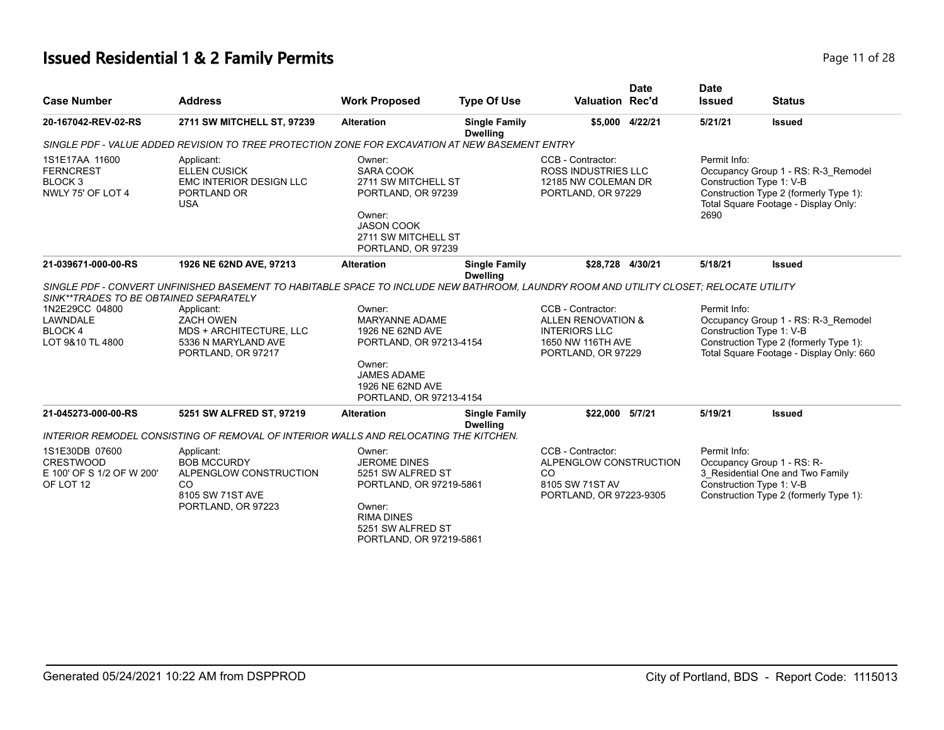# **Issued Residential 1 & 2 Family Permits Page 11 of 28 Page 11 of 28**

| <b>Case Number</b>                                                            | <b>Address</b>                                                                                                                         | <b>Work Proposed</b>                                                                                                                                          | <b>Type Of Use</b>                      | <b>Valuation Rec'd</b>                                                                                     | <b>Date</b>     | <b>Date</b><br><b>Issued</b> | <b>Status</b>                                                                                                                                         |
|-------------------------------------------------------------------------------|----------------------------------------------------------------------------------------------------------------------------------------|---------------------------------------------------------------------------------------------------------------------------------------------------------------|-----------------------------------------|------------------------------------------------------------------------------------------------------------|-----------------|------------------------------|-------------------------------------------------------------------------------------------------------------------------------------------------------|
| 20-167042-REV-02-RS                                                           | 2711 SW MITCHELL ST, 97239                                                                                                             | <b>Alteration</b>                                                                                                                                             | <b>Single Family</b><br><b>Dwelling</b> |                                                                                                            | \$5,000 4/22/21 | 5/21/21                      | <b>Issued</b>                                                                                                                                         |
|                                                                               | SINGLE PDF - VALUE ADDED REVISION TO TREE PROTECTION ZONE FOR EXCAVATION AT NEW BASEMENT ENTRY                                         |                                                                                                                                                               |                                         |                                                                                                            |                 |                              |                                                                                                                                                       |
| 1S1E17AA 11600<br><b>FERNCREST</b><br>BLOCK <sub>3</sub><br>NWLY 75' OF LOT 4 | Applicant:<br><b>ELLEN CUSICK</b><br><b>EMC INTERIOR DESIGN LLC</b><br>PORTLAND OR<br><b>USA</b>                                       | Owner:<br><b>SARA COOK</b><br>2711 SW MITCHELL ST<br>PORTLAND, OR 97239<br>Owner:<br><b>JASON COOK</b><br>2711 SW MITCHELL ST<br>PORTLAND, OR 97239           |                                         | CCB - Contractor:<br><b>ROSS INDUSTRIES LLC</b><br>12185 NW COLEMAN DR<br>PORTLAND, OR 97229               |                 | Permit Info:<br>2690         | Occupancy Group 1 - RS: R-3 Remodel<br>Construction Type 1: V-B<br>Construction Type 2 (formerly Type 1):<br>Total Square Footage - Display Only:     |
| 21-039671-000-00-RS                                                           | 1926 NE 62ND AVE, 97213                                                                                                                | <b>Alteration</b>                                                                                                                                             | <b>Single Family</b><br><b>Dwelling</b> | \$28,728 4/30/21                                                                                           |                 | 5/18/21                      | <b>Issued</b>                                                                                                                                         |
| SINK**TRADES TO BE OBTAINED SEPARATELY                                        | SINGLE PDF - CONVERT UNFINISHED BASEMENT TO HABITABLE SPACE TO INCLUDE NEW BATHROOM, LAUNDRY ROOM AND UTILITY CLOSET; RELOCATE UTILITY |                                                                                                                                                               |                                         |                                                                                                            |                 |                              |                                                                                                                                                       |
| 1N2E29CC 04800<br>LAWNDALE<br><b>BLOCK4</b><br>LOT 9&10 TL 4800               | Applicant:<br><b>ZACH OWEN</b><br>MDS + ARCHITECTURE, LLC<br>5336 N MARYLAND AVE<br>PORTLAND, OR 97217                                 | Owner:<br><b>MARYANNE ADAME</b><br>1926 NE 62ND AVE<br>PORTLAND, OR 97213-4154<br>Owner:<br><b>JAMES ADAME</b><br>1926 NE 62ND AVE<br>PORTLAND, OR 97213-4154 |                                         | CCB - Contractor:<br>ALLEN RENOVATION &<br><b>INTERIORS LLC</b><br>1650 NW 116TH AVE<br>PORTLAND, OR 97229 |                 | Permit Info:                 | Occupancy Group 1 - RS: R-3_Remodel<br>Construction Type 1: V-B<br>Construction Type 2 (formerly Type 1):<br>Total Square Footage - Display Only: 660 |
| 21-045273-000-00-RS                                                           | 5251 SW ALFRED ST, 97219                                                                                                               | <b>Alteration</b>                                                                                                                                             | <b>Single Family</b><br><b>Dwelling</b> | \$22,000 5/7/21                                                                                            |                 | 5/19/21                      | <b>Issued</b>                                                                                                                                         |
|                                                                               | INTERIOR REMODEL CONSISTING OF REMOVAL OF INTERIOR WALLS AND RELOCATING THE KITCHEN.                                                   |                                                                                                                                                               |                                         |                                                                                                            |                 |                              |                                                                                                                                                       |
| 1S1E30DB 07600<br><b>CRESTWOOD</b><br>E 100' OF S 1/2 OF W 200'<br>OF LOT 12  | Applicant:<br><b>BOB MCCURDY</b><br>ALPENGLOW CONSTRUCTION<br><sub>CO</sub><br>8105 SW 71ST AVE<br>PORTLAND, OR 97223                  | Owner:<br><b>JEROME DINES</b><br>5251 SW ALFRED ST<br>PORTLAND, OR 97219-5861<br>Owner:<br><b>RIMA DINES</b><br>5251 SW ALFRED ST<br>PORTLAND, OR 97219-5861  |                                         | CCB - Contractor:<br>ALPENGLOW CONSTRUCTION<br><sub>CO</sub><br>8105 SW 71ST AV<br>PORTLAND, OR 97223-9305 |                 | Permit Info:                 | Occupancy Group 1 - RS: R-<br>3 Residential One and Two Family<br>Construction Type 1: V-B<br>Construction Type 2 (formerly Type 1):                  |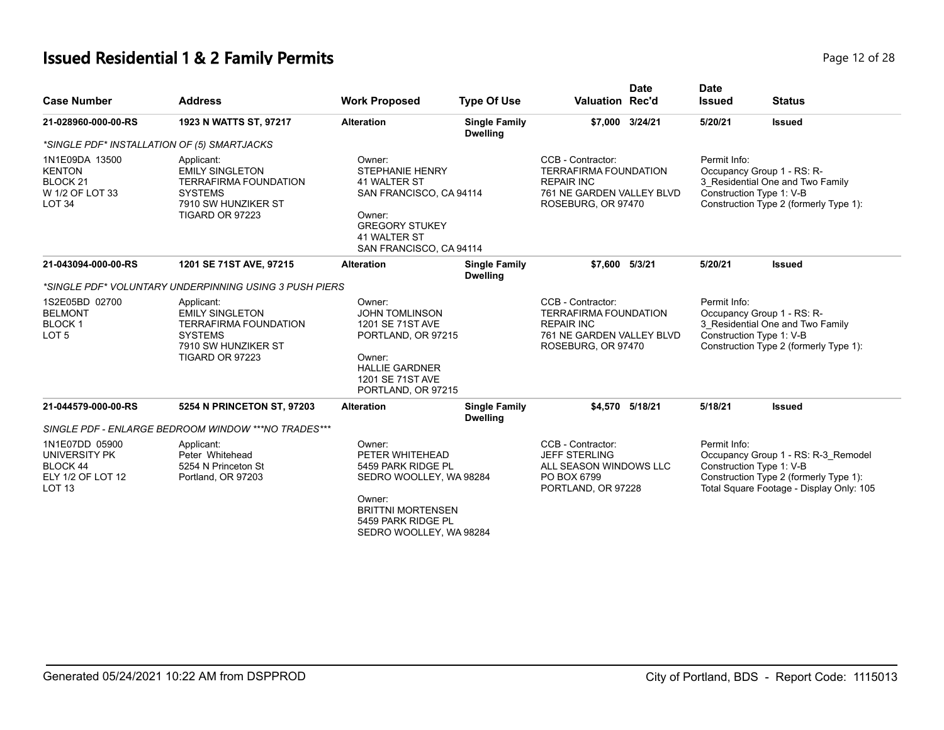# **Issued Residential 1 & 2 Family Permits Page 12 of 28 Page 12 of 28**

| <b>Case Number</b>                                                                             | <b>Address</b>                                                                                                                   | <b>Work Proposed</b>                                                                                                                                              | <b>Type Of Use</b>                      | <b>Valuation Rec'd</b>                                                                                                                                                                              | <b>Date</b> | <b>Date</b><br><b>Issued</b>                                               | <b>Status</b>                                                                                                                                         |
|------------------------------------------------------------------------------------------------|----------------------------------------------------------------------------------------------------------------------------------|-------------------------------------------------------------------------------------------------------------------------------------------------------------------|-----------------------------------------|-----------------------------------------------------------------------------------------------------------------------------------------------------------------------------------------------------|-------------|----------------------------------------------------------------------------|-------------------------------------------------------------------------------------------------------------------------------------------------------|
| 21-028960-000-00-RS                                                                            | 1923 N WATTS ST, 97217                                                                                                           | <b>Alteration</b>                                                                                                                                                 | <b>Single Family</b><br><b>Dwelling</b> | \$7,000 3/24/21                                                                                                                                                                                     |             | 5/20/21                                                                    | <b>Issued</b>                                                                                                                                         |
|                                                                                                | *SINGLE PDF* INSTALLATION OF (5) SMARTJACKS                                                                                      |                                                                                                                                                                   |                                         |                                                                                                                                                                                                     |             |                                                                            |                                                                                                                                                       |
| 1N1E09DA 13500<br><b>KENTON</b><br>BLOCK <sub>21</sub><br>W 1/2 OF LOT 33<br>LOT <sub>34</sub> | Applicant:<br><b>EMILY SINGLETON</b><br><b>TERRAFIRMA FOUNDATION</b><br><b>SYSTEMS</b><br>7910 SW HUNZIKER ST<br>TIGARD OR 97223 | Owner:<br><b>STEPHANIE HENRY</b><br>41 WALTER ST<br>SAN FRANCISCO, CA 94114<br>Owner:<br><b>GREGORY STUKEY</b><br>41 WALTER ST<br>SAN FRANCISCO, CA 94114         |                                         | CCB - Contractor:<br><b>TERRAFIRMA FOUNDATION</b><br><b>REPAIR INC</b><br>761 NE GARDEN VALLEY BLVD<br>ROSEBURG, OR 97470                                                                           |             | Permit Info:                                                               | Occupancy Group 1 - RS: R-<br>3_Residential One and Two Family<br>Construction Type 1: V-B<br>Construction Type 2 (formerly Type 1):                  |
| 21-043094-000-00-RS                                                                            | 1201 SE 71ST AVE, 97215                                                                                                          | <b>Alteration</b>                                                                                                                                                 | <b>Single Family</b><br><b>Dwelling</b> | \$7.600 5/3/21                                                                                                                                                                                      |             | 5/20/21                                                                    | <b>Issued</b>                                                                                                                                         |
|                                                                                                | *SINGLE PDF* VOLUNTARY UNDERPINNING USING 3 PUSH PIERS                                                                           |                                                                                                                                                                   |                                         |                                                                                                                                                                                                     |             |                                                                            |                                                                                                                                                       |
| 1S2E05BD 02700<br><b>BELMONT</b><br><b>BLOCK1</b><br>LOT <sub>5</sub>                          | Applicant:<br><b>EMILY SINGLETON</b><br><b>TERRAFIRMA FOUNDATION</b><br><b>SYSTEMS</b><br>7910 SW HUNZIKER ST<br>TIGARD OR 97223 | Owner:<br><b>JOHN TOMLINSON</b><br>1201 SE 71ST AVE<br>PORTLAND, OR 97215<br>Owner:<br><b>HALLIE GARDNER</b><br>1201 SE 71ST AVE<br>PORTLAND, OR 97215            |                                         | Permit Info:<br>CCB - Contractor:<br><b>TERRAFIRMA FOUNDATION</b><br>Occupancy Group 1 - RS: R-<br><b>REPAIR INC</b><br>Construction Type 1: V-B<br>761 NE GARDEN VALLEY BLVD<br>ROSEBURG, OR 97470 |             | 3 Residential One and Two Family<br>Construction Type 2 (formerly Type 1): |                                                                                                                                                       |
| 21-044579-000-00-RS                                                                            | 5254 N PRINCETON ST, 97203                                                                                                       | <b>Alteration</b>                                                                                                                                                 | <b>Single Family</b><br><b>Dwelling</b> | \$4,570 5/18/21                                                                                                                                                                                     |             | 5/18/21                                                                    | <b>Issued</b>                                                                                                                                         |
|                                                                                                | SINGLE PDF - ENLARGE BEDROOM WINDOW ***NO TRADES***                                                                              |                                                                                                                                                                   |                                         |                                                                                                                                                                                                     |             |                                                                            |                                                                                                                                                       |
| 1N1E07DD 05900<br>UNIVERSITY PK<br><b>BLOCK 44</b><br>ELY 1/2 OF LOT 12<br><b>LOT 13</b>       | Applicant:<br>Peter Whitehead<br>5254 N Princeton St<br>Portland, OR 97203                                                       | Owner:<br>PETER WHITEHEAD<br>5459 PARK RIDGE PL<br>SEDRO WOOLLEY, WA 98284<br>Owner:<br><b>BRITTNI MORTENSEN</b><br>5459 PARK RIDGE PL<br>SEDRO WOOLLEY, WA 98284 |                                         | CCB - Contractor:<br><b>JEFF STERLING</b><br>ALL SEASON WINDOWS LLC<br>PO BOX 6799<br>PORTLAND, OR 97228                                                                                            |             | Permit Info:                                                               | Occupancy Group 1 - RS: R-3 Remodel<br>Construction Type 1: V-B<br>Construction Type 2 (formerly Type 1):<br>Total Square Footage - Display Only: 105 |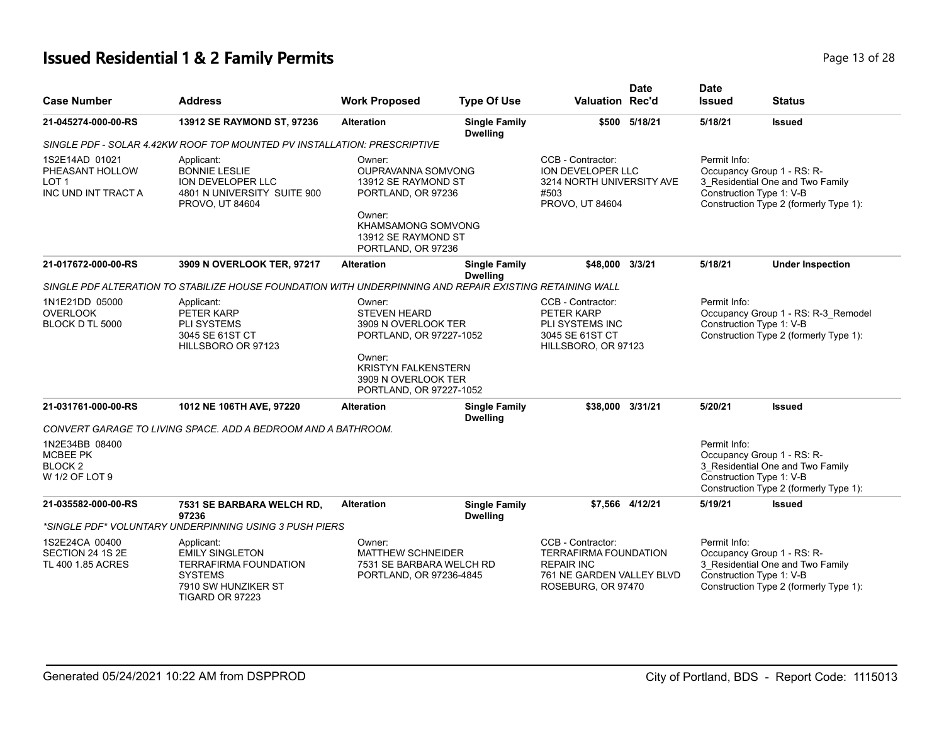# **Issued Residential 1 & 2 Family Permits Page 13 of 28 Page 13 of 28**

| <b>Case Number</b>                                                   | <b>Address</b>                                                                                                                   | <b>Work Proposed</b>                                                                                                                                                      | <b>Type Of Use</b>                      | <b>Valuation Rec'd</b>                                                                                                    | <b>Date</b>   | <b>Date</b><br><b>Issued</b>             | Status                                                                                                   |
|----------------------------------------------------------------------|----------------------------------------------------------------------------------------------------------------------------------|---------------------------------------------------------------------------------------------------------------------------------------------------------------------------|-----------------------------------------|---------------------------------------------------------------------------------------------------------------------------|---------------|------------------------------------------|----------------------------------------------------------------------------------------------------------|
| 21-045274-000-00-RS                                                  | 13912 SE RAYMOND ST, 97236                                                                                                       | <b>Alteration</b>                                                                                                                                                         | <b>Single Family</b><br><b>Dwelling</b> |                                                                                                                           | \$500 5/18/21 | 5/18/21                                  | <b>Issued</b>                                                                                            |
|                                                                      | SINGLE PDF - SOLAR 4.42KW ROOF TOP MOUNTED PV INSTALLATION: PRESCRIPTIVE                                                         |                                                                                                                                                                           |                                         |                                                                                                                           |               |                                          |                                                                                                          |
| 1S2E14AD 01021<br>PHEASANT HOLLOW<br>LOT 1<br>INC UND INT TRACT A    | Applicant:<br><b>BONNIE LESLIE</b><br>ION DEVELOPER LLC<br>4801 N UNIVERSITY SUITE 900<br>PROVO, UT 84604                        | Owner:<br><b>OUPRAVANNA SOMVONG</b><br>13912 SE RAYMOND ST<br>PORTLAND, OR 97236<br>Owner:<br>KHAMSAMONG SOMVONG<br>13912 SE RAYMOND ST<br>PORTLAND, OR 97236             |                                         | CCB - Contractor:<br>ION DEVELOPER LLC<br>3214 NORTH UNIVERSITY AVE<br>#503<br>PROVO, UT 84604                            |               | Permit Info:<br>Construction Type 1: V-B | Occupancy Group 1 - RS: R-<br>3_Residential One and Two Family<br>Construction Type 2 (formerly Type 1): |
| 21-017672-000-00-RS                                                  | 3909 N OVERLOOK TER, 97217                                                                                                       | <b>Alteration</b>                                                                                                                                                         | <b>Single Family</b><br><b>Dwelling</b> | \$48,000 3/3/21                                                                                                           |               | 5/18/21                                  | <b>Under Inspection</b>                                                                                  |
|                                                                      | SINGLE PDF ALTERATION TO STABILIZE HOUSE FOUNDATION WITH UNDERPINNING AND REPAIR EXISTING RETAINING WALL                         |                                                                                                                                                                           |                                         |                                                                                                                           |               |                                          |                                                                                                          |
| 1N1E21DD 05000<br><b>OVERLOOK</b><br>BLOCK D TL 5000                 | Applicant:<br>PETER KARP<br>PLI SYSTEMS<br>3045 SE 61ST CT<br>HILLSBORO OR 97123                                                 | Owner:<br><b>STEVEN HEARD</b><br>3909 N OVERLOOK TER<br>PORTLAND, OR 97227-1052<br>Owner:<br><b>KRISTYN FALKENSTERN</b><br>3909 N OVERLOOK TER<br>PORTLAND, OR 97227-1052 |                                         | CCB - Contractor:<br><b>PETER KARP</b><br>PLI SYSTEMS INC<br>3045 SE 61ST CT<br>HILLSBORO, OR 97123                       |               | Permit Info:<br>Construction Type 1: V-B | Occupancy Group 1 - RS: R-3_Remodel<br>Construction Type 2 (formerly Type 1):                            |
| 21-031761-000-00-RS                                                  | 1012 NE 106TH AVE, 97220                                                                                                         | <b>Alteration</b>                                                                                                                                                         | <b>Single Family</b><br><b>Dwelling</b> | \$38,000 3/31/21                                                                                                          |               | 5/20/21                                  | <b>Issued</b>                                                                                            |
|                                                                      | CONVERT GARAGE TO LIVING SPACE. ADD A BEDROOM AND A BATHROOM.                                                                    |                                                                                                                                                                           |                                         |                                                                                                                           |               |                                          |                                                                                                          |
| 1N2E34BB 08400<br><b>MCBEE PK</b><br><b>BLOCK2</b><br>W 1/2 OF LOT 9 |                                                                                                                                  |                                                                                                                                                                           |                                         |                                                                                                                           |               | Permit Info:<br>Construction Type 1: V-B | Occupancy Group 1 - RS: R-<br>3 Residential One and Two Family<br>Construction Type 2 (formerly Type 1): |
| 21-035582-000-00-RS                                                  | 7531 SE BARBARA WELCH RD,<br>97236                                                                                               | <b>Alteration</b>                                                                                                                                                         | <b>Single Family</b><br><b>Dwelling</b> | \$7,566 4/12/21                                                                                                           |               | 5/19/21                                  | <b>Issued</b>                                                                                            |
|                                                                      | *SINGLE PDF* VOLUNTARY UNDERPINNING USING 3 PUSH PIERS                                                                           |                                                                                                                                                                           |                                         |                                                                                                                           |               |                                          |                                                                                                          |
| 1S2E24CA 00400<br>SECTION 24 1S 2E<br>TL 400 1.85 ACRES              | Applicant:<br><b>EMILY SINGLETON</b><br><b>TERRAFIRMA FOUNDATION</b><br><b>SYSTEMS</b><br>7910 SW HUNZIKER ST<br>TIGARD OR 97223 | Owner:<br><b>MATTHEW SCHNEIDER</b><br>7531 SE BARBARA WELCH RD<br>PORTLAND, OR 97236-4845                                                                                 |                                         | CCB - Contractor:<br><b>TERRAFIRMA FOUNDATION</b><br><b>REPAIR INC</b><br>761 NE GARDEN VALLEY BLVD<br>ROSEBURG, OR 97470 |               | Permit Info:<br>Construction Type 1: V-B | Occupancy Group 1 - RS: R-<br>3 Residential One and Two Family<br>Construction Type 2 (formerly Type 1): |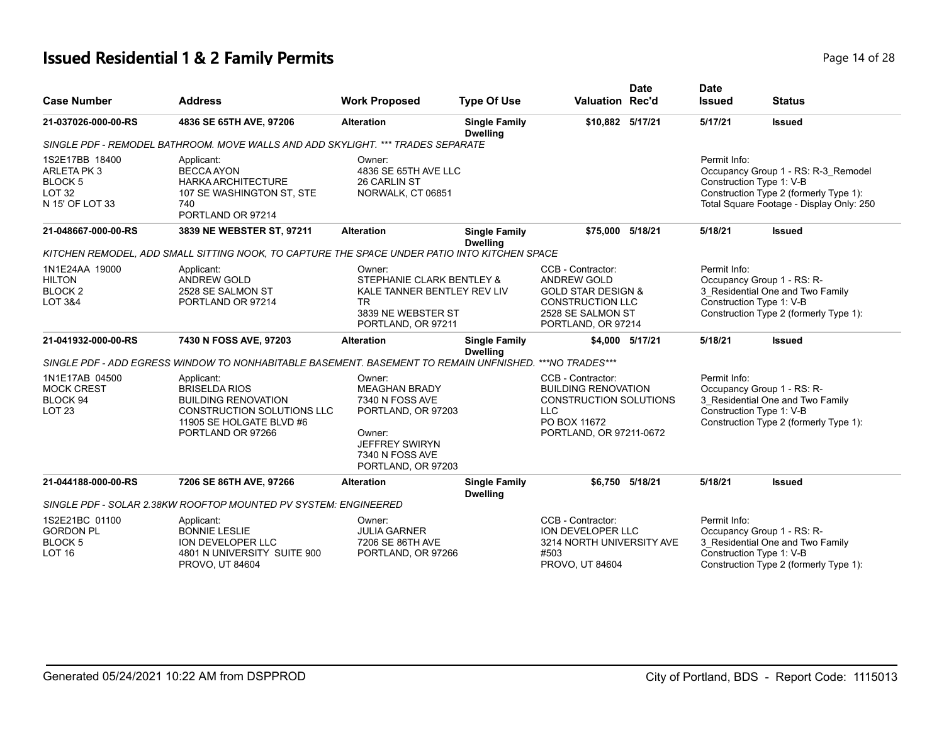# **Issued Residential 1 & 2 Family Permits**

| Page 14 of 28 |  |
|---------------|--|
|---------------|--|

| <b>Case Number</b>                                                          | <b>Address</b>                                                                                                                                         | <b>Work Proposed</b>                                                                                                                                | <b>Type Of Use</b>                      | <b>Valuation Rec'd</b>                                                                                                                         | <b>Date</b>     | <b>Date</b><br><b>Issued</b>                                                                                                                         | <b>Status</b>                                                                                                             |
|-----------------------------------------------------------------------------|--------------------------------------------------------------------------------------------------------------------------------------------------------|-----------------------------------------------------------------------------------------------------------------------------------------------------|-----------------------------------------|------------------------------------------------------------------------------------------------------------------------------------------------|-----------------|------------------------------------------------------------------------------------------------------------------------------------------------------|---------------------------------------------------------------------------------------------------------------------------|
| 21-037026-000-00-RS                                                         | 4836 SE 65TH AVE, 97206                                                                                                                                | <b>Alteration</b>                                                                                                                                   | <b>Single Family</b><br><b>Dwelling</b> | \$10,882 5/17/21                                                                                                                               |                 | 5/17/21                                                                                                                                              | <b>Issued</b>                                                                                                             |
|                                                                             | SINGLE PDF - REMODEL BATHROOM. MOVE WALLS AND ADD SKYLIGHT. *** TRADES SEPARATE                                                                        |                                                                                                                                                     |                                         |                                                                                                                                                |                 |                                                                                                                                                      |                                                                                                                           |
| 1S2E17BB 18400<br>ARLETA PK3<br>BLOCK 5<br><b>LOT 32</b><br>N 15' OF LOT 33 | Applicant:<br><b>BECCA AYON</b><br><b>HARKA ARCHITECTURE</b><br>107 SE WASHINGTON ST, STE<br>740<br>PORTLAND OR 97214                                  | Owner:<br>4836 SE 65TH AVE LLC<br>26 CARLIN ST<br>NORWALK, CT 06851                                                                                 |                                         |                                                                                                                                                |                 | Permit Info:<br>Construction Type 1: V-B                                                                                                             | Occupancy Group 1 - RS: R-3_Remodel<br>Construction Type 2 (formerly Type 1):<br>Total Square Footage - Display Only: 250 |
| 21-048667-000-00-RS                                                         | 3839 NE WEBSTER ST, 97211                                                                                                                              | <b>Alteration</b>                                                                                                                                   | <b>Single Family</b><br><b>Dwelling</b> | \$75,000 5/18/21                                                                                                                               |                 | 5/18/21                                                                                                                                              | <b>Issued</b>                                                                                                             |
|                                                                             | KITCHEN REMODEL, ADD SMALL SITTING NOOK, TO CAPTURE THE SPACE UNDER PATIO INTO KITCHEN SPACE                                                           |                                                                                                                                                     |                                         |                                                                                                                                                |                 |                                                                                                                                                      |                                                                                                                           |
| 1N1E24AA 19000<br><b>HILTON</b><br>BLOCK <sub>2</sub><br>LOT 3&4            | Applicant:<br><b>ANDREW GOLD</b><br>2528 SE SALMON ST<br>PORTLAND OR 97214                                                                             | Owner:<br>STEPHANIE CLARK BENTLEY &<br>KALE TANNER BENTLEY REV LIV<br><b>TR</b><br>3839 NE WEBSTER ST<br>PORTLAND, OR 97211                         |                                         | CCB - Contractor:<br><b>ANDREW GOLD</b><br><b>GOLD STAR DESIGN &amp;</b><br><b>CONSTRUCTION LLC</b><br>2528 SE SALMON ST<br>PORTLAND, OR 97214 |                 | Permit Info:<br>Occupancy Group 1 - RS: R-<br>3 Residential One and Two Family<br>Construction Type 1: V-B<br>Construction Type 2 (formerly Type 1): |                                                                                                                           |
| 21-041932-000-00-RS                                                         | 7430 N FOSS AVE, 97203                                                                                                                                 | <b>Alteration</b>                                                                                                                                   | <b>Single Family</b><br><b>Dwelling</b> |                                                                                                                                                | \$4,000 5/17/21 | 5/18/21                                                                                                                                              | <b>Issued</b>                                                                                                             |
|                                                                             | SINGLE PDF - ADD EGRESS WINDOW TO NONHABITABLE BASEMENT. BASEMENT TO REMAIN UNFNISHED. *** NO TRADES***                                                |                                                                                                                                                     |                                         |                                                                                                                                                |                 |                                                                                                                                                      |                                                                                                                           |
| 1N1E17AB 04500<br><b>MOCK CREST</b><br><b>BLOCK 94</b><br><b>LOT 23</b>     | Applicant:<br><b>BRISELDA RIOS</b><br><b>BUILDING RENOVATION</b><br><b>CONSTRUCTION SOLUTIONS LLC</b><br>11905 SE HOLGATE BLVD #6<br>PORTLAND OR 97266 | Owner:<br><b>MEAGHAN BRADY</b><br>7340 N FOSS AVE<br>PORTLAND, OR 97203<br>Owner:<br><b>JEFFREY SWIRYN</b><br>7340 N FOSS AVE<br>PORTLAND, OR 97203 |                                         | CCB - Contractor:<br><b>BUILDING RENOVATION</b><br>CONSTRUCTION SOLUTIONS<br><b>LLC</b><br>PO BOX 11672<br>PORTLAND, OR 97211-0672             |                 | Permit Info:<br>Construction Type 1: V-B                                                                                                             | Occupancy Group 1 - RS: R-<br>3 Residential One and Two Family<br>Construction Type 2 (formerly Type 1):                  |
| 21-044188-000-00-RS                                                         | 7206 SE 86TH AVE, 97266                                                                                                                                | <b>Alteration</b>                                                                                                                                   | <b>Single Family</b><br><b>Dwelling</b> |                                                                                                                                                | \$6.750 5/18/21 | 5/18/21                                                                                                                                              | <b>Issued</b>                                                                                                             |
|                                                                             | SINGLE PDF - SOLAR 2.38KW ROOFTOP MOUNTED PV SYSTEM: ENGINEERED                                                                                        |                                                                                                                                                     |                                         |                                                                                                                                                |                 |                                                                                                                                                      |                                                                                                                           |
| 1S2E21BC 01100<br><b>GORDON PL</b><br><b>BLOCK 5</b><br><b>LOT 16</b>       | Applicant:<br><b>BONNIE LESLIE</b><br><b>ION DEVELOPER LLC</b><br>4801 N UNIVERSITY SUITE 900<br>PROVO, UT 84604                                       | Owner:<br><b>JULIA GARNER</b><br>7206 SE 86TH AVE<br>PORTLAND, OR 97266                                                                             |                                         | CCB - Contractor:<br>ION DEVELOPER LLC<br>3214 NORTH UNIVERSITY AVE<br>#503<br>PROVO, UT 84604                                                 |                 | Permit Info:<br>Construction Type 1: V-B                                                                                                             | Occupancy Group 1 - RS: R-<br>3 Residential One and Two Family<br>Construction Type 2 (formerly Type 1):                  |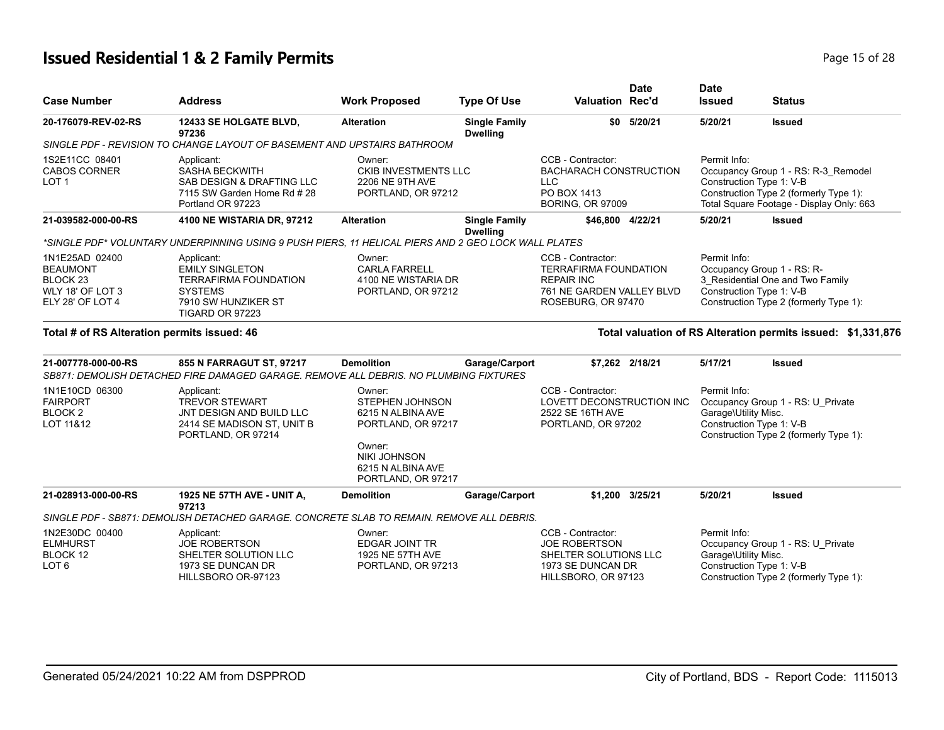# **Issued Residential 1 & 2 Family Permits** Page 15 of 28 of 28 of 28 of 28 of 28 of 28 of 28 of 28 of 28 of 28 of 28 of 28 of 28 of 28 of 28 of 28 of 28 of 28 of 28 of 28 of 28 of 28 of 28 of 28 of 28 of 28 of 28 of 28 of 2

| Page 15 of 28 |  |  |
|---------------|--|--|
|               |  |  |

| <b>Case Number</b>                                                                    | <b>Address</b>                                                                                                                   | <b>Work Proposed</b>                                                                                                                                    | <b>Type Of Use</b>                      | <b>Date</b><br><b>Valuation Rec'd</b>                                                                                     | <b>Date</b><br><b>Issued</b>                                           | <b>Status</b>                                                                                                             |
|---------------------------------------------------------------------------------------|----------------------------------------------------------------------------------------------------------------------------------|---------------------------------------------------------------------------------------------------------------------------------------------------------|-----------------------------------------|---------------------------------------------------------------------------------------------------------------------------|------------------------------------------------------------------------|---------------------------------------------------------------------------------------------------------------------------|
| 20-176079-REV-02-RS                                                                   | 12433 SE HOLGATE BLVD,<br>97236                                                                                                  | <b>Alteration</b>                                                                                                                                       | <b>Single Family</b><br><b>Dwelling</b> | \$0 5/20/21                                                                                                               | 5/20/21                                                                | <b>Issued</b>                                                                                                             |
|                                                                                       | SINGLE PDF - REVISION TO CHANGE LAYOUT OF BASEMENT AND UPSTAIRS BATHROOM                                                         |                                                                                                                                                         |                                         |                                                                                                                           |                                                                        |                                                                                                                           |
| 1S2E11CC 08401<br><b>CABOS CORNER</b><br>LOT <sub>1</sub>                             | Applicant:<br><b>SASHA BECKWITH</b><br>SAB DESIGN & DRAFTING LLC<br>7115 SW Garden Home Rd #28<br>Portland OR 97223              | Owner:<br><b>CKIB INVESTMENTS LLC</b><br>2206 NE 9TH AVE<br>PORTLAND, OR 97212                                                                          |                                         | CCB - Contractor:<br><b>BACHARACH CONSTRUCTION</b><br><b>LLC</b><br>PO BOX 1413<br><b>BORING, OR 97009</b>                | Permit Info:<br>Construction Type 1: V-B                               | Occupancy Group 1 - RS: R-3_Remodel<br>Construction Type 2 (formerly Type 1):<br>Total Square Footage - Display Only: 663 |
| 21-039582-000-00-RS                                                                   | 4100 NE WISTARIA DR, 97212                                                                                                       | <b>Alteration</b>                                                                                                                                       | <b>Single Family</b><br><b>Dwelling</b> | \$46.800 4/22/21                                                                                                          | 5/20/21                                                                | <b>Issued</b>                                                                                                             |
|                                                                                       | *SINGLE PDF* VOLUNTARY UNDERPINNING USING 9 PUSH PIERS, 11 HELICAL PIERS AND 2 GEO LOCK WALL PLATES                              |                                                                                                                                                         |                                         |                                                                                                                           |                                                                        |                                                                                                                           |
| 1N1E25AD 02400<br><b>BEAUMONT</b><br>BLOCK 23<br>WLY 18' OF LOT 3<br>ELY 28' OF LOT 4 | Applicant:<br><b>EMILY SINGLETON</b><br><b>TERRAFIRMA FOUNDATION</b><br><b>SYSTEMS</b><br>7910 SW HUNZIKER ST<br>TIGARD OR 97223 | Owner:<br><b>CARLA FARRELL</b><br>4100 NE WISTARIA DR<br>PORTLAND, OR 97212                                                                             |                                         | CCB - Contractor:<br><b>TERRAFIRMA FOUNDATION</b><br><b>REPAIR INC</b><br>761 NE GARDEN VALLEY BLVD<br>ROSEBURG, OR 97470 | Permit Info:<br>Occupancy Group 1 - RS: R-<br>Construction Type 1: V-B | 3 Residential One and Two Family<br>Construction Type 2 (formerly Type 1):                                                |
| Total # of RS Alteration permits issued: 46                                           |                                                                                                                                  |                                                                                                                                                         |                                         |                                                                                                                           |                                                                        | Total valuation of RS Alteration permits issued: \$1,331,876                                                              |
| 21-007778-000-00-RS                                                                   | 855 N FARRAGUT ST, 97217<br>SB871: DEMOLISH DETACHED FIRE DAMAGED GARAGE. REMOVE ALL DEBRIS, NO PLUMBING FIXTURES                | <b>Demolition</b>                                                                                                                                       | Garage/Carport                          | \$7,262 2/18/21                                                                                                           | 5/17/21                                                                | <b>Issued</b>                                                                                                             |
| 1N1E10CD 06300<br><b>FAIRPORT</b><br>BLOCK <sub>2</sub><br>LOT 11&12                  | Applicant:<br><b>TREVOR STEWART</b><br>JNT DESIGN AND BUILD LLC<br>2414 SE MADISON ST, UNIT B<br>PORTLAND, OR 97214              | Owner:<br><b>STEPHEN JOHNSON</b><br>6215 N ALBINA AVE<br>PORTLAND, OR 97217<br>Owner:<br><b>NIKI JOHNSON</b><br>6215 N ALBINA AVE<br>PORTLAND, OR 97217 |                                         | CCB - Contractor:<br>LOVETT DECONSTRUCTION INC<br>2522 SE 16TH AVE<br>PORTLAND, OR 97202                                  | Permit Info:<br>Garage\Utility Misc.<br>Construction Type 1: V-B       | Occupancy Group 1 - RS: U_Private<br>Construction Type 2 (formerly Type 1):                                               |
| 21-028913-000-00-RS                                                                   | 1925 NE 57TH AVE - UNIT A,<br>97213                                                                                              | <b>Demolition</b>                                                                                                                                       | Garage/Carport                          | \$1.200 3/25/21                                                                                                           | 5/20/21                                                                | <b>Issued</b>                                                                                                             |
|                                                                                       | SINGLE PDF - SB871: DEMOLISH DETACHED GARAGE. CONCRETE SLAB TO REMAIN. REMOVE ALL DEBRIS.                                        |                                                                                                                                                         |                                         |                                                                                                                           |                                                                        |                                                                                                                           |
| 1N2E30DC 00400<br><b>ELMHURST</b><br>BLOCK 12<br>LOT <sub>6</sub>                     | Applicant:<br><b>JOE ROBERTSON</b><br>SHELTER SOLUTION LLC<br>1973 SE DUNCAN DR<br>HILLSBORO OR-97123                            | Owner:<br><b>EDGAR JOINT TR</b><br>1925 NE 57TH AVE<br>PORTLAND, OR 97213                                                                               |                                         | CCB - Contractor:<br><b>JOE ROBERTSON</b><br>SHELTER SOLUTIONS LLC<br>1973 SE DUNCAN DR<br>HILLSBORO, OR 97123            | Permit Info:<br>Garage\Utility Misc.<br>Construction Type 1: V-B       | Occupancy Group 1 - RS: U_Private<br>Construction Type 2 (formerly Type 1):                                               |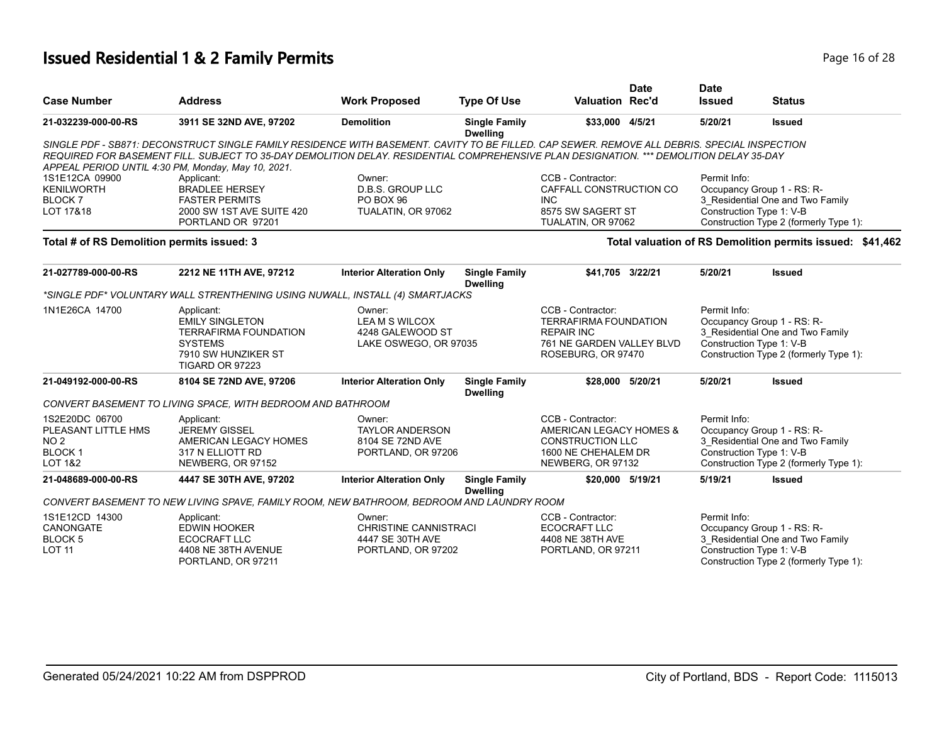# **Issued Residential 1 & 2 Family Permits Page 16 of 28 Page 16 of 28**

| <b>Case Number</b>                                                                              | <b>Address</b>                                                                                                                                                                                                                                                                          | <b>Work Proposed</b>                                                             | <b>Type Of Use</b>                      | <b>Valuation Rec'd</b>                                                                                                    | <b>Date</b> | <b>Date</b><br><b>Issued</b> | <b>Status</b>                                                                                                                        |
|-------------------------------------------------------------------------------------------------|-----------------------------------------------------------------------------------------------------------------------------------------------------------------------------------------------------------------------------------------------------------------------------------------|----------------------------------------------------------------------------------|-----------------------------------------|---------------------------------------------------------------------------------------------------------------------------|-------------|------------------------------|--------------------------------------------------------------------------------------------------------------------------------------|
| 21-032239-000-00-RS                                                                             | 3911 SE 32ND AVE, 97202                                                                                                                                                                                                                                                                 | <b>Demolition</b>                                                                | <b>Single Family</b><br><b>Dwelling</b> | \$33,000 4/5/21                                                                                                           |             | 5/20/21                      | <b>Issued</b>                                                                                                                        |
| APPEAL PERIOD UNTIL 4:30 PM, Monday, May 10, 2021.                                              | SINGLE PDF - SB871: DECONSTRUCT SINGLE FAMILY RESIDENCE WITH BASEMENT. CAVITY TO BE FILLED. CAP SEWER. REMOVE ALL DEBRIS. SPECIAL INSPECTION<br>REQUIRED FOR BASEMENT FILL. SUBJECT TO 35-DAY DEMOLITION DELAY. RESIDENTIAL COMPREHENSIVE PLAN DESIGNATION. *** DEMOLITION DELAY 35-DAY |                                                                                  |                                         |                                                                                                                           |             |                              |                                                                                                                                      |
| 1S1E12CA 09900<br><b>KENILWORTH</b><br>BLOCK <sub>7</sub><br>LOT 17&18                          | Applicant:<br><b>BRADLEE HERSEY</b><br><b>FASTER PERMITS</b><br>2000 SW 1ST AVE SUITE 420<br>PORTLAND OR 97201                                                                                                                                                                          | Owner:<br><b>D.B.S. GROUP LLC</b><br>PO BOX 96<br>TUALATIN, OR 97062             |                                         | CCB - Contractor:<br>CAFFALL CONSTRUCTION CO<br><b>INC</b><br>8575 SW SAGERT ST<br>TUALATIN, OR 97062                     |             | Permit Info:                 | Occupancy Group 1 - RS: R-<br>3 Residential One and Two Family<br>Construction Type 1: V-B<br>Construction Type 2 (formerly Type 1): |
| Total # of RS Demolition permits issued: 3                                                      |                                                                                                                                                                                                                                                                                         |                                                                                  |                                         |                                                                                                                           |             |                              | Total valuation of RS Demolition permits issued: \$41,462                                                                            |
| 21-027789-000-00-RS                                                                             | 2212 NE 11TH AVE, 97212                                                                                                                                                                                                                                                                 | <b>Interior Alteration Only</b>                                                  | <b>Single Family</b><br><b>Dwelling</b> | \$41,705 3/22/21                                                                                                          |             | 5/20/21                      | <b>Issued</b>                                                                                                                        |
|                                                                                                 | *SINGLE PDF* VOLUNTARY WALL STRENTHENING USING NUWALL, INSTALL (4) SMARTJACKS                                                                                                                                                                                                           |                                                                                  |                                         |                                                                                                                           |             |                              |                                                                                                                                      |
| 1N1E26CA 14700                                                                                  | Applicant:<br><b>EMILY SINGLETON</b><br><b>TERRAFIRMA FOUNDATION</b><br><b>SYSTEMS</b><br>7910 SW HUNZIKER ST<br>TIGARD OR 97223                                                                                                                                                        | Owner:<br>LEAM S WILCOX<br>4248 GALEWOOD ST<br>LAKE OSWEGO, OR 97035             |                                         | CCB - Contractor:<br><b>TERRAFIRMA FOUNDATION</b><br><b>REPAIR INC</b><br>761 NE GARDEN VALLEY BLVD<br>ROSEBURG, OR 97470 |             | Permit Info:                 | Occupancy Group 1 - RS: R-<br>3_Residential One and Two Family<br>Construction Type 1: V-B<br>Construction Type 2 (formerly Type 1): |
| 21-049192-000-00-RS                                                                             | 8104 SE 72ND AVE, 97206                                                                                                                                                                                                                                                                 | <b>Interior Alteration Only</b>                                                  | <b>Single Family</b><br><b>Dwelling</b> | \$28,000 5/20/21                                                                                                          |             | 5/20/21                      | <b>Issued</b>                                                                                                                        |
|                                                                                                 | CONVERT BASEMENT TO LIVING SPACE, WITH BEDROOM AND BATHROOM                                                                                                                                                                                                                             |                                                                                  |                                         |                                                                                                                           |             |                              |                                                                                                                                      |
| 1S2E20DC 06700<br>PLEASANT LITTLE HMS<br>NO <sub>2</sub><br><b>BLOCK1</b><br><b>LOT 1&amp;2</b> | Applicant:<br><b>JEREMY GISSEL</b><br>AMERICAN LEGACY HOMES<br>317 N ELLIOTT RD<br>NEWBERG, OR 97152                                                                                                                                                                                    | Owner:<br><b>TAYLOR ANDERSON</b><br>8104 SE 72ND AVE<br>PORTLAND, OR 97206       |                                         | CCB - Contractor:<br>AMERICAN LEGACY HOMES &<br><b>CONSTRUCTION LLC</b><br>1600 NE CHEHALEM DR<br>NEWBERG, OR 97132       |             | Permit Info:                 | Occupancy Group 1 - RS: R-<br>3_Residential One and Two Family<br>Construction Type 1: V-B<br>Construction Type 2 (formerly Type 1): |
| 21-048689-000-00-RS                                                                             | 4447 SE 30TH AVE, 97202                                                                                                                                                                                                                                                                 | <b>Interior Alteration Only</b>                                                  | <b>Single Family</b><br><b>Dwelling</b> | \$20.000 5/19/21                                                                                                          |             | 5/19/21                      | <b>Issued</b>                                                                                                                        |
|                                                                                                 | CONVERT BASEMENT TO NEW LIVING SPAVE, FAMILY ROOM, NEW BATHROOM, BEDROOM AND LAUNDRY ROOM                                                                                                                                                                                               |                                                                                  |                                         |                                                                                                                           |             |                              |                                                                                                                                      |
| 1S1E12CD 14300<br><b>CANONGATE</b><br>BLOCK <sub>5</sub><br><b>LOT 11</b>                       | Applicant:<br><b>EDWIN HOOKER</b><br>ECOCRAFT LLC<br>4408 NE 38TH AVENUE<br>PORTLAND, OR 97211                                                                                                                                                                                          | Owner:<br><b>CHRISTINE CANNISTRACI</b><br>4447 SE 30TH AVE<br>PORTLAND, OR 97202 |                                         | CCB - Contractor:<br><b>ECOCRAFT LLC</b><br>4408 NE 38TH AVE<br>PORTLAND, OR 97211                                        |             | Permit Info:                 | Occupancy Group 1 - RS: R-<br>3_Residential One and Two Family<br>Construction Type 1: V-B<br>Construction Type 2 (formerly Type 1): |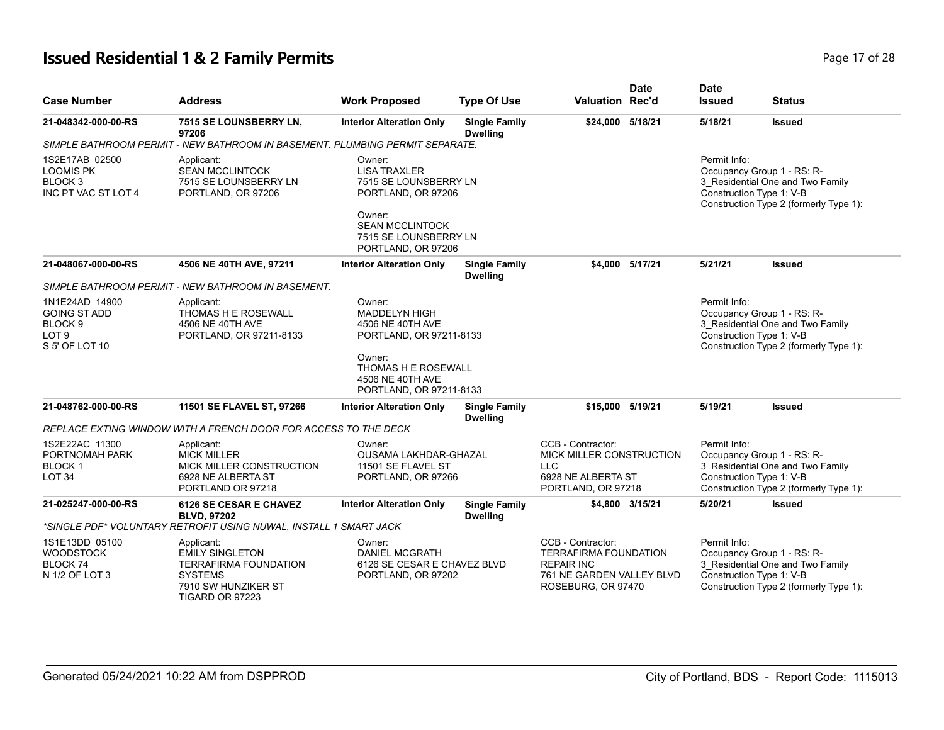# **Issued Residential 1 & 2 Family Permits Page 17 of 28 Page 17 of 28**

| <b>Case Number</b>                                                                     | <b>Address</b>                                                                                                                   | <b>Work Proposed</b>                                                                 | <b>Type Of Use</b>                      | <b>Valuation Rec'd</b>                                                                                                    | <b>Date</b>     | <b>Date</b><br><b>Issued</b>             | <b>Status</b>                                                                                            |
|----------------------------------------------------------------------------------------|----------------------------------------------------------------------------------------------------------------------------------|--------------------------------------------------------------------------------------|-----------------------------------------|---------------------------------------------------------------------------------------------------------------------------|-----------------|------------------------------------------|----------------------------------------------------------------------------------------------------------|
| 21-048342-000-00-RS                                                                    | 7515 SE LOUNSBERRY LN,<br>97206                                                                                                  | <b>Interior Alteration Only</b>                                                      | <b>Single Family</b><br><b>Dwelling</b> | \$24,000 5/18/21                                                                                                          |                 | 5/18/21                                  | <b>Issued</b>                                                                                            |
|                                                                                        | SIMPLE BATHROOM PERMIT - NEW BATHROOM IN BASEMENT. PLUMBING PERMIT SEPARATE.                                                     |                                                                                      |                                         |                                                                                                                           |                 |                                          |                                                                                                          |
| 1S2E17AB 02500<br><b>LOOMIS PK</b><br>BLOCK <sub>3</sub><br>INC PT VAC ST LOT 4        | Applicant:<br><b>SEAN MCCLINTOCK</b><br>7515 SE LOUNSBERRY LN<br>PORTLAND, OR 97206                                              | Owner:<br><b>LISA TRAXLER</b><br>7515 SE LOUNSBERRY LN<br>PORTLAND, OR 97206         |                                         |                                                                                                                           |                 | Permit Info:<br>Construction Type 1: V-B | Occupancy Group 1 - RS: R-<br>3 Residential One and Two Family<br>Construction Type 2 (formerly Type 1): |
|                                                                                        |                                                                                                                                  | Owner:<br><b>SEAN MCCLINTOCK</b><br>7515 SE LOUNSBERRY LN<br>PORTLAND, OR 97206      |                                         |                                                                                                                           |                 |                                          |                                                                                                          |
| 21-048067-000-00-RS                                                                    | 4506 NE 40TH AVE, 97211                                                                                                          | <b>Interior Alteration Only</b>                                                      | <b>Single Family</b><br><b>Dwelling</b> |                                                                                                                           | \$4.000 5/17/21 | 5/21/21                                  | <b>Issued</b>                                                                                            |
|                                                                                        | SIMPLE BATHROOM PERMIT - NEW BATHROOM IN BASEMENT.                                                                               |                                                                                      |                                         |                                                                                                                           |                 |                                          |                                                                                                          |
| 1N1E24AD 14900<br><b>GOING ST ADD</b><br>BLOCK <sub>9</sub><br>LOT 9<br>S 5' OF LOT 10 | Applicant:<br>THOMAS H E ROSEWALL<br>4506 NE 40TH AVE<br>PORTLAND, OR 97211-8133                                                 | Owner:<br>MADDELYN HIGH<br>4506 NE 40TH AVE<br>PORTLAND, OR 97211-8133<br>Owner:     |                                         |                                                                                                                           |                 | Permit Info:<br>Construction Type 1: V-B | Occupancy Group 1 - RS: R-<br>3_Residential One and Two Family<br>Construction Type 2 (formerly Type 1): |
|                                                                                        |                                                                                                                                  | <b>THOMAS H E ROSEWALL</b><br>4506 NE 40TH AVE<br>PORTLAND, OR 97211-8133            |                                         |                                                                                                                           |                 |                                          |                                                                                                          |
| 21-048762-000-00-RS                                                                    | 11501 SE FLAVEL ST, 97266                                                                                                        | <b>Interior Alteration Only</b>                                                      | <b>Single Family</b><br><b>Dwelling</b> | \$15,000 5/19/21                                                                                                          |                 | 5/19/21                                  | <b>Issued</b>                                                                                            |
|                                                                                        | REPLACE EXTING WINDOW WITH A FRENCH DOOR FOR ACCESS TO THE DECK                                                                  |                                                                                      |                                         |                                                                                                                           |                 |                                          |                                                                                                          |
| 1S2E22AC 11300<br>PORTNOMAH PARK<br><b>BLOCK1</b><br>LOT <sub>34</sub>                 | Applicant:<br><b>MICK MILLER</b><br>MICK MILLER CONSTRUCTION<br>6928 NE ALBERTA ST<br>PORTLAND OR 97218                          | Owner:<br>OUSAMA LAKHDAR-GHAZAL<br>11501 SE FLAVEL ST<br>PORTLAND, OR 97266          |                                         | CCB - Contractor:<br>MICK MILLER CONSTRUCTION<br><b>LLC</b><br>6928 NE ALBERTA ST<br>PORTLAND, OR 97218                   |                 | Permit Info:<br>Construction Type 1: V-B | Occupancy Group 1 - RS: R-<br>3 Residential One and Two Family<br>Construction Type 2 (formerly Type 1): |
| 21-025247-000-00-RS                                                                    | 6126 SE CESAR E CHAVEZ<br><b>BLVD, 97202</b>                                                                                     | <b>Interior Alteration Only</b>                                                      | <b>Single Family</b><br><b>Dwelling</b> |                                                                                                                           | \$4,800 3/15/21 | 5/20/21                                  | <b>Issued</b>                                                                                            |
|                                                                                        | *SINGLE PDF* VOLUNTARY RETROFIT USING NUWAL, INSTALL 1 SMART JACK                                                                |                                                                                      |                                         |                                                                                                                           |                 |                                          |                                                                                                          |
| 1S1E13DD 05100<br><b>WOODSTOCK</b><br><b>BLOCK 74</b><br>N 1/2 OF LOT 3                | Applicant:<br><b>EMILY SINGLETON</b><br><b>TERRAFIRMA FOUNDATION</b><br><b>SYSTEMS</b><br>7910 SW HUNZIKER ST<br>TIGARD OR 97223 | Owner:<br><b>DANIEL MCGRATH</b><br>6126 SE CESAR E CHAVEZ BLVD<br>PORTLAND, OR 97202 |                                         | CCB - Contractor:<br><b>TERRAFIRMA FOUNDATION</b><br><b>REPAIR INC</b><br>761 NE GARDEN VALLEY BLVD<br>ROSEBURG, OR 97470 |                 | Permit Info:<br>Construction Type 1: V-B | Occupancy Group 1 - RS: R-<br>3_Residential One and Two Family<br>Construction Type 2 (formerly Type 1): |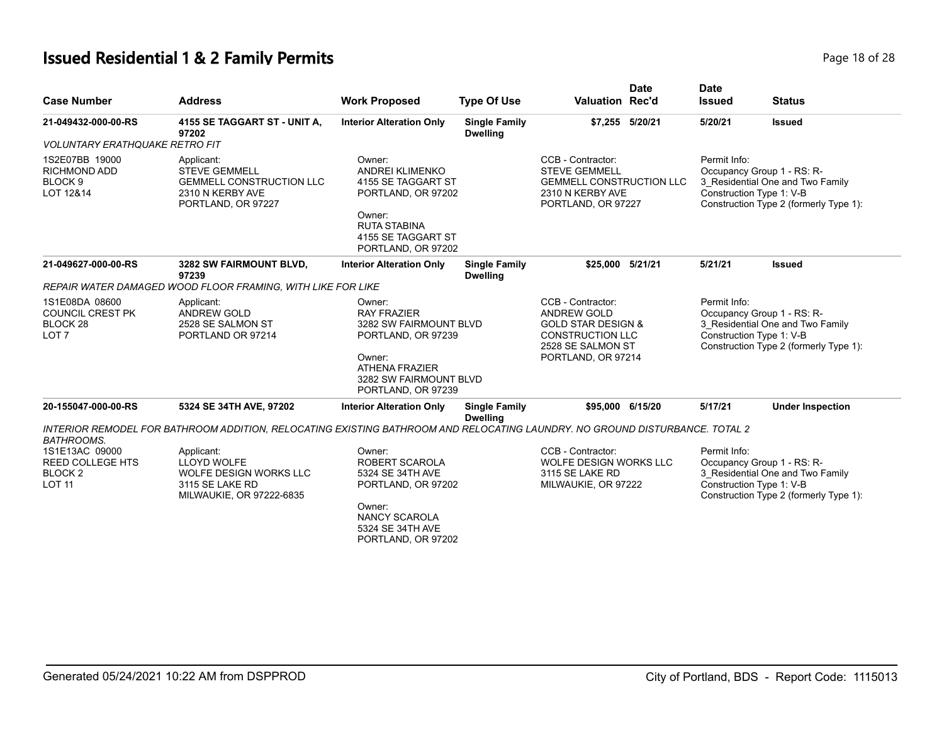# **Issued Residential 1 & 2 Family Permits Page 18 of 28 Page 18 of 28**

| <b>Case Number</b>                                                                   | <b>Address</b>                                                                                                              | <b>Work Proposed</b>                                                                                                                                      | <b>Type Of Use</b>                      | <b>Date</b><br><b>Valuation Rec'd</b>                                                                                                   | <b>Date</b><br><b>Issued</b> | <b>Status</b>                                                                                                                        |  |
|--------------------------------------------------------------------------------------|-----------------------------------------------------------------------------------------------------------------------------|-----------------------------------------------------------------------------------------------------------------------------------------------------------|-----------------------------------------|-----------------------------------------------------------------------------------------------------------------------------------------|------------------------------|--------------------------------------------------------------------------------------------------------------------------------------|--|
| 21-049432-000-00-RS                                                                  | 4155 SE TAGGART ST - UNIT A,<br>97202                                                                                       | <b>Interior Alteration Only</b>                                                                                                                           | <b>Single Family</b><br><b>Dwelling</b> | \$7,255 5/20/21                                                                                                                         | 5/20/21                      | <b>Issued</b>                                                                                                                        |  |
| <b>VOLUNTARY ERATHQUAKE RETRO FIT</b>                                                |                                                                                                                             |                                                                                                                                                           |                                         |                                                                                                                                         |                              |                                                                                                                                      |  |
| 1S2E07BB 19000<br><b>RICHMOND ADD</b><br>BLOCK 9<br>LOT 12&14                        | Applicant:<br><b>STEVE GEMMELL</b><br><b>GEMMELL CONSTRUCTION LLC</b><br>2310 N KERBY AVE<br>PORTLAND, OR 97227             | Owner:<br><b>ANDREI KLIMENKO</b><br>4155 SE TAGGART ST<br>PORTLAND, OR 97202<br>Owner:<br><b>RUTA STABINA</b><br>4155 SE TAGGART ST<br>PORTLAND, OR 97202 |                                         | CCB - Contractor:<br><b>STEVE GEMMELL</b><br><b>GEMMELL CONSTRUCTION LLC</b><br>2310 N KERBY AVE<br>PORTLAND, OR 97227                  | Permit Info:                 | Occupancy Group 1 - RS: R-<br>3_Residential One and Two Family<br>Construction Type 1: V-B<br>Construction Type 2 (formerly Type 1): |  |
| 21-049627-000-00-RS                                                                  | 3282 SW FAIRMOUNT BLVD,<br>97239                                                                                            | <b>Interior Alteration Only</b>                                                                                                                           | <b>Single Family</b><br><b>Dwelling</b> | \$25.000 5/21/21                                                                                                                        | 5/21/21                      | <b>Issued</b>                                                                                                                        |  |
|                                                                                      | REPAIR WATER DAMAGED WOOD FLOOR FRAMING, WITH LIKE FOR LIKE                                                                 |                                                                                                                                                           |                                         |                                                                                                                                         |                              |                                                                                                                                      |  |
| 1S1E08DA 08600<br><b>COUNCIL CREST PK</b><br>BLOCK <sub>28</sub><br>LOT <sub>7</sub> | Applicant:<br><b>ANDREW GOLD</b><br>2528 SE SALMON ST<br>PORTLAND OR 97214                                                  | Owner:<br><b>RAY FRAZIER</b><br>3282 SW FAIRMOUNT BLVD<br>PORTLAND, OR 97239<br>Owner:<br><b>ATHENA FRAZIER</b>                                           |                                         | CCB - Contractor:<br>ANDREW GOLD<br><b>GOLD STAR DESIGN &amp;</b><br><b>CONSTRUCTION LLC</b><br>2528 SE SALMON ST<br>PORTLAND, OR 97214 | Permit Info:                 | Occupancy Group 1 - RS: R-<br>3_Residential One and Two Family<br>Construction Type 1: V-B<br>Construction Type 2 (formerly Type 1): |  |
|                                                                                      |                                                                                                                             | 3282 SW FAIRMOUNT BLVD<br>PORTLAND, OR 97239                                                                                                              |                                         |                                                                                                                                         |                              |                                                                                                                                      |  |
| 20-155047-000-00-RS                                                                  | 5324 SE 34TH AVE, 97202                                                                                                     | <b>Interior Alteration Only</b>                                                                                                                           | <b>Single Family</b><br><b>Dwelling</b> | \$95.000<br>6/15/20                                                                                                                     | 5/17/21                      | <b>Under Inspection</b>                                                                                                              |  |
| <b>BATHROOMS.</b>                                                                    | INTERIOR REMODEL FOR BATHROOM ADDITION, RELOCATING EXISTING BATHROOM AND RELOCATING LAUNDRY. NO GROUND DISTURBANCE. TOTAL 2 |                                                                                                                                                           |                                         |                                                                                                                                         |                              |                                                                                                                                      |  |
| 1S1E13AC 09000<br><b>REED COLLEGE HTS</b><br>BLOCK <sub>2</sub><br><b>LOT 11</b>     | Applicant:<br><b>LLOYD WOLFE</b><br>WOLFE DESIGN WORKS LLC<br>3115 SE LAKE RD<br>MILWAUKIE, OR 97222-6835                   | Owner:<br>ROBERT SCAROLA<br>5324 SE 34TH AVE<br>PORTLAND, OR 97202<br>Owner:<br>NANCY SCAROLA<br>5324 SE 34TH AVE<br>PORTLAND, OR 97202                   |                                         | CCB - Contractor:<br>WOLFE DESIGN WORKS LLC<br>3115 SE LAKE RD<br>MILWAUKIE, OR 97222                                                   | Permit Info:                 | Occupancy Group 1 - RS: R-<br>3 Residential One and Two Family<br>Construction Type 1: V-B<br>Construction Type 2 (formerly Type 1): |  |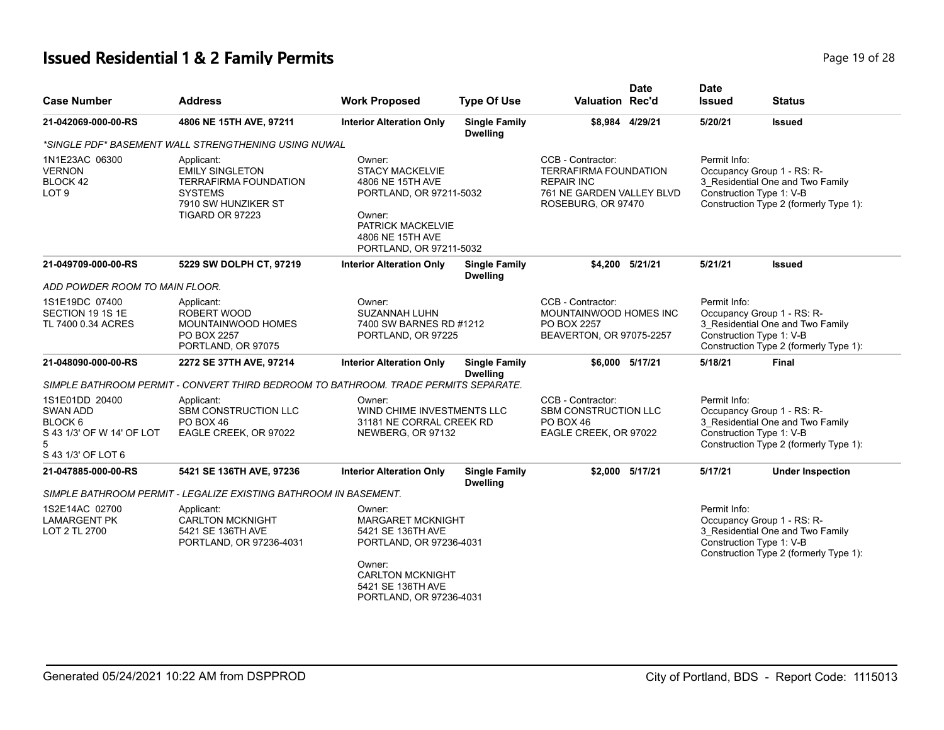# **Issued Residential 1 & 2 Family Permits Page 19 of 28 Page 19 of 28**

| <b>Case Number</b>                                                                       | <b>Address</b>                                                                                                            | <b>Work Proposed</b>                                                                                                                                          | <b>Type Of Use</b>                      | <b>Valuation Rec'd</b>                                                                                                    | <b>Date</b> | <b>Date</b><br><b>Issued</b>             | <b>Status</b>                                                                                            |
|------------------------------------------------------------------------------------------|---------------------------------------------------------------------------------------------------------------------------|---------------------------------------------------------------------------------------------------------------------------------------------------------------|-----------------------------------------|---------------------------------------------------------------------------------------------------------------------------|-------------|------------------------------------------|----------------------------------------------------------------------------------------------------------|
| 21-042069-000-00-RS                                                                      | 4806 NE 15TH AVE, 97211                                                                                                   | <b>Interior Alteration Only</b>                                                                                                                               | <b>Single Family</b><br><b>Dwelling</b> | \$8,984 4/29/21                                                                                                           |             | 5/20/21                                  | Issued                                                                                                   |
|                                                                                          | *SINGLE PDF* BASEMENT WALL STRENGTHENING USING NUWAL                                                                      |                                                                                                                                                               |                                         |                                                                                                                           |             |                                          |                                                                                                          |
| 1N1E23AC 06300<br><b>VERNON</b><br>BLOCK 42<br>LOT <sub>9</sub>                          | Applicant:<br><b>EMILY SINGLETON</b><br>TERRAFIRMA FOUNDATION<br><b>SYSTEMS</b><br>7910 SW HUNZIKER ST<br>TIGARD OR 97223 | Owner:<br><b>STACY MACKELVIE</b><br>4806 NE 15TH AVE<br>PORTLAND, OR 97211-5032<br>Owner:<br>PATRICK MACKELVIE<br>4806 NE 15TH AVE<br>PORTLAND, OR 97211-5032 |                                         | CCB - Contractor:<br><b>TERRAFIRMA FOUNDATION</b><br><b>REPAIR INC</b><br>761 NE GARDEN VALLEY BLVD<br>ROSEBURG, OR 97470 |             | Permit Info:<br>Construction Type 1: V-B | Occupancy Group 1 - RS: R-<br>3_Residential One and Two Family<br>Construction Type 2 (formerly Type 1): |
| 21-049709-000-00-RS                                                                      | 5229 SW DOLPH CT, 97219                                                                                                   | <b>Interior Alteration Only</b>                                                                                                                               | <b>Single Family</b><br><b>Dwelling</b> | \$4,200 5/21/21                                                                                                           |             | 5/21/21                                  | <b>Issued</b>                                                                                            |
| ADD POWDER ROOM TO MAIN FLOOR.                                                           |                                                                                                                           |                                                                                                                                                               |                                         |                                                                                                                           |             |                                          |                                                                                                          |
| 1S1E19DC 07400<br>SECTION 19 1S 1E<br>TL 7400 0.34 ACRES                                 | Applicant:<br>ROBERT WOOD<br>MOUNTAINWOOD HOMES<br><b>PO BOX 2257</b><br>PORTLAND, OR 97075                               | Owner:<br><b>SUZANNAH LUHN</b><br>7400 SW BARNES RD #1212<br>PORTLAND, OR 97225                                                                               |                                         | CCB - Contractor:<br>MOUNTAINWOOD HOMES INC<br>PO BOX 2257<br>BEAVERTON, OR 97075-2257                                    |             | Permit Info:<br>Construction Type 1: V-B | Occupancy Group 1 - RS: R-<br>3 Residential One and Two Family<br>Construction Type 2 (formerly Type 1): |
| 21-048090-000-00-RS                                                                      | 2272 SE 37TH AVE, 97214                                                                                                   | <b>Interior Alteration Only</b>                                                                                                                               | <b>Single Family</b><br><b>Dwelling</b> | \$6,000 5/17/21                                                                                                           |             | 5/18/21                                  | <b>Final</b>                                                                                             |
|                                                                                          | SIMPLE BATHROOM PERMIT - CONVERT THIRD BEDROOM TO BATHROOM. TRADE PERMITS SEPARATE.                                       |                                                                                                                                                               |                                         |                                                                                                                           |             |                                          |                                                                                                          |
| 1S1E01DD 20400<br>SWAN ADD<br>BLOCK 6<br>S 43 1/3' OF W 14' OF LOT<br>S 43 1/3' OF LOT 6 | Applicant:<br>SBM CONSTRUCTION LLC<br>PO BOX 46<br>EAGLE CREEK, OR 97022                                                  | Owner:<br>WIND CHIME INVESTMENTS LLC<br>31181 NE CORRAL CREEK RD<br>NEWBERG, OR 97132                                                                         |                                         | CCB - Contractor:<br><b>SBM CONSTRUCTION LLC</b><br>PO BOX 46<br>EAGLE CREEK, OR 97022                                    |             | Permit Info:<br>Construction Type 1: V-B | Occupancy Group 1 - RS: R-<br>3_Residential One and Two Family<br>Construction Type 2 (formerly Type 1): |
| 21-047885-000-00-RS                                                                      | 5421 SE 136TH AVE, 97236                                                                                                  | <b>Interior Alteration Only</b>                                                                                                                               | <b>Single Family</b><br><b>Dwelling</b> | \$2.000 5/17/21                                                                                                           |             | 5/17/21                                  | <b>Under Inspection</b>                                                                                  |
|                                                                                          | SIMPLE BATHROOM PERMIT - LEGALIZE EXISTING BATHROOM IN BASEMENT.                                                          |                                                                                                                                                               |                                         |                                                                                                                           |             |                                          |                                                                                                          |
| 1S2E14AC 02700<br><b>LAMARGENT PK</b><br>LOT 2 TL 2700                                   | Applicant:<br><b>CARLTON MCKNIGHT</b><br>5421 SE 136TH AVE<br>PORTLAND, OR 97236-4031                                     | Owner:<br><b>MARGARET MCKNIGHT</b><br>5421 SE 136TH AVE<br>PORTLAND, OR 97236-4031<br>Owner:<br><b>CARLTON MCKNIGHT</b><br>5421 SE 136TH AVE                  |                                         |                                                                                                                           |             | Permit Info:<br>Construction Type 1: V-B | Occupancy Group 1 - RS: R-<br>3_Residential One and Two Family<br>Construction Type 2 (formerly Type 1): |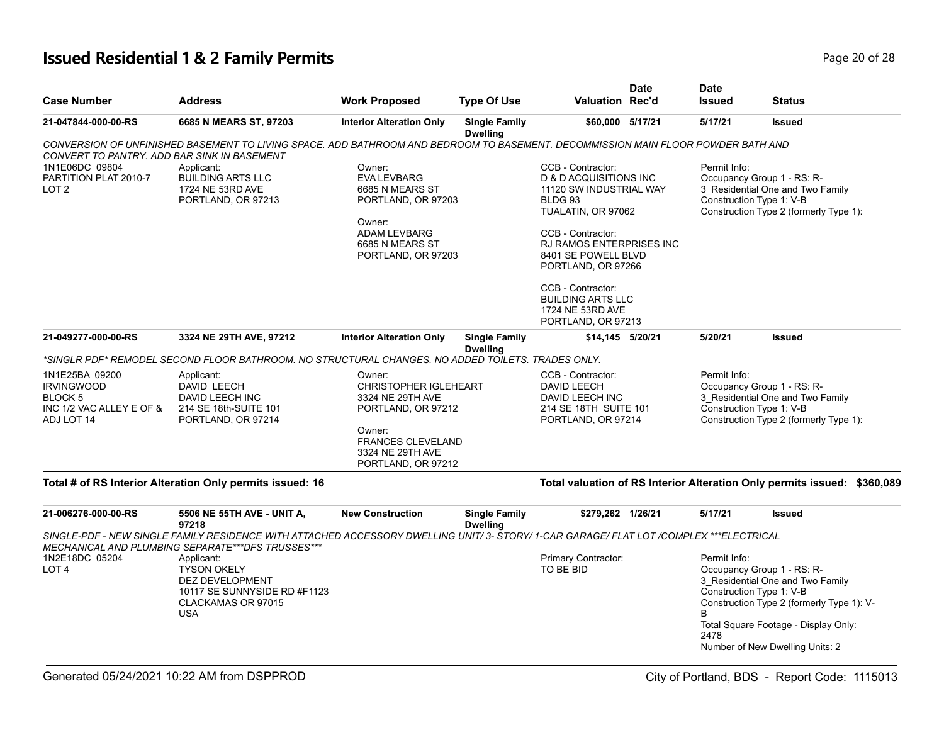# **Issued Residential 1 & 2 Family Permits Page 20 of 28 Page 20 of 28**

| <b>Case Number</b>                                                                              | <b>Address</b>                                                                                                                                                               | <b>Work Proposed</b>                                                                                                                                             | <b>Type Of Use</b>                      | <b>Valuation Rec'd</b>                                                                                                                                                                                                                                                     | <b>Date</b> | <b>Date</b><br><b>Issued</b>             | <b>Status</b>                                                                                                                                                                                                      |
|-------------------------------------------------------------------------------------------------|------------------------------------------------------------------------------------------------------------------------------------------------------------------------------|------------------------------------------------------------------------------------------------------------------------------------------------------------------|-----------------------------------------|----------------------------------------------------------------------------------------------------------------------------------------------------------------------------------------------------------------------------------------------------------------------------|-------------|------------------------------------------|--------------------------------------------------------------------------------------------------------------------------------------------------------------------------------------------------------------------|
| 21-047844-000-00-RS                                                                             | 6685 N MEARS ST, 97203                                                                                                                                                       | <b>Interior Alteration Only</b>                                                                                                                                  | <b>Single Family</b><br><b>Dwelling</b> | \$60,000 5/17/21                                                                                                                                                                                                                                                           |             | 5/17/21                                  | <b>Issued</b>                                                                                                                                                                                                      |
| CONVERT TO PANTRY. ADD BAR SINK IN BASEMENT                                                     | CONVERSION OF UNFINISHED BASEMENT TO LIVING SPACE. ADD BATHROOM AND BEDROOM TO BASEMENT. DECOMMISSION MAIN FLOOR POWDER BATH AND                                             |                                                                                                                                                                  |                                         |                                                                                                                                                                                                                                                                            |             |                                          |                                                                                                                                                                                                                    |
| 1N1E06DC 09804<br>PARTITION PLAT 2010-7<br>LOT <sub>2</sub>                                     | Applicant:<br><b>BUILDING ARTS LLC</b><br>1724 NE 53RD AVE<br>PORTLAND, OR 97213                                                                                             | Owner:<br><b>EVA LEVBARG</b><br>6685 N MEARS ST<br>PORTLAND, OR 97203<br>Owner:<br><b>ADAM LEVBARG</b><br>6685 N MEARS ST<br>PORTLAND, OR 97203                  |                                         | CCB - Contractor:<br>D & D ACQUISITIONS INC<br>11120 SW INDUSTRIAL WAY<br>BLDG 93<br>TUALATIN, OR 97062<br>CCB - Contractor:<br>RJ RAMOS ENTERPRISES INC<br>8401 SE POWELL BLVD<br>PORTLAND, OR 97266<br>CCB - Contractor:<br><b>BUILDING ARTS LLC</b><br>1724 NE 53RD AVE |             | Permit Info:<br>Construction Type 1: V-B | Occupancy Group 1 - RS: R-<br>3 Residential One and Two Family<br>Construction Type 2 (formerly Type 1):                                                                                                           |
| 21-049277-000-00-RS                                                                             | 3324 NE 29TH AVE, 97212                                                                                                                                                      | <b>Interior Alteration Only</b>                                                                                                                                  | <b>Single Family</b>                    | PORTLAND, OR 97213<br>\$14,145 5/20/21                                                                                                                                                                                                                                     |             | 5/20/21                                  | <b>Issued</b>                                                                                                                                                                                                      |
|                                                                                                 |                                                                                                                                                                              |                                                                                                                                                                  | <b>Dwelling</b>                         |                                                                                                                                                                                                                                                                            |             |                                          |                                                                                                                                                                                                                    |
|                                                                                                 | *SINGLR PDF* REMODEL SECOND FLOOR BATHROOM. NO STRUCTURAL CHANGES. NO ADDED TOILETS. TRADES ONLY.                                                                            |                                                                                                                                                                  |                                         |                                                                                                                                                                                                                                                                            |             |                                          |                                                                                                                                                                                                                    |
| 1N1E25BA 09200<br><b>IRVINGWOOD</b><br><b>BLOCK 5</b><br>INC 1/2 VAC ALLEY E OF &<br>ADJ LOT 14 | Applicant:<br>DAVID LEECH<br>DAVID LEECH INC<br>214 SE 18th-SUITE 101<br>PORTLAND, OR 97214                                                                                  | Owner:<br><b>CHRISTOPHER IGLEHEART</b><br>3324 NE 29TH AVE<br>PORTLAND, OR 97212<br>Owner:<br><b>FRANCES CLEVELAND</b><br>3324 NE 29TH AVE<br>PORTLAND, OR 97212 |                                         | CCB - Contractor:<br>DAVID LEECH<br>DAVID LEECH INC<br>214 SE 18TH SUITE 101<br>PORTLAND, OR 97214                                                                                                                                                                         |             | Permit Info:                             | Occupancy Group 1 - RS: R-<br>3_Residential One and Two Family<br>Construction Type 1: V-B<br>Construction Type 2 (formerly Type 1):                                                                               |
|                                                                                                 | Total # of RS Interior Alteration Only permits issued: 16                                                                                                                    |                                                                                                                                                                  |                                         |                                                                                                                                                                                                                                                                            |             |                                          | Total valuation of RS Interior Alteration Only permits issued: \$360,089                                                                                                                                           |
| 21-006276-000-00-RS                                                                             | 5506 NE 55TH AVE - UNIT A,<br>97218                                                                                                                                          | <b>New Construction</b>                                                                                                                                          | <b>Single Family</b><br><b>Dwelling</b> | \$279,262 1/26/21                                                                                                                                                                                                                                                          |             | 5/17/21                                  | <b>Issued</b>                                                                                                                                                                                                      |
|                                                                                                 | SINGLE-PDF - NEW SINGLE FAMILY RESIDENCE WITH ATTACHED ACCESSORY DWELLING UNIT/ 3- STORY/ 1-CAR GARAGE/ FLAT LOT/COMPLEX ***ELECTRICAL                                       |                                                                                                                                                                  |                                         |                                                                                                                                                                                                                                                                            |             |                                          |                                                                                                                                                                                                                    |
| 1N2E18DC 05204<br>LOT <sub>4</sub>                                                              | MECHANICAL AND PLUMBING SEPARATE***DFS TRUSSES***<br>Applicant:<br><b>TYSON OKELY</b><br>DEZ DEVELOPMENT<br>10117 SE SUNNYSIDE RD #F1123<br>CLACKAMAS OR 97015<br><b>USA</b> |                                                                                                                                                                  |                                         | Primary Contractor:<br>TO BE BID                                                                                                                                                                                                                                           |             | Permit Info:<br>B<br>2478                | Occupancy Group 1 - RS: R-<br>3 Residential One and Two Family<br>Construction Type 1: V-B<br>Construction Type 2 (formerly Type 1): V-<br>Total Square Footage - Display Only:<br>Number of New Dwelling Units: 2 |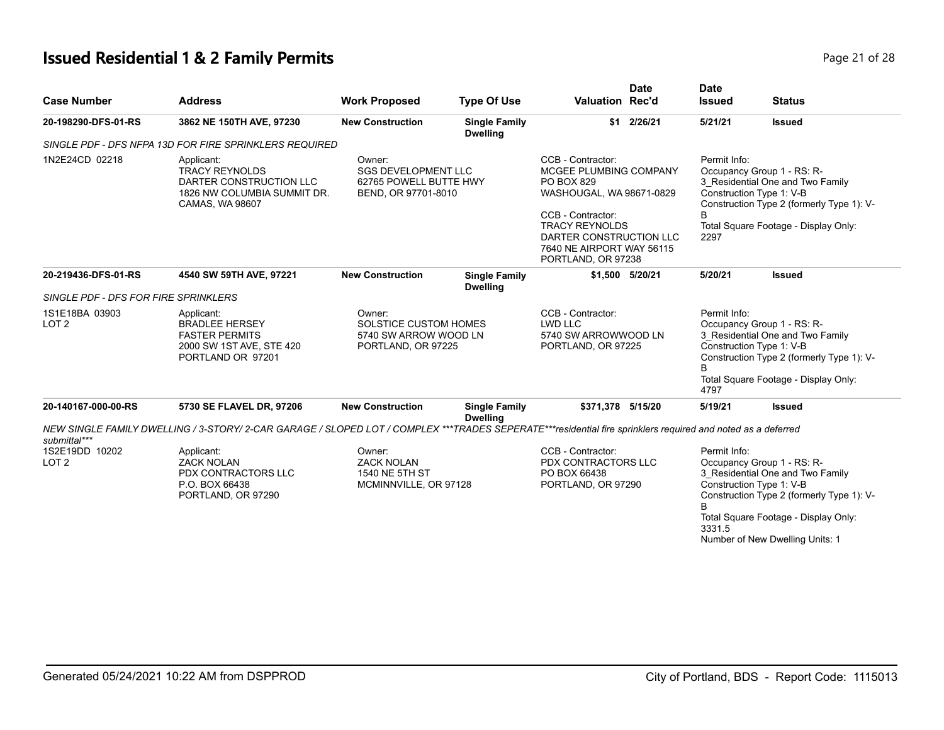# **Issued Residential 1 & 2 Family Permits**

|  | Page 21 of 28 |  |  |  |
|--|---------------|--|--|--|
|--|---------------|--|--|--|

| <b>Case Number</b>                                 | <b>Address</b>                                                                                                                                              | <b>Work Proposed</b>                                                                  | <b>Type Of Use</b>                      | <b>Date</b><br><b>Valuation Rec'd</b>                                                                                                                                                                             | <b>Date</b><br><b>Issued</b> | <b>Status</b>                                                                                                                                                                                                      |
|----------------------------------------------------|-------------------------------------------------------------------------------------------------------------------------------------------------------------|---------------------------------------------------------------------------------------|-----------------------------------------|-------------------------------------------------------------------------------------------------------------------------------------------------------------------------------------------------------------------|------------------------------|--------------------------------------------------------------------------------------------------------------------------------------------------------------------------------------------------------------------|
| 20-198290-DFS-01-RS                                | 3862 NE 150TH AVE, 97230                                                                                                                                    | <b>New Construction</b>                                                               | <b>Single Family</b><br><b>Dwelling</b> | \$1 2/26/21                                                                                                                                                                                                       | 5/21/21                      | <b>Issued</b>                                                                                                                                                                                                      |
|                                                    | SINGLE PDF - DFS NFPA 13D FOR FIRE SPRINKLERS REQUIRED                                                                                                      |                                                                                       |                                         |                                                                                                                                                                                                                   |                              |                                                                                                                                                                                                                    |
| 1N2E24CD 02218                                     | Applicant:<br><b>TRACY REYNOLDS</b><br>DARTER CONSTRUCTION LLC<br>1826 NW COLUMBIA SUMMIT DR.<br>CAMAS, WA 98607                                            | Owner:<br><b>SGS DEVELOPMENT LLC</b><br>62765 POWELL BUTTE HWY<br>BEND, OR 97701-8010 |                                         | CCB - Contractor:<br>MCGEE PLUMBING COMPANY<br>PO BOX 829<br>WASHOUGAL, WA 98671-0829<br>CCB - Contractor:<br><b>TRACY REYNOLDS</b><br>DARTER CONSTRUCTION LLC<br>7640 NE AIRPORT WAY 56115<br>PORTLAND, OR 97238 | Permit Info:<br>B<br>2297    | Occupancy Group 1 - RS: R-<br>3_Residential One and Two Family<br>Construction Type 1: V-B<br>Construction Type 2 (formerly Type 1): V-<br>Total Square Footage - Display Only:                                    |
| 20-219436-DFS-01-RS                                | 4540 SW 59TH AVE, 97221                                                                                                                                     | <b>New Construction</b>                                                               | <b>Single Family</b><br><b>Dwelling</b> | \$1,500 5/20/21                                                                                                                                                                                                   | 5/20/21                      | <b>Issued</b>                                                                                                                                                                                                      |
| SINGLE PDF - DFS FOR FIRE SPRINKLERS               |                                                                                                                                                             |                                                                                       |                                         |                                                                                                                                                                                                                   |                              |                                                                                                                                                                                                                    |
| 1S1E18BA 03903<br>LOT <sub>2</sub>                 | Applicant:<br><b>BRADLEE HERSEY</b><br><b>FASTER PERMITS</b><br>2000 SW 1ST AVE, STE 420<br>PORTLAND OR 97201                                               | Owner:<br><b>SOLSTICE CUSTOM HOMES</b><br>5740 SW ARROW WOOD LN<br>PORTLAND, OR 97225 |                                         | CCB - Contractor:<br>Permit Info:<br>LWD LLC<br>Occupancy Group 1 - RS: R-<br>5740 SW ARROWWOOD LN<br>Construction Type 1: V-B<br>PORTLAND, OR 97225<br>B<br>4797                                                 |                              | 3 Residential One and Two Family<br>Construction Type 2 (formerly Type 1): V-<br>Total Square Footage - Display Only:                                                                                              |
| 20-140167-000-00-RS                                | 5730 SE FLAVEL DR, 97206                                                                                                                                    | <b>New Construction</b>                                                               | <b>Single Family</b><br><b>Dwelling</b> | \$371.378 5/15/20                                                                                                                                                                                                 | 5/19/21                      | <b>Issued</b>                                                                                                                                                                                                      |
|                                                    | NEW SINGLE FAMILY DWELLING / 3-STORY/ 2-CAR GARAGE / SLOPED LOT / COMPLEX ***TRADES SEPERATE***residential fire sprinklers required and noted as a deferred |                                                                                       |                                         |                                                                                                                                                                                                                   |                              |                                                                                                                                                                                                                    |
| submittal***<br>1S2E19DD 10202<br>LOT <sub>2</sub> | Applicant:<br><b>ZACK NOLAN</b><br>PDX CONTRACTORS LLC<br>P.O. BOX 66438<br>PORTLAND, OR 97290                                                              | Owner:<br><b>ZACK NOLAN</b><br>1540 NE 5TH ST<br>MCMINNVILLE, OR 97128                |                                         | CCB - Contractor:<br>PDX CONTRACTORS LLC<br>PO BOX 66438<br>PORTLAND, OR 97290                                                                                                                                    | Permit Info:<br>B.<br>3331.5 | Occupancy Group 1 - RS: R-<br>3 Residential One and Two Family<br>Construction Type 1: V-B<br>Construction Type 2 (formerly Type 1): V-<br>Total Square Footage - Display Only:<br>Number of New Dwelling Units: 1 |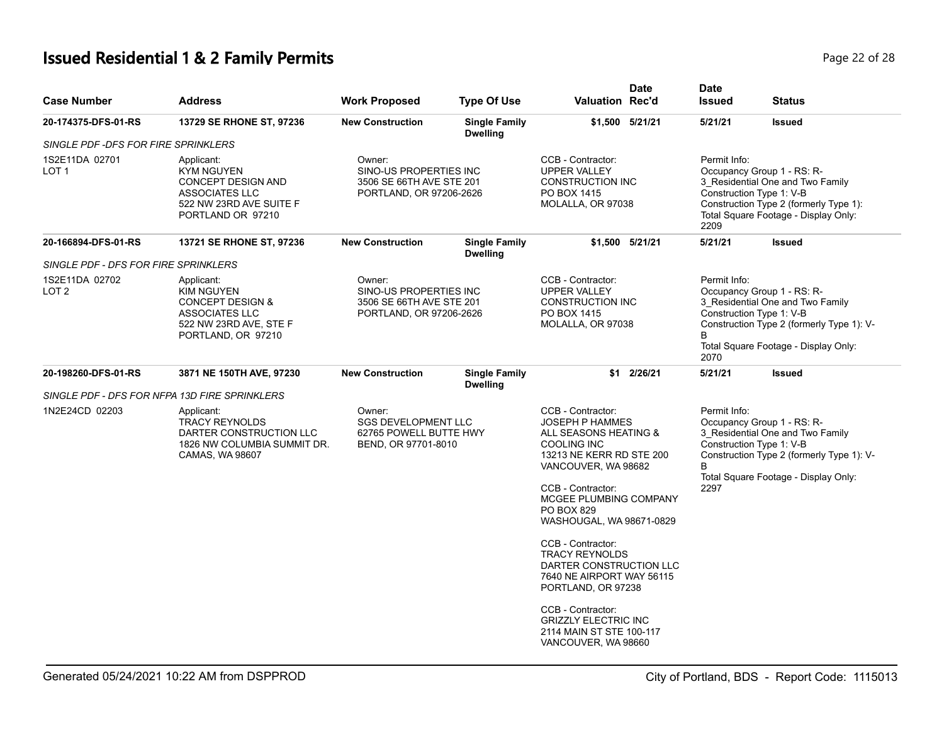# **Issued Residential 1 & 2 Family Permits Page 22 of 28 Page 22 of 28**

| <b>Case Number</b>                            | <b>Address</b>                                                                                                                   | <b>Work Proposed</b>                                                                    | <b>Type Of Use</b>                                                                                                                                                                       | <b>Valuation Rec'd</b>                                                                                                                                                                                                                                                                      | <b>Date</b>                                                                                                                                                                                                  | <b>Date</b><br><b>Issued</b> | <b>Status</b>                                                                                                                                                                   |
|-----------------------------------------------|----------------------------------------------------------------------------------------------------------------------------------|-----------------------------------------------------------------------------------------|------------------------------------------------------------------------------------------------------------------------------------------------------------------------------------------|---------------------------------------------------------------------------------------------------------------------------------------------------------------------------------------------------------------------------------------------------------------------------------------------|--------------------------------------------------------------------------------------------------------------------------------------------------------------------------------------------------------------|------------------------------|---------------------------------------------------------------------------------------------------------------------------------------------------------------------------------|
| 20-174375-DFS-01-RS                           | 13729 SE RHONE ST, 97236                                                                                                         | <b>New Construction</b>                                                                 | <b>Single Family</b><br><b>Dwelling</b>                                                                                                                                                  |                                                                                                                                                                                                                                                                                             | \$1,500 5/21/21                                                                                                                                                                                              | 5/21/21                      | <b>Issued</b>                                                                                                                                                                   |
| SINGLE PDF -DFS FOR FIRE SPRINKLERS           |                                                                                                                                  |                                                                                         |                                                                                                                                                                                          |                                                                                                                                                                                                                                                                                             |                                                                                                                                                                                                              |                              |                                                                                                                                                                                 |
| 1S2E11DA 02701<br>LOT 1                       | Applicant:<br>KYM NGUYEN<br>CONCEPT DESIGN AND<br>ASSOCIATES LLC<br>522 NW 23RD AVE SUITE F<br>PORTLAND OR 97210                 | Owner:<br>SINO-US PROPERTIES INC<br>3506 SE 66TH AVE STE 201<br>PORTLAND, OR 97206-2626 |                                                                                                                                                                                          | CCB - Contractor:<br><b>UPPER VALLEY</b><br><b>CONSTRUCTION INC</b><br>PO BOX 1415<br>MOLALLA, OR 97038                                                                                                                                                                                     |                                                                                                                                                                                                              | Permit Info:<br>2209         | Occupancy Group 1 - RS: R-<br>3_Residential One and Two Family<br>Construction Type 1: V-B<br>Construction Type 2 (formerly Type 1):<br>Total Square Footage - Display Only:    |
| 20-166894-DFS-01-RS                           | 13721 SE RHONE ST, 97236                                                                                                         | <b>New Construction</b>                                                                 | <b>Single Family</b><br><b>Dwelling</b>                                                                                                                                                  |                                                                                                                                                                                                                                                                                             | \$1,500 5/21/21                                                                                                                                                                                              | 5/21/21                      | <b>Issued</b>                                                                                                                                                                   |
| SINGLE PDF - DFS FOR FIRE SPRINKLERS          |                                                                                                                                  |                                                                                         |                                                                                                                                                                                          |                                                                                                                                                                                                                                                                                             |                                                                                                                                                                                                              |                              |                                                                                                                                                                                 |
| 1S2E11DA 02702<br>LOT 2                       | Applicant:<br>KIM NGUYEN<br><b>CONCEPT DESIGN &amp;</b><br><b>ASSOCIATES LLC</b><br>522 NW 23RD AVE, STE F<br>PORTLAND, OR 97210 | Owner:                                                                                  | CCB - Contractor:<br>SINO-US PROPERTIES INC<br><b>UPPER VALLEY</b><br>3506 SE 66TH AVE STE 201<br><b>CONSTRUCTION INC</b><br>PO BOX 1415<br>PORTLAND, OR 97206-2626<br>MOLALLA, OR 97038 |                                                                                                                                                                                                                                                                                             | Permit Info:<br>Occupancy Group 1 - RS: R-<br>3 Residential One and Two Family<br>Construction Type 1: V-B<br>Construction Type 2 (formerly Type 1): V-<br>B<br>Total Square Footage - Display Only:<br>2070 |                              |                                                                                                                                                                                 |
| 20-198260-DFS-01-RS                           | 3871 NE 150TH AVE, 97230                                                                                                         | <b>New Construction</b>                                                                 | <b>Single Family</b><br><b>Dwelling</b>                                                                                                                                                  | \$1                                                                                                                                                                                                                                                                                         | 2/26/21                                                                                                                                                                                                      | 5/21/21                      | <b>Issued</b>                                                                                                                                                                   |
| SINGLE PDF - DFS FOR NFPA 13D FIRE SPRINKLERS |                                                                                                                                  |                                                                                         |                                                                                                                                                                                          |                                                                                                                                                                                                                                                                                             |                                                                                                                                                                                                              |                              |                                                                                                                                                                                 |
| 1N2E24CD 02203                                | Applicant:<br><b>TRACY REYNOLDS</b><br>DARTER CONSTRUCTION LLC<br>1826 NW COLUMBIA SUMMIT DR.<br>CAMAS, WA 98607                 | Owner:<br><b>SGS DEVELOPMENT LLC</b><br>62765 POWELL BUTTE HWY<br>BEND, OR 97701-8010   |                                                                                                                                                                                          | CCB - Contractor:<br><b>JOSEPH P HAMMES</b><br>ALL SEASONS HEATING &<br><b>COOLING INC</b><br>13213 NE KERR RD STE 200<br>VANCOUVER, WA 98682<br>CCB - Contractor:<br>MCGEE PLUMBING COMPANY<br><b>PO BOX 829</b><br>WASHOUGAL, WA 98671-0829<br>CCB - Contractor:<br><b>TRACY REYNOLDS</b> |                                                                                                                                                                                                              | Permit Info:<br>B<br>2297    | Occupancy Group 1 - RS: R-<br>3 Residential One and Two Family<br>Construction Type 1: V-B<br>Construction Type 2 (formerly Type 1): V-<br>Total Square Footage - Display Only: |
|                                               |                                                                                                                                  |                                                                                         |                                                                                                                                                                                          | DARTER CONSTRUCTION LLC<br>7640 NE AIRPORT WAY 56115<br>PORTLAND, OR 97238<br>CCB - Contractor:<br><b>GRIZZLY ELECTRIC INC</b><br>2114 MAIN ST STE 100-117<br>VANCOUVER, WA 98660                                                                                                           |                                                                                                                                                                                                              |                              |                                                                                                                                                                                 |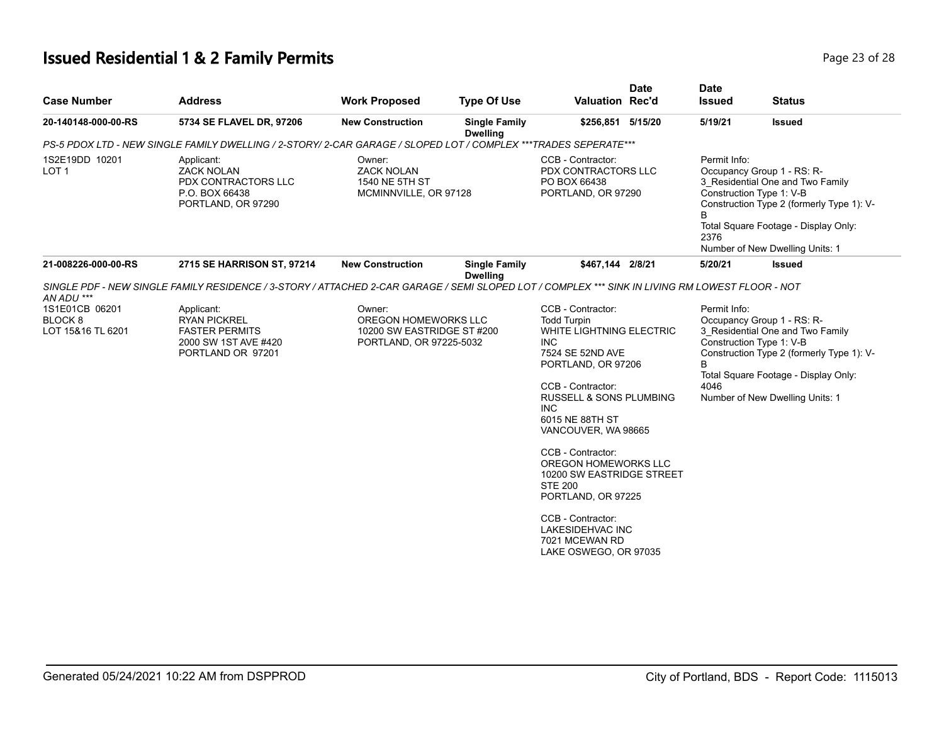# **Issued Residential 1 & 2 Family Permits Page 23 of 28 Page 23 of 28**

| <b>Case Number</b>                                        | <b>Address</b>                                                                                                                                  | <b>Work Proposed</b>                                                                    | <b>Type Of Use</b>                      | <b>Valuation Rec'd</b>                                                                                                                                                                                                                                                                                                                                                                                                                         | <b>Date</b> | <b>Date</b><br><b>Issued</b> | <b>Status</b>                                                                                                                                                                                                      |
|-----------------------------------------------------------|-------------------------------------------------------------------------------------------------------------------------------------------------|-----------------------------------------------------------------------------------------|-----------------------------------------|------------------------------------------------------------------------------------------------------------------------------------------------------------------------------------------------------------------------------------------------------------------------------------------------------------------------------------------------------------------------------------------------------------------------------------------------|-------------|------------------------------|--------------------------------------------------------------------------------------------------------------------------------------------------------------------------------------------------------------------|
| 20-140148-000-00-RS                                       | 5734 SE FLAVEL DR, 97206                                                                                                                        | <b>New Construction</b>                                                                 | <b>Single Family</b><br><b>Dwelling</b> | \$256,851 5/15/20                                                                                                                                                                                                                                                                                                                                                                                                                              |             | 5/19/21                      | <b>Issued</b>                                                                                                                                                                                                      |
|                                                           | PS-5 PDOX LTD - NEW SINGLE FAMILY DWELLING / 2-STORY/ 2-CAR GARAGE / SLOPED LOT / COMPLEX ***TRADES SEPERATE***                                 |                                                                                         |                                         |                                                                                                                                                                                                                                                                                                                                                                                                                                                |             |                              |                                                                                                                                                                                                                    |
| 1S2E19DD 10201<br>LOT <sub>1</sub>                        | Applicant:<br><b>ZACK NOLAN</b><br>PDX CONTRACTORS LLC<br>P.O. BOX 66438<br>PORTLAND, OR 97290                                                  | Owner:<br><b>ZACK NOLAN</b><br>1540 NE 5TH ST<br>MCMINNVILLE, OR 97128                  |                                         | CCB - Contractor:<br>PDX CONTRACTORS LLC<br>PO BOX 66438<br>PORTLAND, OR 97290                                                                                                                                                                                                                                                                                                                                                                 |             | Permit Info:<br>B<br>2376    | Occupancy Group 1 - RS: R-<br>3 Residential One and Two Family<br>Construction Type 1: V-B<br>Construction Type 2 (formerly Type 1): V-<br>Total Square Footage - Display Only:<br>Number of New Dwelling Units: 1 |
| 21-008226-000-00-RS                                       | 2715 SE HARRISON ST, 97214                                                                                                                      | <b>New Construction</b>                                                                 | <b>Single Family</b><br><b>Dwelling</b> | \$467,144 2/8/21                                                                                                                                                                                                                                                                                                                                                                                                                               |             | 5/20/21                      | <b>Issued</b>                                                                                                                                                                                                      |
| AN ADU ***                                                | SINGLE PDF - NEW SINGLE FAMILY RESIDENCE / 3-STORY / ATTACHED 2-CAR GARAGE / SEMI SLOPED LOT / COMPLEX *** SINK IN LIVING RM LOWEST FLOOR - NOT |                                                                                         |                                         |                                                                                                                                                                                                                                                                                                                                                                                                                                                |             |                              |                                                                                                                                                                                                                    |
| 1S1E01CB 06201<br>BLOCK <sub>8</sub><br>LOT 15&16 TL 6201 | Applicant:<br><b>RYAN PICKREL</b><br><b>FASTER PERMITS</b><br>2000 SW 1ST AVE #420<br>PORTLAND OR 97201                                         | Owner:<br>OREGON HOMEWORKS LLC<br>10200 SW EASTRIDGE ST #200<br>PORTLAND, OR 97225-5032 |                                         | CCB - Contractor:<br><b>Todd Turpin</b><br>WHITE LIGHTNING ELECTRIC<br>INC.<br>7524 SE 52ND AVE<br>PORTLAND, OR 97206<br>CCB - Contractor:<br><b>RUSSELL &amp; SONS PLUMBING</b><br><b>INC</b><br>6015 NE 88TH ST<br>VANCOUVER, WA 98665<br>CCB - Contractor:<br>OREGON HOMEWORKS LLC<br>10200 SW EASTRIDGE STREET<br><b>STE 200</b><br>PORTLAND, OR 97225<br>CCB - Contractor:<br>LAKESIDEHVAC INC<br>7021 MCEWAN RD<br>LAKE OSWEGO, OR 97035 |             | Permit Info:<br>B<br>4046    | Occupancy Group 1 - RS: R-<br>3 Residential One and Two Family<br>Construction Type 1: V-B<br>Construction Type 2 (formerly Type 1): V-<br>Total Square Footage - Display Only:<br>Number of New Dwelling Units: 1 |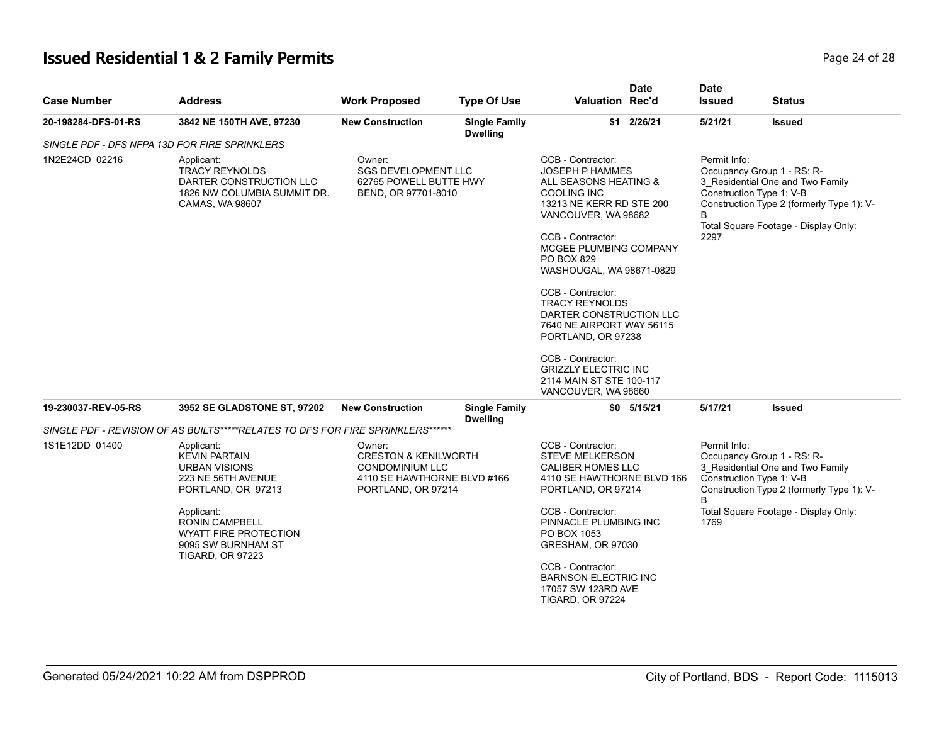# **Issued Residential 1 & 2 Family Permits Page 24 of 28 Page 24 of 28**

| <b>Case Number</b>  | <b>Address</b>                                                                                                       | <b>Work Proposed</b>                                                                                                     | <b>Type Of Use</b>                      | <b>Valuation Rec'd</b>                                                                                                                                                                                                                                                                                                                                                                                                                             | <b>Date</b>    | <b>Date</b><br><b>Issued</b> | <b>Status</b>                                                                                                                                                                   |
|---------------------|----------------------------------------------------------------------------------------------------------------------|--------------------------------------------------------------------------------------------------------------------------|-----------------------------------------|----------------------------------------------------------------------------------------------------------------------------------------------------------------------------------------------------------------------------------------------------------------------------------------------------------------------------------------------------------------------------------------------------------------------------------------------------|----------------|------------------------------|---------------------------------------------------------------------------------------------------------------------------------------------------------------------------------|
| 20-198284-DFS-01-RS | 3842 NE 150TH AVE, 97230                                                                                             | <b>New Construction</b>                                                                                                  | <b>Single Family</b><br><b>Dwelling</b> |                                                                                                                                                                                                                                                                                                                                                                                                                                                    | \$1 2/26/21    | 5/21/21                      | <b>Issued</b>                                                                                                                                                                   |
|                     | SINGLE PDF - DFS NFPA 13D FOR FIRE SPRINKLERS                                                                        |                                                                                                                          |                                         |                                                                                                                                                                                                                                                                                                                                                                                                                                                    |                |                              |                                                                                                                                                                                 |
| 1N2E24CD 02216      | Applicant:<br><b>TRACY REYNOLDS</b><br>DARTER CONSTRUCTION LLC<br>1826 NW COLUMBIA SUMMIT DR.<br>CAMAS, WA 98607     | Owner:<br><b>SGS DEVELOPMENT LLC</b><br>62765 POWELL BUTTE HWY<br>BEND, OR 97701-8010                                    |                                         | CCB - Contractor:<br><b>JOSEPH P HAMMES</b><br>ALL SEASONS HEATING &<br>COOLING INC<br>13213 NE KERR RD STE 200<br>VANCOUVER, WA 98682<br>CCB - Contractor:<br>MCGEE PLUMBING COMPANY<br><b>PO BOX 829</b><br>WASHOUGAL, WA 98671-0829<br>CCB - Contractor:<br><b>TRACY REYNOLDS</b><br>DARTER CONSTRUCTION LLC<br>7640 NE AIRPORT WAY 56115<br>PORTLAND, OR 97238<br>CCB - Contractor:<br><b>GRIZZLY ELECTRIC INC</b><br>2114 MAIN ST STE 100-117 |                | Permit Info:<br>B<br>2297    | Occupancy Group 1 - RS: R-<br>3_Residential One and Two Family<br>Construction Type 1: V-B<br>Construction Type 2 (formerly Type 1): V-<br>Total Square Footage - Display Only: |
| 19-230037-REV-05-RS | 3952 SE GLADSTONE ST, 97202                                                                                          | <b>New Construction</b>                                                                                                  | <b>Single Family</b>                    | VANCOUVER, WA 98660                                                                                                                                                                                                                                                                                                                                                                                                                                | $$0$ $5/15/21$ | 5/17/21                      | <b>Issued</b>                                                                                                                                                                   |
|                     |                                                                                                                      |                                                                                                                          | <b>Dwelling</b>                         |                                                                                                                                                                                                                                                                                                                                                                                                                                                    |                |                              |                                                                                                                                                                                 |
|                     | SINGLE PDF - REVISION OF AS BUILTS*****RELATES TO DFS FOR FIRE SPRINKLERS******                                      |                                                                                                                          |                                         |                                                                                                                                                                                                                                                                                                                                                                                                                                                    |                |                              |                                                                                                                                                                                 |
| 1S1E12DD 01400      | Applicant:<br><b>KEVIN PARTAIN</b><br><b>URBAN VISIONS</b><br>223 NE 56TH AVENUE<br>PORTLAND, OR 97213               | Owner:<br><b>CRESTON &amp; KENILWORTH</b><br><b>CONDOMINIUM LLC</b><br>4110 SE HAWTHORNE BLVD #166<br>PORTLAND, OR 97214 |                                         | CCB - Contractor:<br><b>STEVE MELKERSON</b><br><b>CALIBER HOMES LLC</b><br>4110 SE HAWTHORNE BLVD 166<br>PORTLAND, OR 97214                                                                                                                                                                                                                                                                                                                        |                | Permit Info:<br>B            | Occupancy Group 1 - RS: R-<br>3 Residential One and Two Family<br>Construction Type 1: V-B<br>Construction Type 2 (formerly Type 1): V-                                         |
|                     | Applicant:<br><b>RONIN CAMPBELL</b><br><b>WYATT FIRE PROTECTION</b><br>9095 SW BURNHAM ST<br><b>TIGARD, OR 97223</b> |                                                                                                                          |                                         | CCB - Contractor:<br>PINNACLE PLUMBING INC<br>PO BOX 1053<br>GRESHAM, OR 97030                                                                                                                                                                                                                                                                                                                                                                     |                | 1769                         | Total Square Footage - Display Only:                                                                                                                                            |
|                     |                                                                                                                      |                                                                                                                          |                                         | CCB - Contractor:<br><b>BARNSON ELECTRIC INC</b><br>17057 SW 123RD AVE<br><b>TIGARD, OR 97224</b>                                                                                                                                                                                                                                                                                                                                                  |                |                              |                                                                                                                                                                                 |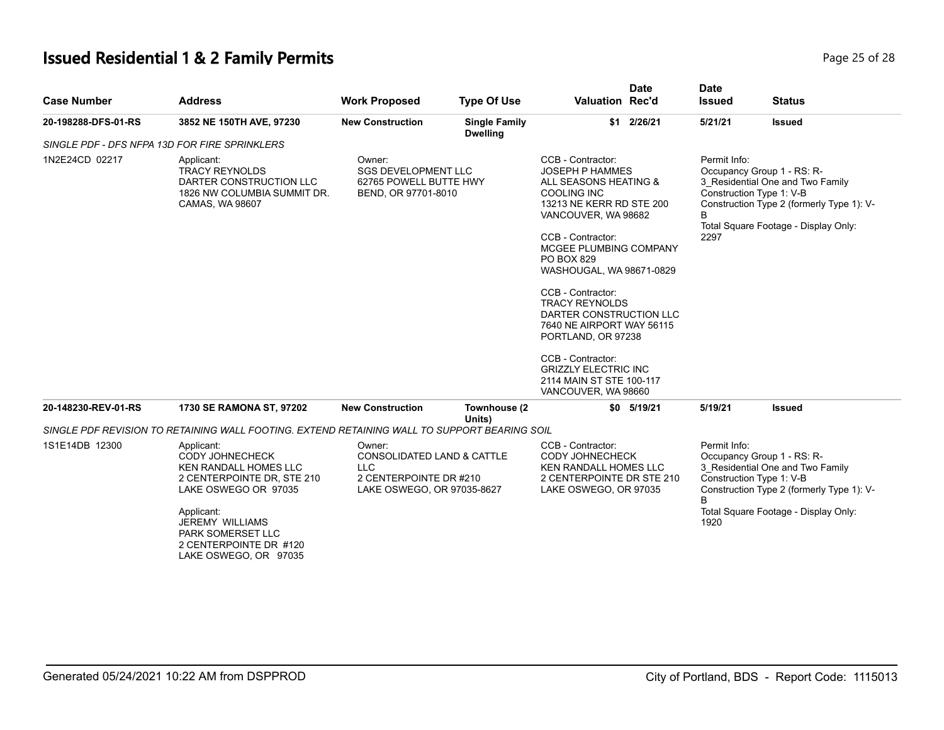# **Issued Residential 1 & 2 Family Permits Page 25 of 28 Page 25 of 28**

| <b>Case Number</b>  | <b>Address</b>                                                                                                                                                                                                                      | <b>Work Proposed</b>                                                                                                  | <b>Type Of Use</b>                                                                                                                                                                                                                                                                                                                                                                                                                                                               | <b>Valuation Rec'd</b>                                                                                                            | <b>Date</b>                                                                                                                                                                                                  | <b>Date</b><br><b>Issued</b> | <b>Status</b>                                                                                                                                                                   |
|---------------------|-------------------------------------------------------------------------------------------------------------------------------------------------------------------------------------------------------------------------------------|-----------------------------------------------------------------------------------------------------------------------|----------------------------------------------------------------------------------------------------------------------------------------------------------------------------------------------------------------------------------------------------------------------------------------------------------------------------------------------------------------------------------------------------------------------------------------------------------------------------------|-----------------------------------------------------------------------------------------------------------------------------------|--------------------------------------------------------------------------------------------------------------------------------------------------------------------------------------------------------------|------------------------------|---------------------------------------------------------------------------------------------------------------------------------------------------------------------------------|
| 20-198288-DFS-01-RS | 3852 NE 150TH AVE, 97230                                                                                                                                                                                                            | <b>New Construction</b>                                                                                               | <b>Single Family</b><br><b>Dwelling</b>                                                                                                                                                                                                                                                                                                                                                                                                                                          |                                                                                                                                   | \$1 2/26/21                                                                                                                                                                                                  | 5/21/21                      | <b>Issued</b>                                                                                                                                                                   |
|                     | SINGLE PDF - DFS NFPA 13D FOR FIRE SPRINKLERS                                                                                                                                                                                       |                                                                                                                       |                                                                                                                                                                                                                                                                                                                                                                                                                                                                                  |                                                                                                                                   |                                                                                                                                                                                                              |                              |                                                                                                                                                                                 |
| 1N2E24CD 02217      | Applicant:<br><b>TRACY REYNOLDS</b><br>DARTER CONSTRUCTION LLC<br>1826 NW COLUMBIA SUMMIT DR.<br>CAMAS, WA 98607                                                                                                                    | Owner:<br><b>SGS DEVELOPMENT LLC</b><br>62765 POWELL BUTTE HWY<br>BEND, OR 97701-8010                                 | CCB - Contractor:<br><b>JOSEPH P HAMMES</b><br>ALL SEASONS HEATING &<br><b>COOLING INC</b><br>13213 NE KERR RD STE 200<br>VANCOUVER, WA 98682<br>CCB - Contractor:<br>MCGEE PLUMBING COMPANY<br><b>PO BOX 829</b><br>WASHOUGAL, WA 98671-0829<br>CCB - Contractor:<br><b>TRACY REYNOLDS</b><br>DARTER CONSTRUCTION LLC<br>7640 NE AIRPORT WAY 56115<br>PORTLAND, OR 97238<br>CCB - Contractor:<br><b>GRIZZLY ELECTRIC INC</b><br>2114 MAIN ST STE 100-117<br>VANCOUVER, WA 98660 |                                                                                                                                   | Permit Info:<br>Occupancy Group 1 - RS: R-<br>3_Residential One and Two Family<br>Construction Type 1: V-B<br>Construction Type 2 (formerly Type 1): V-<br>B<br>Total Square Footage - Display Only:<br>2297 |                              |                                                                                                                                                                                 |
| 20-148230-REV-01-RS | 1730 SE RAMONA ST, 97202                                                                                                                                                                                                            | <b>New Construction</b>                                                                                               | Townhouse (2                                                                                                                                                                                                                                                                                                                                                                                                                                                                     |                                                                                                                                   | \$0 5/19/21                                                                                                                                                                                                  | 5/19/21                      | <b>Issued</b>                                                                                                                                                                   |
|                     | SINGLE PDF REVISION TO RETAINING WALL FOOTING. EXTEND RETAINING WALL TO SUPPORT BEARING SOIL                                                                                                                                        |                                                                                                                       | Units)                                                                                                                                                                                                                                                                                                                                                                                                                                                                           |                                                                                                                                   |                                                                                                                                                                                                              |                              |                                                                                                                                                                                 |
| 1S1E14DB 12300      | Applicant:<br><b>CODY JOHNECHECK</b><br>KEN RANDALL HOMES LLC<br>2 CENTERPOINTE DR, STE 210<br>LAKE OSWEGO OR 97035<br>Applicant:<br><b>JEREMY WILLIAMS</b><br>PARK SOMERSET LLC<br>2 CENTERPOINTE DR #120<br>LAKE OSWEGO, OR 97035 | Owner:<br><b>CONSOLIDATED LAND &amp; CATTLE</b><br><b>LLC</b><br>2 CENTERPOINTE DR #210<br>LAKE OSWEGO, OR 97035-8627 |                                                                                                                                                                                                                                                                                                                                                                                                                                                                                  | CCB - Contractor:<br><b>CODY JOHNECHECK</b><br><b>KEN RANDALL HOMES LLC</b><br>2 CENTERPOINTE DR STE 210<br>LAKE OSWEGO, OR 97035 |                                                                                                                                                                                                              | Permit Info:<br>В<br>1920    | Occupancy Group 1 - RS: R-<br>3 Residential One and Two Family<br>Construction Type 1: V-B<br>Construction Type 2 (formerly Type 1): V-<br>Total Square Footage - Display Only: |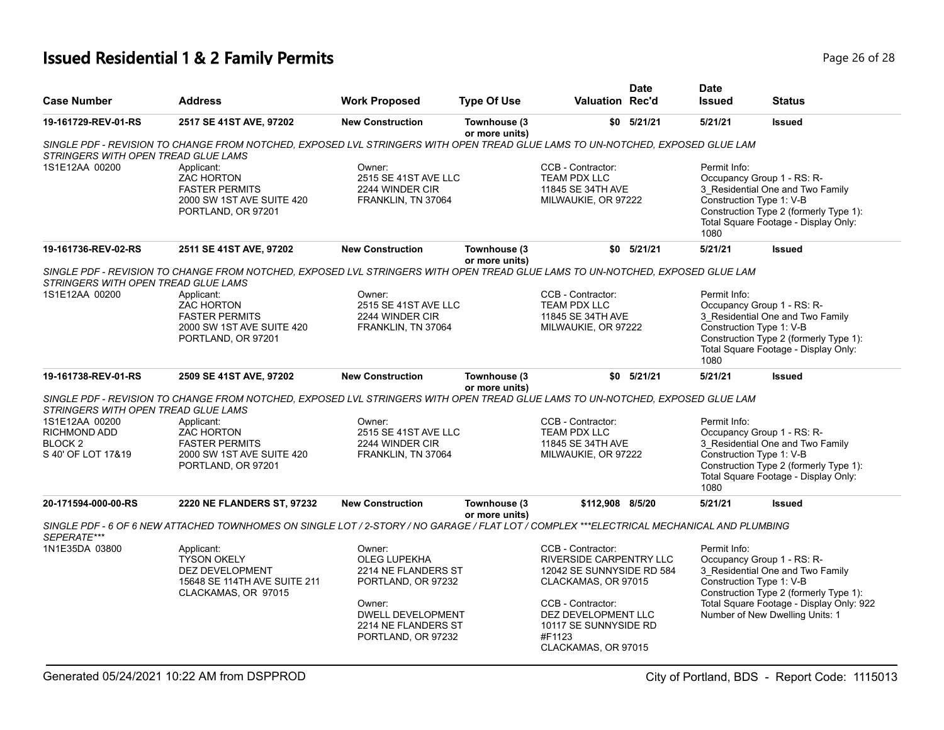# **Issued Residential 1 & 2 Family Permits Page 26 of 28 Page 26 of 28**

| <b>Case Number</b>                                                         | <b>Address</b>                                                                                                                            | <b>Work Proposed</b>                                                                                                                                          | <b>Type Of Use</b>             | <b>Valuation Rec'd</b>                                                                                                                                                                                        | <b>Date</b>    | <b>Date</b><br><b>Issued</b> | <b>Status</b>                                                                                                                                                                                                       |
|----------------------------------------------------------------------------|-------------------------------------------------------------------------------------------------------------------------------------------|---------------------------------------------------------------------------------------------------------------------------------------------------------------|--------------------------------|---------------------------------------------------------------------------------------------------------------------------------------------------------------------------------------------------------------|----------------|------------------------------|---------------------------------------------------------------------------------------------------------------------------------------------------------------------------------------------------------------------|
| 19-161729-REV-01-RS                                                        | 2517 SE 41ST AVE, 97202                                                                                                                   | <b>New Construction</b>                                                                                                                                       | Townhouse (3<br>or more units) |                                                                                                                                                                                                               | $$0$ $5/21/21$ | 5/21/21                      | <b>Issued</b>                                                                                                                                                                                                       |
| STRINGERS WITH OPEN TREAD GLUE LAMS                                        | SINGLE PDF - REVISION TO CHANGE FROM NOTCHED, EXPOSED LVL STRINGERS WITH OPEN TREAD GLUE LAMS TO UN-NOTCHED, EXPOSED GLUE LAM             |                                                                                                                                                               |                                |                                                                                                                                                                                                               |                |                              |                                                                                                                                                                                                                     |
| 1S1E12AA 00200                                                             | Applicant:<br><b>ZAC HORTON</b><br><b>FASTER PERMITS</b><br>2000 SW 1ST AVE SUITE 420<br>PORTLAND, OR 97201                               | Owner:<br>2515 SE 41ST AVE LLC<br>2244 WINDER CIR<br>FRANKLIN, TN 37064                                                                                       |                                | CCB - Contractor:<br>TEAM PDX LLC<br>11845 SE 34TH AVE<br>MILWAUKIE, OR 97222                                                                                                                                 |                | Permit Info:<br>1080         | Occupancy Group 1 - RS: R-<br>3 Residential One and Two Family<br>Construction Type 1: V-B<br>Construction Type 2 (formerly Type 1):<br>Total Square Footage - Display Only:                                        |
| 19-161736-REV-02-RS                                                        | 2511 SE 41ST AVE, 97202                                                                                                                   | <b>New Construction</b>                                                                                                                                       | Townhouse (3<br>or more units) |                                                                                                                                                                                                               | $$0$ $5/21/21$ | 5/21/21                      | <b>Issued</b>                                                                                                                                                                                                       |
| STRINGERS WITH OPEN TREAD GLUE LAMS                                        | SINGLE PDF - REVISION TO CHANGE FROM NOTCHED. EXPOSED LVL STRINGERS WITH OPEN TREAD GLUE LAMS TO UN-NOTCHED. EXPOSED GLUE LAM             |                                                                                                                                                               |                                |                                                                                                                                                                                                               |                |                              |                                                                                                                                                                                                                     |
| 1S1E12AA 00200                                                             | Applicant:<br><b>ZAC HORTON</b><br><b>FASTER PERMITS</b><br>2000 SW 1ST AVE SUITE 420<br>PORTLAND, OR 97201                               | Owner:<br>2515 SE 41ST AVE LLC<br>2244 WINDER CIR<br>FRANKLIN, TN 37064                                                                                       |                                | CCB - Contractor:<br><b>TEAM PDX LLC</b><br>11845 SE 34TH AVE<br>MILWAUKIE, OR 97222                                                                                                                          |                | Permit Info:<br>1080         | Occupancy Group 1 - RS: R-<br>3_Residential One and Two Family<br>Construction Type 1: V-B<br>Construction Type 2 (formerly Type 1):<br>Total Square Footage - Display Only:                                        |
| 19-161738-REV-01-RS                                                        | 2509 SE 41ST AVE, 97202                                                                                                                   | <b>New Construction</b>                                                                                                                                       | Townhouse (3<br>or more units) |                                                                                                                                                                                                               | $$0$ $5/21/21$ | 5/21/21                      | <b>Issued</b>                                                                                                                                                                                                       |
| STRINGERS WITH OPEN TREAD GLUE LAMS                                        | SINGLE PDF - REVISION TO CHANGE FROM NOTCHED. EXPOSED LVL STRINGERS WITH OPEN TREAD GLUE LAMS TO UN-NOTCHED. EXPOSED GLUE LAM             |                                                                                                                                                               |                                |                                                                                                                                                                                                               |                |                              |                                                                                                                                                                                                                     |
| 1S1E12AA 00200<br>RICHMOND ADD<br>BLOCK <sub>2</sub><br>S 40' OF LOT 17&19 | Applicant:<br><b>ZAC HORTON</b><br><b>FASTER PERMITS</b><br>2000 SW 1ST AVE SUITE 420<br>PORTLAND, OR 97201                               | Owner:<br>2515 SE 41ST AVE LLC<br>2244 WINDER CIR<br>FRANKLIN, TN 37064                                                                                       |                                | CCB - Contractor:<br>TEAM PDX LLC<br>11845 SE 34TH AVE<br>MILWAUKIE, OR 97222                                                                                                                                 |                | Permit Info:<br>1080         | Occupancy Group 1 - RS: R-<br>3 Residential One and Two Family<br>Construction Type 1: V-B<br>Construction Type 2 (formerly Type 1):<br>Total Square Footage - Display Only:                                        |
| 20-171594-000-00-RS                                                        | <b>2220 NE FLANDERS ST, 97232</b>                                                                                                         | <b>New Construction</b>                                                                                                                                       | Townhouse (3<br>or more units) | \$112,908 8/5/20                                                                                                                                                                                              |                | 5/21/21                      | <b>Issued</b>                                                                                                                                                                                                       |
| SEPERATE***                                                                | SINGLE PDF - 6 OF 6 NEW ATTACHED TOWNHOMES ON SINGLE LOT / 2-STORY / NO GARAGE / FLAT LOT / COMPLEX ***ELECTRICAL MECHANICAL AND PLUMBING |                                                                                                                                                               |                                |                                                                                                                                                                                                               |                |                              |                                                                                                                                                                                                                     |
| 1N1E35DA 03800                                                             | Applicant:<br><b>TYSON OKELY</b><br>DEZ DEVELOPMENT<br>15648 SE 114TH AVE SUITE 211<br>CLACKAMAS, OR 97015                                | Owner:<br><b>OLEG LUPEKHA</b><br>2214 NE FLANDERS ST<br>PORTLAND, OR 97232<br>Owner:<br><b>DWELL DEVELOPMENT</b><br>2214 NE FLANDERS ST<br>PORTLAND, OR 97232 |                                | CCB - Contractor:<br><b>RIVERSIDE CARPENTRY LLC</b><br>12042 SE SUNNYSIDE RD 584<br>CLACKAMAS, OR 97015<br>CCB - Contractor:<br>DEZ DEVELOPMENT LLC<br>10117 SE SUNNYSIDE RD<br>#F1123<br>CLACKAMAS, OR 97015 |                | Permit Info:                 | Occupancy Group 1 - RS: R-<br>3_Residential One and Two Family<br>Construction Type 1: V-B<br>Construction Type 2 (formerly Type 1):<br>Total Square Footage - Display Only: 922<br>Number of New Dwelling Units: 1 |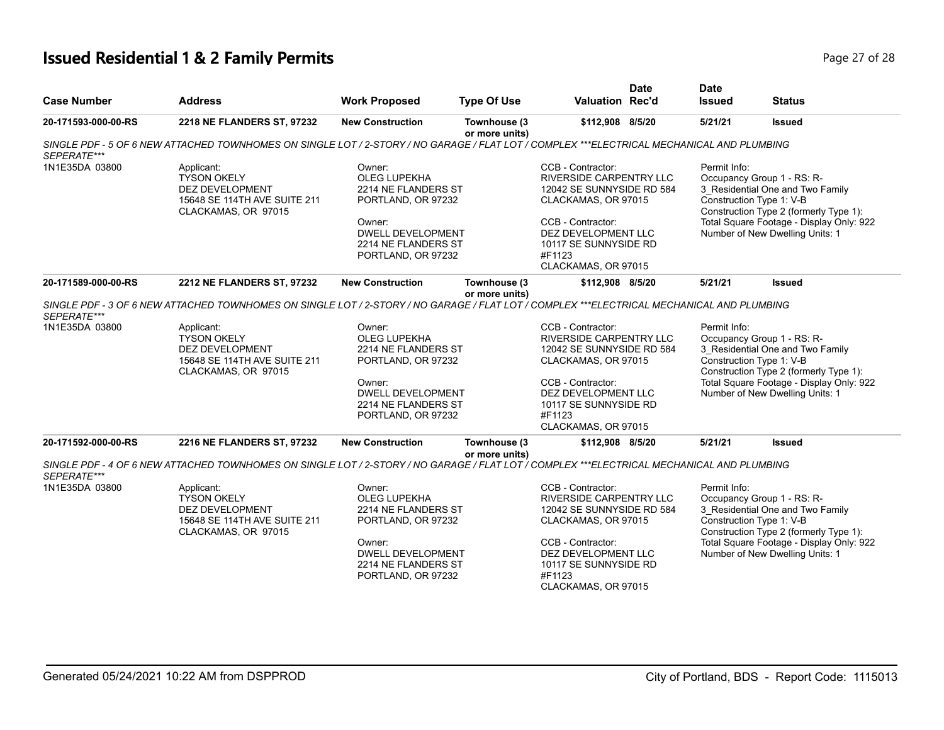# **Issued Residential 1 & 2 Family Permits Page 27 of 28 Page 27 of 28**

| <b>Case Number</b>                                   | <b>Address</b>                                                                                                                                                                                                                                                                        | <b>Work Proposed</b>                                                                                                                                                                     | <b>Type Of Use</b>             | <b>Valuation Rec'd</b>                                                                                                                                                                                                            | <b>Date</b> | <b>Date</b><br><b>Issued</b>                        | <b>Status</b>                                                                                                                                                                                            |
|------------------------------------------------------|---------------------------------------------------------------------------------------------------------------------------------------------------------------------------------------------------------------------------------------------------------------------------------------|------------------------------------------------------------------------------------------------------------------------------------------------------------------------------------------|--------------------------------|-----------------------------------------------------------------------------------------------------------------------------------------------------------------------------------------------------------------------------------|-------------|-----------------------------------------------------|----------------------------------------------------------------------------------------------------------------------------------------------------------------------------------------------------------|
| 20-171593-000-00-RS                                  | 2218 NE FLANDERS ST, 97232                                                                                                                                                                                                                                                            | <b>New Construction</b>                                                                                                                                                                  | Townhouse (3<br>or more units) | \$112,908 8/5/20                                                                                                                                                                                                                  |             | 5/21/21                                             | <b>Issued</b>                                                                                                                                                                                            |
| SEPERATE***                                          | SINGLE PDF - 5 OF 6 NEW ATTACHED TOWNHOMES ON SINGLE LOT / 2-STORY / NO GARAGE / FLAT LOT / COMPLEX ***ELECTRICAL MECHANICAL AND PLUMBING                                                                                                                                             |                                                                                                                                                                                          |                                |                                                                                                                                                                                                                                   |             |                                                     |                                                                                                                                                                                                          |
| 1N1E35DA 03800                                       | Applicant:<br><b>TYSON OKELY</b><br><b>DEZ DEVELOPMENT</b><br>15648 SE 114TH AVE SUITE 211<br>CLACKAMAS, OR 97015                                                                                                                                                                     | Owner:<br>OLEG LUPEKHA<br>2214 NE FLANDERS ST<br>PORTLAND, OR 97232<br>Owner:<br><b>DWELL DEVELOPMENT</b><br>2214 NE FLANDERS ST<br>PORTLAND, OR 97232                                   |                                | CCB - Contractor:<br>RIVERSIDE CARPENTRY LLC<br>12042 SE SUNNYSIDE RD 584<br>CLACKAMAS, OR 97015<br>CCB - Contractor:<br>DEZ DEVELOPMENT LLC<br>10117 SE SUNNYSIDE RD<br>#F1123<br>CLACKAMAS, OR 97015                            |             | Permit Info:<br>Construction Type 1: V-B            | Occupancy Group 1 - RS: R-<br>3 Residential One and Two Family<br>Construction Type 2 (formerly Type 1):<br>Total Square Footage - Display Only: 922<br>Number of New Dwelling Units: 1                  |
| 20-171589-000-00-RS                                  | 2212 NE FLANDERS ST, 97232                                                                                                                                                                                                                                                            | <b>New Construction</b>                                                                                                                                                                  | Townhouse (3                   | \$112,908 8/5/20                                                                                                                                                                                                                  |             | 5/21/21                                             | <b>Issued</b>                                                                                                                                                                                            |
| SEPERATE***<br>1N1E35DA 03800<br>20-171592-000-00-RS | SINGLE PDF - 3 OF 6 NEW ATTACHED TOWNHOMES ON SINGLE LOT / 2-STORY / NO GARAGE / FLAT LOT / COMPLEX ***ELECTRICAL MECHANICAL AND PLUMBING<br>Applicant:<br><b>TYSON OKELY</b><br>DEZ DEVELOPMENT<br>15648 SE 114TH AVE SUITE 211<br>CLACKAMAS, OR 97015<br>2216 NE FLANDERS ST, 97232 | Owner:<br><b>OLEG LUPEKHA</b><br>2214 NE FLANDERS ST<br>PORTLAND, OR 97232<br>Owner:<br><b>DWELL DEVELOPMENT</b><br>2214 NE FLANDERS ST<br>PORTLAND, OR 97232<br><b>New Construction</b> | or more units)<br>Townhouse (3 | CCB - Contractor:<br><b>RIVERSIDE CARPENTRY LLC</b><br>12042 SE SUNNYSIDE RD 584<br>CLACKAMAS, OR 97015<br>CCB - Contractor:<br>DEZ DEVELOPMENT LLC<br>10117 SE SUNNYSIDE RD<br>#F1123<br>CLACKAMAS, OR 97015<br>\$112,908 8/5/20 |             | Permit Info:<br>Construction Type 1: V-B<br>5/21/21 | Occupancy Group 1 - RS: R-<br>3_Residential One and Two Family<br>Construction Type 2 (formerly Type 1):<br>Total Square Footage - Display Only: 922<br>Number of New Dwelling Units: 1<br><b>Issued</b> |
|                                                      |                                                                                                                                                                                                                                                                                       |                                                                                                                                                                                          | or more units)                 |                                                                                                                                                                                                                                   |             |                                                     |                                                                                                                                                                                                          |
| SEPERATE***                                          | SINGLE PDF - 4 OF 6 NEW ATTACHED TOWNHOMES ON SINGLE LOT / 2-STORY / NO GARAGE / FLAT LOT / COMPLEX ***ELECTRICAL MECHANICAL AND PLUMBING                                                                                                                                             |                                                                                                                                                                                          |                                |                                                                                                                                                                                                                                   |             |                                                     |                                                                                                                                                                                                          |
| 1N1E35DA 03800                                       | Applicant:<br><b>TYSON OKELY</b><br>DEZ DEVELOPMENT<br>15648 SE 114TH AVE SUITE 211<br>CLACKAMAS, OR 97015                                                                                                                                                                            | Owner:<br>OLEG LUPEKHA<br>2214 NE FLANDERS ST<br>PORTLAND, OR 97232<br>Owner:<br><b>DWELL DEVELOPMENT</b><br>2214 NE FLANDERS ST<br>PORTLAND, OR 97232                                   |                                | CCB - Contractor:<br>RIVERSIDE CARPENTRY LLC<br>12042 SE SUNNYSIDE RD 584<br>CLACKAMAS, OR 97015<br>CCB - Contractor:<br>DEZ DEVELOPMENT LLC<br>10117 SE SUNNYSIDE RD<br>#F1123<br>CLACKAMAS, OR 97015                            |             | Permit Info:<br>Construction Type 1: V-B            | Occupancy Group 1 - RS: R-<br>3 Residential One and Two Family<br>Construction Type 2 (formerly Type 1):<br>Total Square Footage - Display Only: 922<br>Number of New Dwelling Units: 1                  |